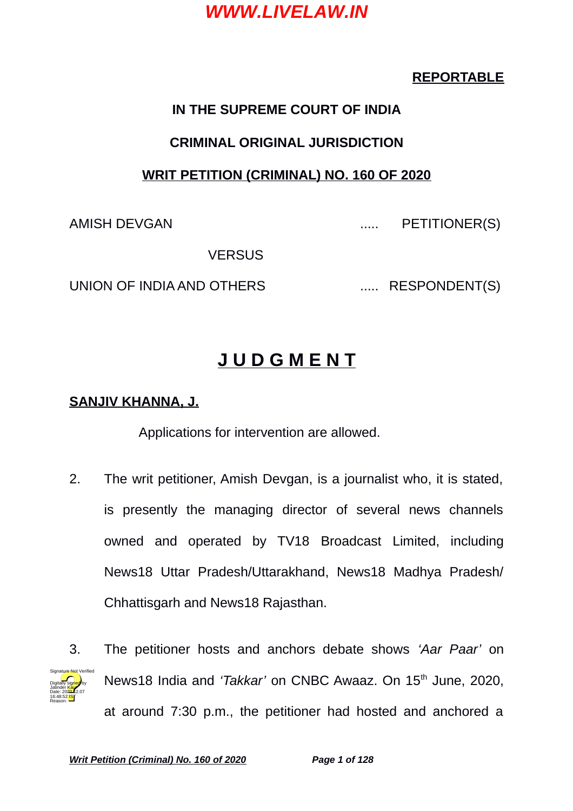### **REPORTABLE**

### **IN THE SUPREME COURT OF INDIA**

#### **CRIMINAL ORIGINAL JURISDICTION**

### **WRIT PETITION (CRIMINAL) NO. 160 OF 2020**

AMISH DEVGAN ..... PETITIONER(S)

**VERSUS** 

UNION OF INDIA AND OTHERS ...... RESPONDENT(S)

# **J U D G M E N T**

### **SANJIV KHANNA, J.**

Applications for intervention are allowed.

- 2. The writ petitioner, Amish Devgan, is a journalist who, it is stated, is presently the managing director of several news channels owned and operated by TV18 Broadcast Limited, including News18 Uttar Pradesh/Uttarakhand, News18 Madhya Pradesh/ Chhattisgarh and News18 Rajasthan.
- Digitally signed by Jatinder Kaur Date: 2020.12.07 16:48:52 IST Reason: Signature Not Verified
- 3. The petitioner hosts and anchors debate shows *'Aar Paar'* on News18 India and 'Takkar' on CNBC Awaaz. On 15<sup>th</sup> June, 2020, at around 7:30 p.m., the petitioner had hosted and anchored a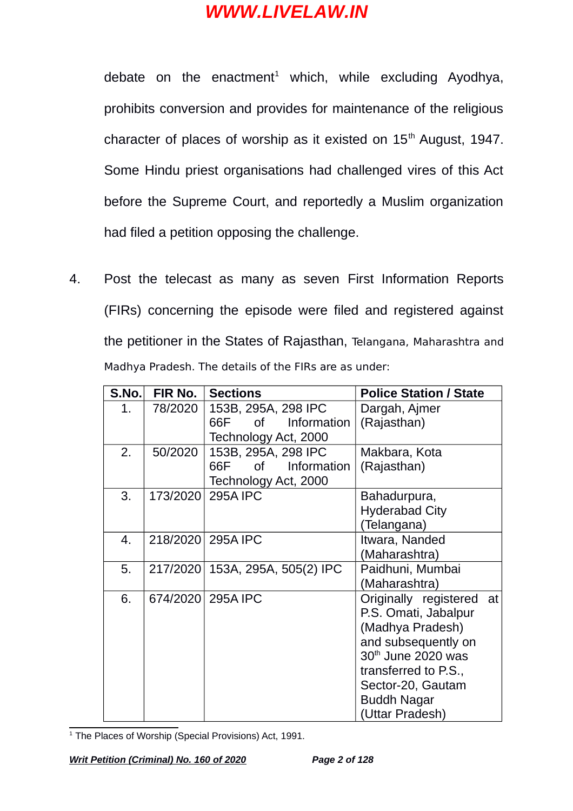debate on the enactment $1$  which, while excluding Ayodhya, prohibits conversion and provides for maintenance of the religious character of places of worship as it existed on  $15<sup>th</sup>$  August, 1947. Some Hindu priest organisations had challenged vires of this Act before the Supreme Court, and reportedly a Muslim organization had filed a petition opposing the challenge.

4. Post the telecast as many as seven First Information Reports (FIRs) concerning the episode were filed and registered against the petitioner in the States of Rajasthan, Telangana, Maharashtra and Madhya Pradesh. The details of the FIRs are as under:

| S.No. | FIR No.  | <b>Sections</b>                 | <b>Police Station / State</b> |
|-------|----------|---------------------------------|-------------------------------|
| 1.    | 78/2020  | 153B, 295A, 298 IPC             | Dargah, Ajmer                 |
|       |          | Information<br>66F -<br>of l    | (Rajasthan)                   |
|       |          | Technology Act, 2000            |                               |
| 2.    | 50/2020  | 153B, 295A, 298 IPC             | Makbara, Kota                 |
|       |          | 0f<br><b>Information</b><br>66F | (Rajasthan)                   |
|       |          | Technology Act, 2000            |                               |
| 3.    | 173/2020 | <b>295A IPC</b>                 | Bahadurpura,                  |
|       |          |                                 | <b>Hyderabad City</b>         |
|       |          |                                 | (Telangana)                   |
| 4.    |          | 218/2020 295A IPC               | Itwara, Nanded                |
|       |          |                                 | (Maharashtra)                 |
| 5.    | 217/2020 | 153A, 295A, 505(2) IPC          | Paidhuni, Mumbai              |
|       |          |                                 | (Maharashtra)                 |
| 6.    |          | 674/2020 295A IPC               | Originally registered at      |
|       |          |                                 | P.S. Omati, Jabalpur          |
|       |          |                                 | (Madhya Pradesh)              |
|       |          |                                 | and subsequently on           |
|       |          |                                 | 30th June 2020 was            |
|       |          |                                 | transferred to P.S.,          |
|       |          |                                 | Sector-20, Gautam             |
|       |          |                                 | <b>Buddh Nagar</b>            |
|       |          |                                 | (Uttar Pradesh)               |

<span id="page-1-0"></span><sup>1</sup> The Places of Worship (Special Provisions) Act, 1991.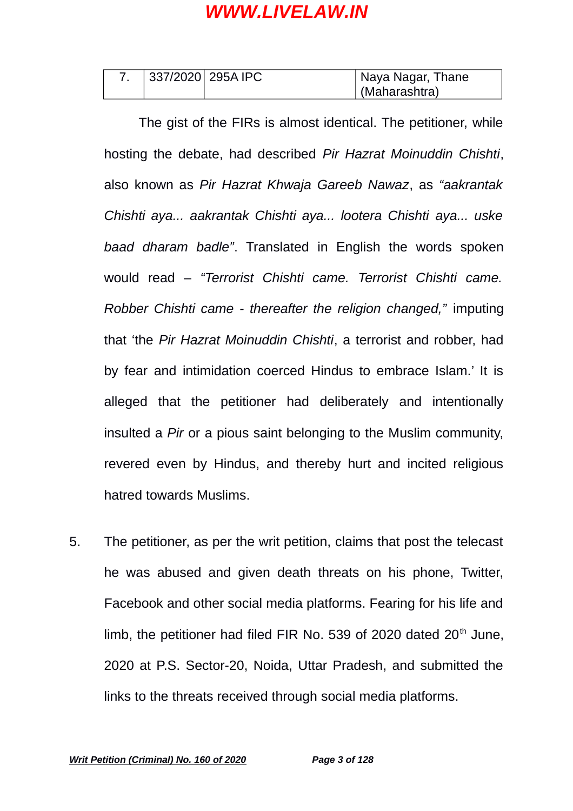| 337/2020 295A IPC | Naya Nagar, Thane |
|-------------------|-------------------|
|                   | (Maharashtra)     |

The gist of the FIRs is almost identical. The petitioner, while hosting the debate, had described *Pir Hazrat Moinuddin Chishti*, also known as *Pir Hazrat Khwaja Gareeb Nawaz*, as *"aakrantak Chishti aya... aakrantak Chishti aya... lootera Chishti aya... uske baad dharam badle"*. Translated in English the words spoken would read – *"Terrorist Chishti came. Terrorist Chishti came. Robber Chishti came - thereafter the religion changed,"* imputing that 'the *Pir Hazrat Moinuddin Chishti*, a terrorist and robber, had by fear and intimidation coerced Hindus to embrace Islam.' It is alleged that the petitioner had deliberately and intentionally insulted a *Pir* or a pious saint belonging to the Muslim community, revered even by Hindus, and thereby hurt and incited religious hatred towards Muslims.

5. The petitioner, as per the writ petition, claims that post the telecast he was abused and given death threats on his phone, Twitter, Facebook and other social media platforms. Fearing for his life and limb, the petitioner had filed FIR No. 539 of 2020 dated  $20<sup>th</sup>$  June, 2020 at P.S. Sector-20, Noida, Uttar Pradesh, and submitted the links to the threats received through social media platforms.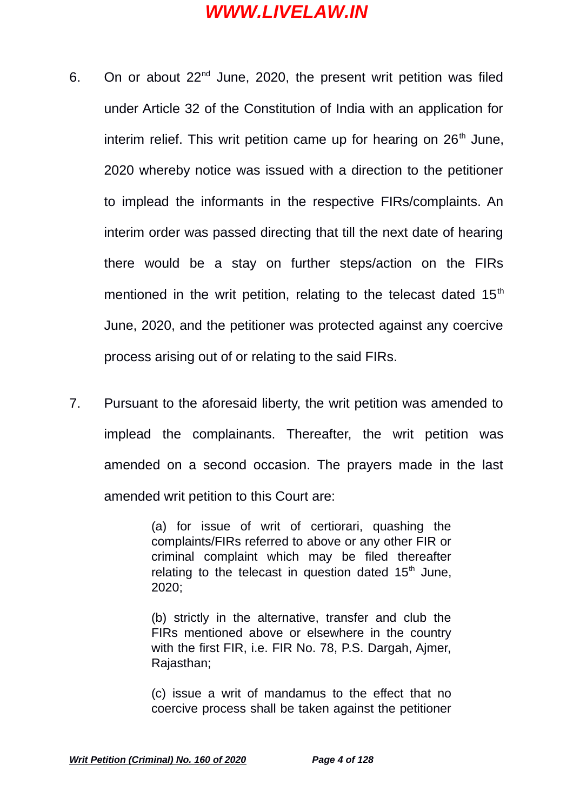- 6. On or about  $22^{nd}$  June, 2020, the present writ petition was filed under Article 32 of the Constitution of India with an application for interim relief. This writ petition came up for hearing on  $26<sup>th</sup>$  June, 2020 whereby notice was issued with a direction to the petitioner to implead the informants in the respective FIRs/complaints. An interim order was passed directing that till the next date of hearing there would be a stay on further steps/action on the FIRs mentioned in the writ petition, relating to the telecast dated  $15<sup>th</sup>$ June, 2020, and the petitioner was protected against any coercive process arising out of or relating to the said FIRs.
- 7. Pursuant to the aforesaid liberty, the writ petition was amended to implead the complainants. Thereafter, the writ petition was amended on a second occasion. The prayers made in the last amended writ petition to this Court are:

(a) for issue of writ of certiorari, quashing the complaints/FIRs referred to above or any other FIR or criminal complaint which may be filed thereafter relating to the telecast in question dated  $15<sup>th</sup>$  June, 2020;

(b) strictly in the alternative, transfer and club the FIRs mentioned above or elsewhere in the country with the first FIR, i.e. FIR No. 78, P.S. Dargah, Ajmer, Rajasthan;

(c) issue a writ of mandamus to the effect that no coercive process shall be taken against the petitioner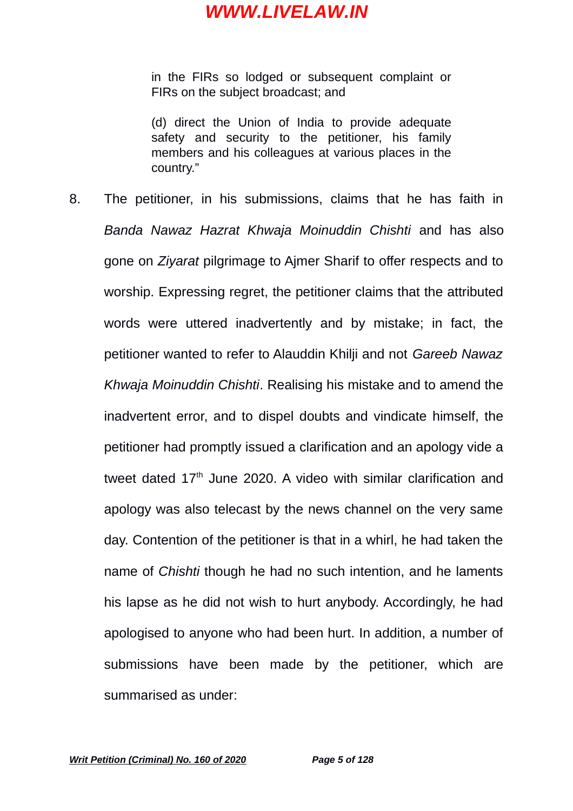in the FIRs so lodged or subsequent complaint or FIRs on the subject broadcast; and

(d) direct the Union of India to provide adequate safety and security to the petitioner, his family members and his colleagues at various places in the country."

8. The petitioner, in his submissions, claims that he has faith in *Banda Nawaz Hazrat Khwaja Moinuddin Chishti* and has also gone on *Ziyarat* pilgrimage to Ajmer Sharif to offer respects and to worship. Expressing regret, the petitioner claims that the attributed words were uttered inadvertently and by mistake; in fact, the petitioner wanted to refer to Alauddin Khilji and not *Gareeb Nawaz Khwaja Moinuddin Chishti*. Realising his mistake and to amend the inadvertent error, and to dispel doubts and vindicate himself, the petitioner had promptly issued a clarification and an apology vide a tweet dated  $17<sup>th</sup>$  June 2020. A video with similar clarification and apology was also telecast by the news channel on the very same day. Contention of the petitioner is that in a whirl, he had taken the name of *Chishti* though he had no such intention, and he laments his lapse as he did not wish to hurt anybody. Accordingly, he had apologised to anyone who had been hurt. In addition, a number of submissions have been made by the petitioner, which are summarised as under: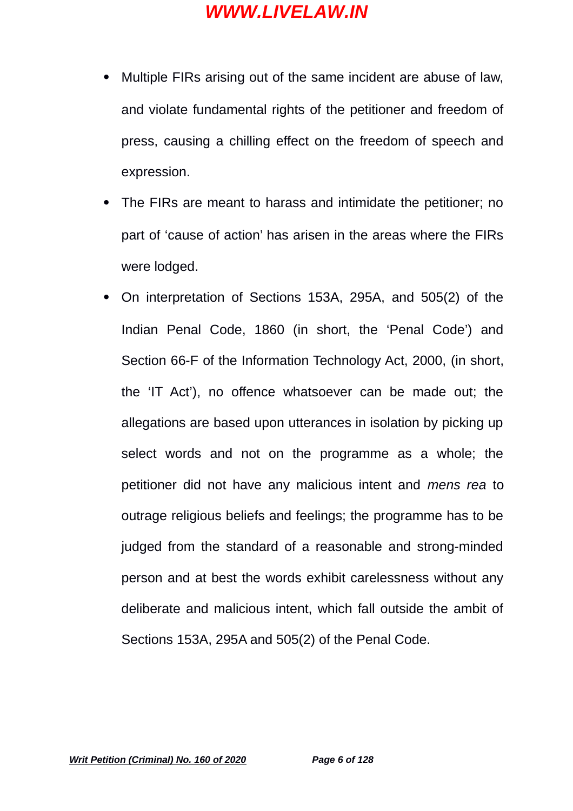- Multiple FIRs arising out of the same incident are abuse of law, and violate fundamental rights of the petitioner and freedom of press, causing a chilling effect on the freedom of speech and expression.
- The FIRs are meant to harass and intimidate the petitioner; no part of 'cause of action' has arisen in the areas where the FIRs were lodged.
- On interpretation of Sections 153A, 295A, and 505(2) of the Indian Penal Code, 1860 (in short, the 'Penal Code') and Section 66-F of the Information Technology Act, 2000, (in short, the 'IT Act'), no offence whatsoever can be made out; the allegations are based upon utterances in isolation by picking up select words and not on the programme as a whole; the petitioner did not have any malicious intent and *mens rea* to outrage religious beliefs and feelings; the programme has to be judged from the standard of a reasonable and strong-minded person and at best the words exhibit carelessness without any deliberate and malicious intent, which fall outside the ambit of Sections 153A, 295A and 505(2) of the Penal Code.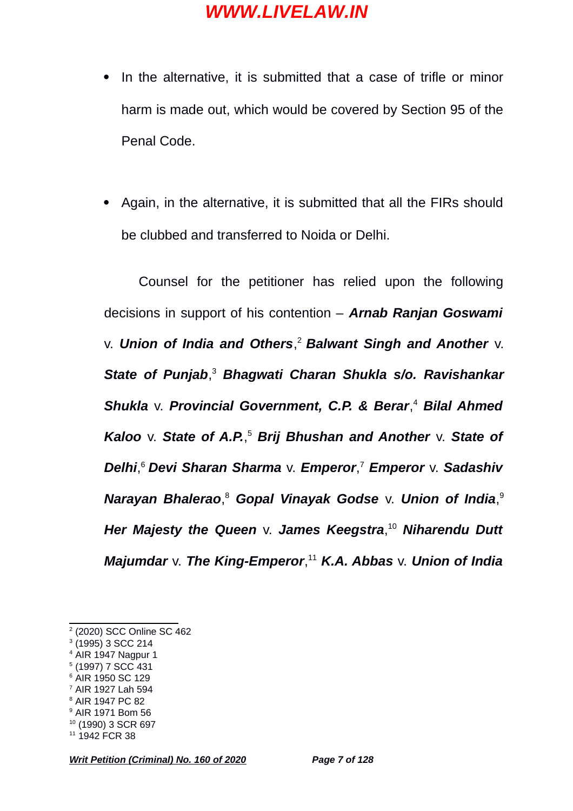- In the alternative, it is submitted that a case of trifle or minor harm is made out, which would be covered by Section 95 of the Penal Code.
- Again, in the alternative, it is submitted that all the FIRs should be clubbed and transferred to Noida or Delhi.

Counsel for the petitioner has relied upon the following decisions in support of his contention – *Arnab Ranjan Goswami* v. *Union of India and Others*, [2](#page-6-0) *Balwant Singh and Another* v. *State of Punjab*, [3](#page-6-1)  *Bhagwati Charan Shukla s/o. Ravishankar Shukla* v. *Provincial Government, C.P. & Berar*, [4](#page-6-2)  *Bilal Ahmed Kaloo* v. *State of A.P.*, [5](#page-6-3)  *Brij Bhushan and Another* v. *State of Delhi*, [6](#page-6-4) *Devi Sharan Sharma* v. *Emperor*, [7](#page-6-5)  *Emperor* v. *Sadashiv Narayan Bhalerao*, [8](#page-6-6)  *Gopal Vinayak Godse* v. *Union of India*, [9](#page-6-7) *Her Majesty the Queen* v. *James Keegstra*, [10](#page-6-8) *Niharendu Dutt Majumdar* v. *The King-Emperor*, [11](#page-6-9) *K.A. Abbas* v. *Union of India*

- <span id="page-6-2"></span><sup>4</sup> AIR 1947 Nagpur 1
- <span id="page-6-3"></span>5 (1997) 7 SCC 431
- <span id="page-6-4"></span><sup>6</sup> AIR 1950 SC 129
- <span id="page-6-5"></span><sup>7</sup> AIR 1927 Lah 594
- <span id="page-6-6"></span><sup>8</sup> AIR 1947 PC 82
- <span id="page-6-7"></span><sup>9</sup> AIR 1971 Bom 56
- <span id="page-6-8"></span><sup>10</sup> (1990) 3 SCR 697
- <span id="page-6-9"></span><sup>11</sup> 1942 FCR 38

*Writ Petition (Criminal) No. 160 of 2020 Page 7 of 128*

<span id="page-6-0"></span><sup>2</sup> (2020) SCC Online SC 462

<span id="page-6-1"></span><sup>3</sup> (1995) 3 SCC 214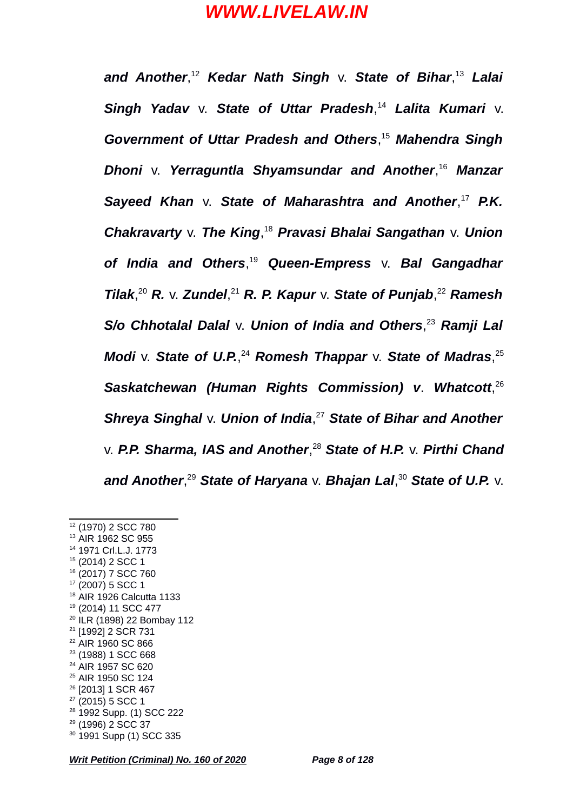*and Another*, [12](#page-7-0) *Kedar Nath Singh* v. *State of Bihar*, [13](#page-7-1) *Lalai Singh Yadav* v. *State of Uttar Pradesh*, [14](#page-7-2) *Lalita Kumari* v. *Government of Uttar Pradesh and Others*, [15](#page-7-3) *Mahendra Singh Dhoni* v. *Yerraguntla Shyamsundar and Another*, [16](#page-7-4) *Manzar Sayeed Khan* v. *State of Maharashtra and Another*, [17](#page-7-5) *P.K. Chakravarty* v. *The King*, [18](#page-7-6) *Pravasi Bhalai Sangathan* v. *Union of India and Others*, [19](#page-7-7) *Queen-Empress* v. *Bal Gangadhar Tilak*, [20](#page-7-8) *R.* v. *Zundel*, [21](#page-7-9) *R. P. Kapur* v. *State of Punjab*, [22](#page-7-10) *Ramesh S/o Chhotalal Dalal* v. *Union of India and Others*, [23](#page-7-11) *Ramji Lal Modi* v. *State of U.P.*, [24](#page-7-12) *Romesh Thappar* v. *State of Madras*, [25](#page-7-13) *Saskatchewan (Human Rights Commission) v*. *Whatcott*, [26](#page-7-14) *Shreya Singhal* v. *Union of India*, [27](#page-7-15) *State of Bihar and Another* v. *P.P. Sharma, IAS and Another*, [28](#page-7-16) *State of H.P.* v. *Pirthi Chand and Another*, [29](#page-7-17) *State of Haryana* v. *Bhajan Lal*, [30](#page-7-18) *State of U.P.* v.

<span id="page-7-18"></span><span id="page-7-17"></span><span id="page-7-16"></span><span id="page-7-15"></span><span id="page-7-14"></span><span id="page-7-13"></span><span id="page-7-12"></span><span id="page-7-11"></span>*Writ Petition (Criminal) No. 160 of 2020 Page 8 of 128*

<span id="page-7-10"></span><span id="page-7-9"></span><span id="page-7-8"></span><span id="page-7-7"></span><span id="page-7-6"></span><span id="page-7-5"></span><span id="page-7-4"></span><span id="page-7-3"></span><span id="page-7-2"></span><span id="page-7-1"></span><span id="page-7-0"></span><sup>&</sup>lt;sup>12</sup> (1970) 2 SCC 780 <sup>13</sup> AIR 1962 SC 955 <sup>14</sup> 1971 Crl.L.J. 1773 <sup>15</sup> (2014) 2 SCC 1 <sup>16</sup> (2017) 7 SCC 760  $17$  (2007) 5 SCC 1 <sup>18</sup> AIR 1926 Calcutta 1133 <sup>19</sup> (2014) 11 SCC 477 <sup>20</sup> ILR (1898) 22 Bombay 112 <sup>21</sup> [1992] 2 SCR 731 <sup>22</sup> AIR 1960 SC 866 <sup>23</sup> (1988) 1 SCC 668 <sup>24</sup> AIR 1957 SC 620 <sup>25</sup> AIR 1950 SC 124 <sup>26</sup> [2013] 1 SCR 467  $27$  (2015) 5 SCC 1 <sup>28</sup> 1992 Supp. (1) SCC 222 <sup>29</sup> (1996) 2 SCC 37 <sup>30</sup> 1991 Supp (1) SCC 335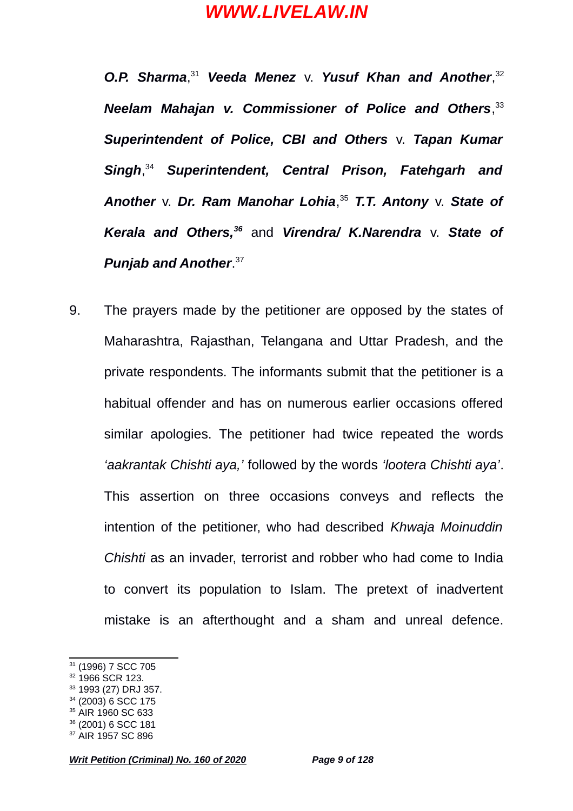*O.P. Sharma*, [31](#page-8-0) *Veeda Menez* v. *Yusuf Khan and Another*, [32](#page-8-1) *Neelam Mahajan v. Commissioner of Police and Others*, [33](#page-8-2) *Superintendent of Police, CBI and Others* v. *Tapan Kumar Singh*, [34](#page-8-3) *Superintendent, Central Prison, Fatehgarh and Another* v. *Dr. Ram Manohar Lohia*, [35](#page-8-4) *T.T. Antony* v. *State of Kerala and Others,[36](#page-8-5)* and *Virendra/ K.Narendra* v. *State of Punjab and Another*. [37](#page-8-6)

9. The prayers made by the petitioner are opposed by the states of Maharashtra, Rajasthan, Telangana and Uttar Pradesh, and the private respondents. The informants submit that the petitioner is a habitual offender and has on numerous earlier occasions offered similar apologies. The petitioner had twice repeated the words *'aakrantak Chishti aya,'* followed by the words *'lootera Chishti aya'*. This assertion on three occasions conveys and reflects the intention of the petitioner, who had described *Khwaja Moinuddin Chishti* as an invader, terrorist and robber who had come to India to convert its population to Islam. The pretext of inadvertent mistake is an afterthought and a sham and unreal defence.

- <span id="page-8-2"></span><sup>33</sup> 1993 (27) DRJ 357.
- <span id="page-8-3"></span> $34$  (2003) 6 SCC 175
- <span id="page-8-4"></span><sup>35</sup> AIR 1960 SC 633

<span id="page-8-0"></span><sup>31</sup> (1996) 7 SCC 705

<span id="page-8-1"></span><sup>&</sup>lt;sup>32</sup> 1966 SCR 123.

<span id="page-8-5"></span><sup>36</sup> (2001) 6 SCC 181

<span id="page-8-6"></span><sup>37</sup> AIR 1957 SC 896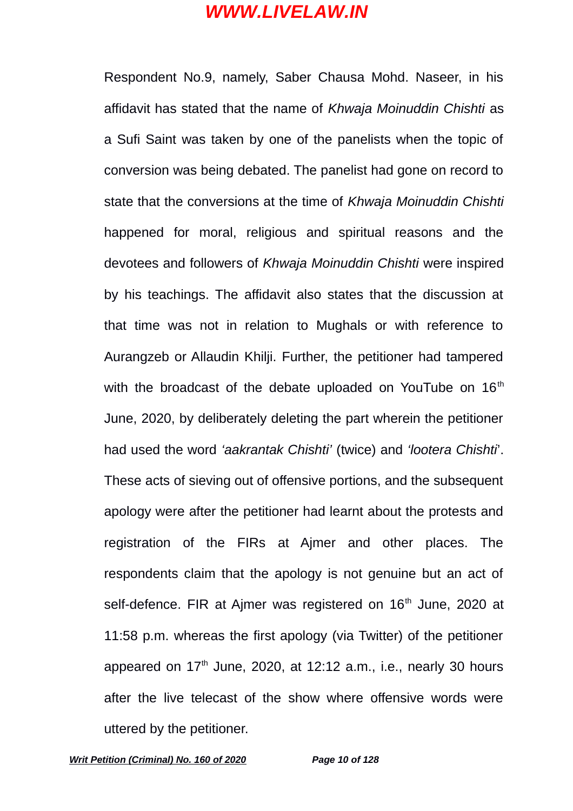Respondent No.9, namely, Saber Chausa Mohd. Naseer, in his affidavit has stated that the name of *Khwaja Moinuddin Chishti* as a Sufi Saint was taken by one of the panelists when the topic of conversion was being debated. The panelist had gone on record to state that the conversions at the time of *Khwaja Moinuddin Chishti* happened for moral, religious and spiritual reasons and the devotees and followers of *Khwaja Moinuddin Chishti* were inspired by his teachings. The affidavit also states that the discussion at that time was not in relation to Mughals or with reference to Aurangzeb or Allaudin Khilji. Further, the petitioner had tampered with the broadcast of the debate uploaded on YouTube on  $16<sup>th</sup>$ June, 2020, by deliberately deleting the part wherein the petitioner had used the word *'aakrantak Chishti'* (twice) and *'lootera Chishti*'. These acts of sieving out of offensive portions, and the subsequent apology were after the petitioner had learnt about the protests and registration of the FIRs at Ajmer and other places. The respondents claim that the apology is not genuine but an act of self-defence. FIR at Ajmer was registered on 16<sup>th</sup> June, 2020 at 11:58 p.m. whereas the first apology (via Twitter) of the petitioner appeared on  $17<sup>th</sup>$  June, 2020, at 12:12 a.m., i.e., nearly 30 hours after the live telecast of the show where offensive words were uttered by the petitioner.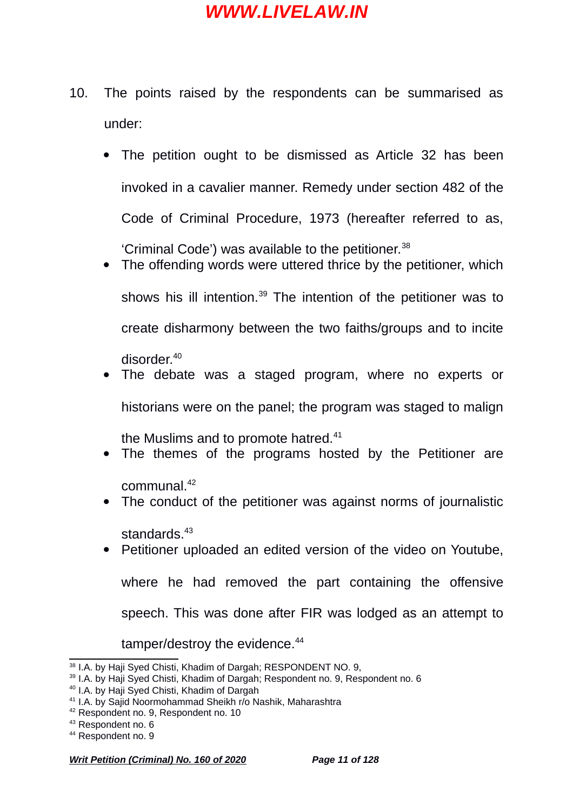- 10. The points raised by the respondents can be summarised as under:
	- The petition ought to be dismissed as Article 32 has been invoked in a cavalier manner. Remedy under section 482 of the Code of Criminal Procedure, 1973 (hereafter referred to as, 'Criminal Code') was available to the petitioner.<sup>[38](#page-10-0)</sup>
	- The offending words were uttered thrice by the petitioner, which shows his ill intention.<sup>[39](#page-10-1)</sup> The intention of the petitioner was to create disharmony between the two faiths/groups and to incite disorder.[40](#page-10-2)
	- The debate was a staged program, where no experts or
	-

historians were on the panel; the program was staged to malign

the Muslims and to promote hatred.<sup>[41](#page-10-3)</sup>

The themes of the programs hosted by the Petitioner are

communal.[42](#page-10-4)

• The conduct of the petitioner was against norms of journalistic

standards.<sup>[43](#page-10-5)</sup>

- 
- 
- 

speech. This was done after FIR was lodged as an attempt to

where he had removed the part containing the offensive

• Petitioner uploaded an edited version of the video on Youtube,

tamper/destroy the evidence.<sup>[44](#page-10-6)</sup>

<span id="page-10-1"></span><span id="page-10-0"></span>38 I.A. by Haji Syed Chisti, Khadim of Dargah; RESPONDENT NO. 9,

<span id="page-10-3"></span><span id="page-10-2"></span>

<span id="page-10-4"></span><sup>42</sup> Respondent no. 9, Respondent no. 10

<span id="page-10-5"></span><sup>43</sup> Respondent no. 6

<span id="page-10-6"></span><sup>44</sup> Respondent no. 9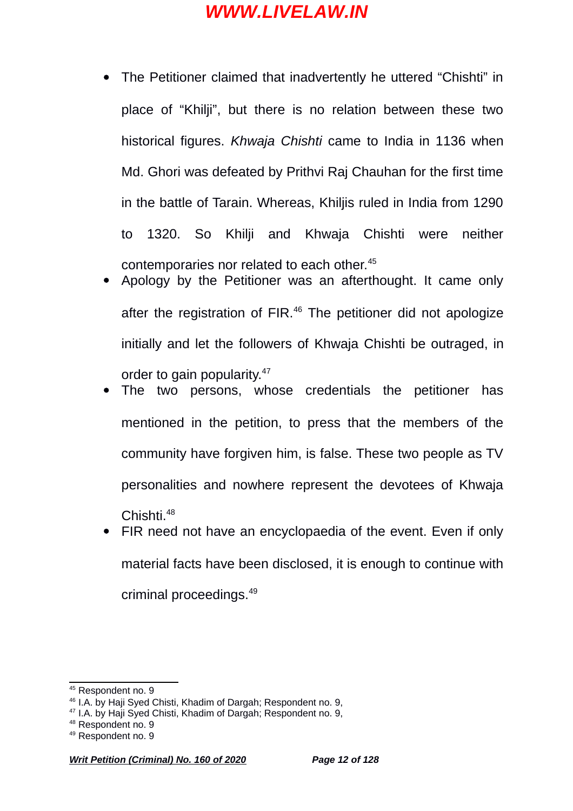- The Petitioner claimed that inadvertently he uttered "Chishti" in place of "Khilji", but there is no relation between these two historical figures. *Khwaja Chishti* came to India in 1136 when Md. Ghori was defeated by Prithvi Raj Chauhan for the first time in the battle of Tarain. Whereas, Khiljis ruled in India from 1290 to 1320. So Khilji and Khwaja Chishti were neither contemporaries nor related to each other.<sup>[45](#page-11-0)</sup>
- Apology by the Petitioner was an afterthought. It came only after the registration of FIR.<sup>[46](#page-11-1)</sup> The petitioner did not apologize initially and let the followers of Khwaja Chishti be outraged, in order to gain popularity.[47](#page-11-2)
- The two persons, whose credentials the petitioner has mentioned in the petition, to press that the members of the community have forgiven him, is false. These two people as TV personalities and nowhere represent the devotees of Khwaja Chishti.[48](#page-11-3)
- FIR need not have an encyclopaedia of the event. Even if only material facts have been disclosed, it is enough to continue with criminal proceedings.[49](#page-11-4)

<span id="page-11-0"></span><sup>&</sup>lt;sup>45</sup> Respondent no. 9

<span id="page-11-1"></span><sup>&</sup>lt;sup>46</sup> I.A. by Haij Syed Chisti, Khadim of Dargah; Respondent no. 9,

<span id="page-11-2"></span><sup>47</sup> I.A. by Haji Syed Chisti, Khadim of Dargah; Respondent no. 9,

<span id="page-11-3"></span><sup>48</sup> Respondent no. 9

<span id="page-11-4"></span><sup>49</sup> Respondent no. 9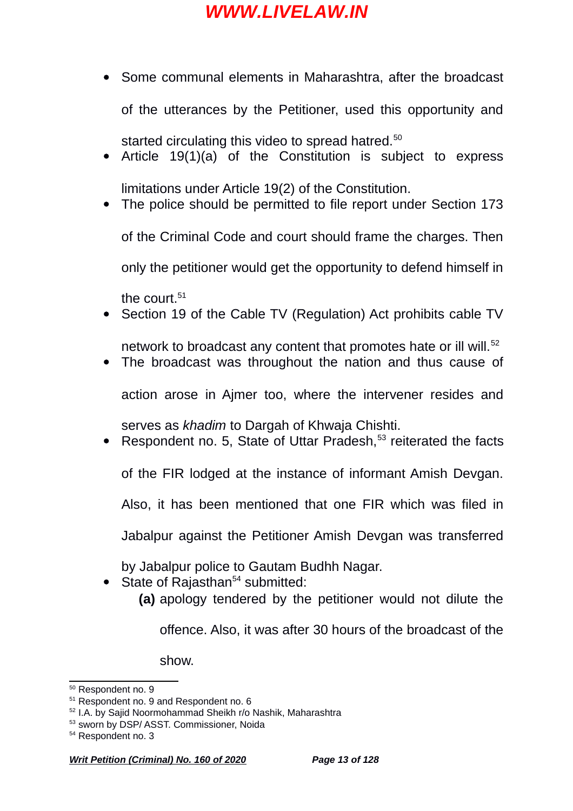• Some communal elements in Maharashtra, after the broadcast

• Article 19(1)(a) of the Constitution is subject to express

• The police should be permitted to file report under Section 173

of the Criminal Code and court should frame the charges. Then

only the petitioner would get the opportunity to defend himself in

started circulating this video to spread hatred.<sup>[50](#page-12-0)</sup>

limitations under Article 19(2) of the Constitution.

of the utterances by the Petitioner, used this opportunity and

serves as *khadim* to Dargah of Khwaja Chishti.

by Jabalpur police to Gautam Budhh Nagar.

• The broadcast was throughout the nation and thus cause of

• Section 19 of the Cable TV (Regulation) Act prohibits cable TV

- 
- network to broadcast any content that promotes hate or ill will.<sup>[52](#page-12-2)</sup>
	- action arose in Ajmer too, where the intervener resides and
- -

Respondent no. 5, State of Uttar Pradesh,<sup>[53](#page-12-3)</sup> reiterated the facts

of the FIR lodged at the instance of informant Amish Devgan.

Also, it has been mentioned that one FIR which was filed in

Jabalpur against the Petitioner Amish Devgan was transferred

**(a)** apology tendered by the petitioner would not dilute the

offence. Also, it was after 30 hours of the broadcast of the

<span id="page-12-0"></span><sup>50</sup> Respondent no. 9

the court. $51$ 

State of Rajasthan<sup>[54](#page-12-4)</sup> submitted:

show.

<span id="page-12-1"></span><sup>&</sup>lt;sup>51</sup> Respondent no. 9 and Respondent no. 6

<span id="page-12-2"></span><sup>52</sup> I.A. by Sajid Noormohammad Sheikh r/o Nashik, Maharashtra

<span id="page-12-3"></span><sup>53</sup> sworn by DSP/ ASST. Commissioner, Noida

<span id="page-12-4"></span><sup>54</sup> Respondent no. 3

*Writ Petition (Criminal) No. 160 of 2020 Page 13 of 128*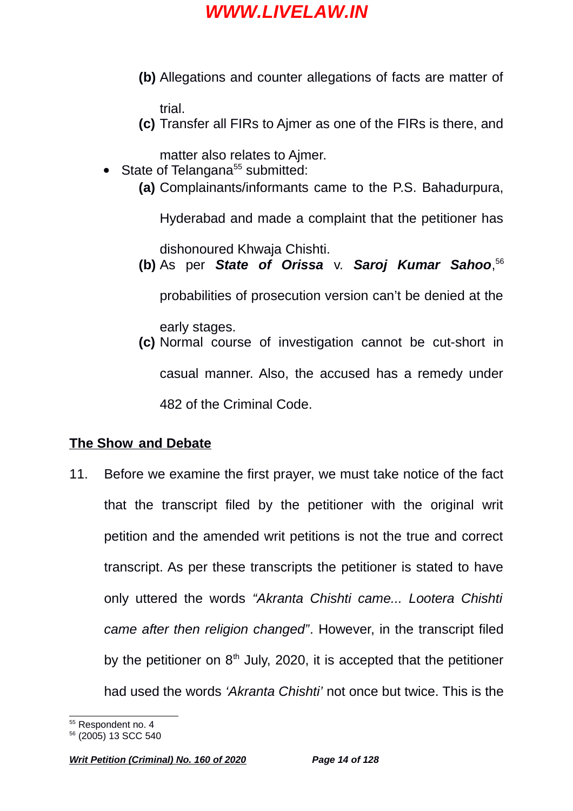**(b)** Allegations and counter allegations of facts are matter of

trial.

**(c)** Transfer all FIRs to Ajmer as one of the FIRs is there, and

matter also relates to Ajmer.

- State of Telangana<sup>[55](#page-13-0)</sup> submitted:
	- **(a)** Complainants/informants came to the P.S. Bahadurpura,

Hyderabad and made a complaint that the petitioner has

dishonoured Khwaja Chishti.

**(b)** As per *State of Orissa* v. *Saroj Kumar Sahoo*, [56](#page-13-1)

probabilities of prosecution version can't be denied at the

early stages.

**(c)** Normal course of investigation cannot be cut-short in casual manner. Also, the accused has a remedy under 482 of the Criminal Code.

## **The Show and Debate**

11. Before we examine the first prayer, we must take notice of the fact that the transcript filed by the petitioner with the original writ petition and the amended writ petitions is not the true and correct transcript. As per these transcripts the petitioner is stated to have only uttered the words *"Akranta Chishti came... Lootera Chishti came after then religion changed"*. However, in the transcript filed by the petitioner on  $8<sup>th</sup>$  July, 2020, it is accepted that the petitioner had used the words *'Akranta Chishti'* not once but twice. This is the

<span id="page-13-0"></span><sup>55</sup> Respondent no. 4

<span id="page-13-1"></span><sup>56</sup> (2005) 13 SCC 540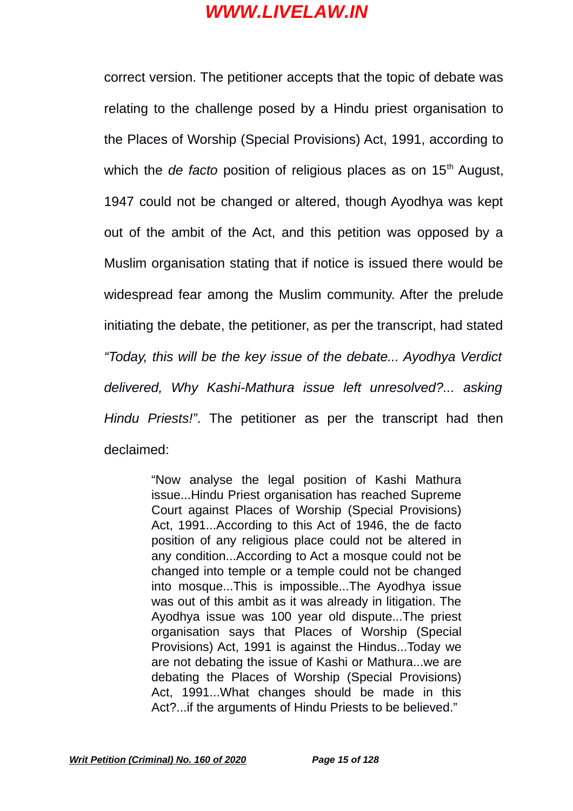correct version. The petitioner accepts that the topic of debate was relating to the challenge posed by a Hindu priest organisation to the Places of Worship (Special Provisions) Act, 1991, according to which the *de facto* position of religious places as on 15<sup>th</sup> August, 1947 could not be changed or altered, though Ayodhya was kept out of the ambit of the Act, and this petition was opposed by a Muslim organisation stating that if notice is issued there would be widespread fear among the Muslim community. After the prelude initiating the debate, the petitioner, as per the transcript, had stated *"Today, this will be the key issue of the debate... Ayodhya Verdict delivered, Why Kashi-Mathura issue left unresolved?... asking Hindu Priests!"*. The petitioner as per the transcript had then declaimed:

> "Now analyse the legal position of Kashi Mathura issue...Hindu Priest organisation has reached Supreme Court against Places of Worship (Special Provisions) Act, 1991...According to this Act of 1946, the de facto position of any religious place could not be altered in any condition...According to Act a mosque could not be changed into temple or a temple could not be changed into mosque...This is impossible...The Ayodhya issue was out of this ambit as it was already in litigation. The Ayodhya issue was 100 year old dispute...The priest organisation says that Places of Worship (Special Provisions) Act, 1991 is against the Hindus...Today we are not debating the issue of Kashi or Mathura...we are debating the Places of Worship (Special Provisions) Act, 1991...What changes should be made in this Act?...if the arguments of Hindu Priests to be believed."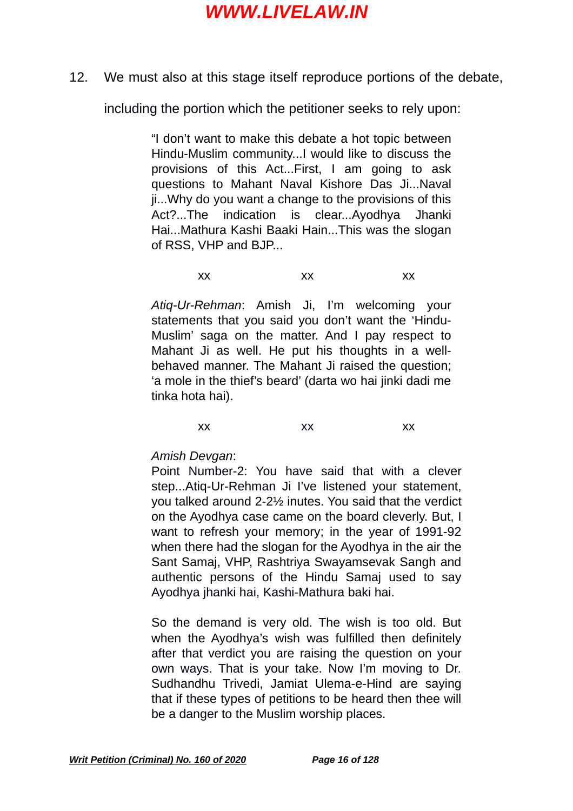12. We must also at this stage itself reproduce portions of the debate,

including the portion which the petitioner seeks to rely upon:

"I don't want to make this debate a hot topic between Hindu-Muslim community...I would like to discuss the provisions of this Act...First, I am going to ask questions to Mahant Naval Kishore Das Ji...Naval ji...Why do you want a change to the provisions of this Act?...The indication is clear...Ayodhya Jhanki Hai...Mathura Kashi Baaki Hain...This was the slogan of RSS, VHP and BJP...

xx xx xx

*Atiq-Ur-Rehman*: Amish Ji, I'm welcoming your statements that you said you don't want the 'Hindu-Muslim' saga on the matter. And I pay respect to Mahant Ji as well. He put his thoughts in a wellbehaved manner. The Mahant Ji raised the question; 'a mole in the thief's beard' (darta wo hai jinki dadi me tinka hota hai).

xx xx xx

*Amish Devgan*:

Point Number-2: You have said that with a clever step...Atiq-Ur-Rehman Ji I've listened your statement, you talked around 2-2½ inutes. You said that the verdict on the Ayodhya case came on the board cleverly. But, I want to refresh your memory; in the year of 1991-92 when there had the slogan for the Ayodhya in the air the Sant Samaj, VHP, Rashtriya Swayamsevak Sangh and authentic persons of the Hindu Samaj used to say Ayodhya jhanki hai, Kashi-Mathura baki hai.

So the demand is very old. The wish is too old. But when the Ayodhya's wish was fulfilled then definitely after that verdict you are raising the question on your own ways. That is your take. Now I'm moving to Dr. Sudhandhu Trivedi, Jamiat Ulema-e-Hind are saying that if these types of petitions to be heard then thee will be a danger to the Muslim worship places.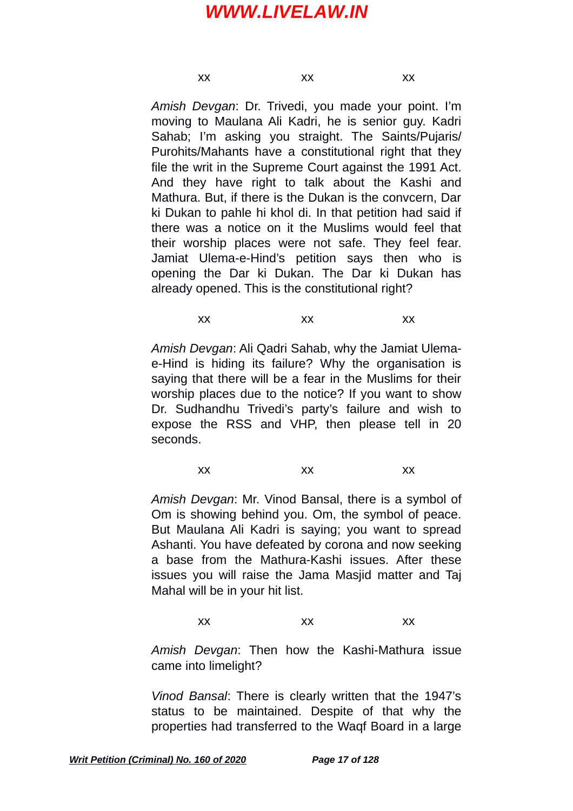xx xx xx

*Amish Devgan*: Dr. Trivedi, you made your point. I'm moving to Maulana Ali Kadri, he is senior guy. Kadri Sahab; I'm asking you straight. The Saints/Pujaris/ Purohits/Mahants have a constitutional right that they file the writ in the Supreme Court against the 1991 Act. And they have right to talk about the Kashi and Mathura. But, if there is the Dukan is the convcern, Dar ki Dukan to pahle hi khol di. In that petition had said if there was a notice on it the Muslims would feel that their worship places were not safe. They feel fear. Jamiat Ulema-e-Hind's petition says then who is opening the Dar ki Dukan. The Dar ki Dukan has already opened. This is the constitutional right?

xx xx xx

*Amish Devgan*: Ali Qadri Sahab, why the Jamiat Ulemae-Hind is hiding its failure? Why the organisation is saying that there will be a fear in the Muslims for their worship places due to the notice? If you want to show Dr. Sudhandhu Trivedi's party's failure and wish to expose the RSS and VHP, then please tell in 20 seconds.

xx xx xx

*Amish Devgan*: Mr. Vinod Bansal, there is a symbol of Om is showing behind you. Om, the symbol of peace. But Maulana Ali Kadri is saying; you want to spread Ashanti. You have defeated by corona and now seeking a base from the Mathura-Kashi issues. After these issues you will raise the Jama Masjid matter and Taj Mahal will be in your hit list.

xx xx xx

*Amish Devgan*: Then how the Kashi-Mathura issue came into limelight?

*Vinod Bansal*: There is clearly written that the 1947's status to be maintained. Despite of that why the properties had transferred to the Waqf Board in a large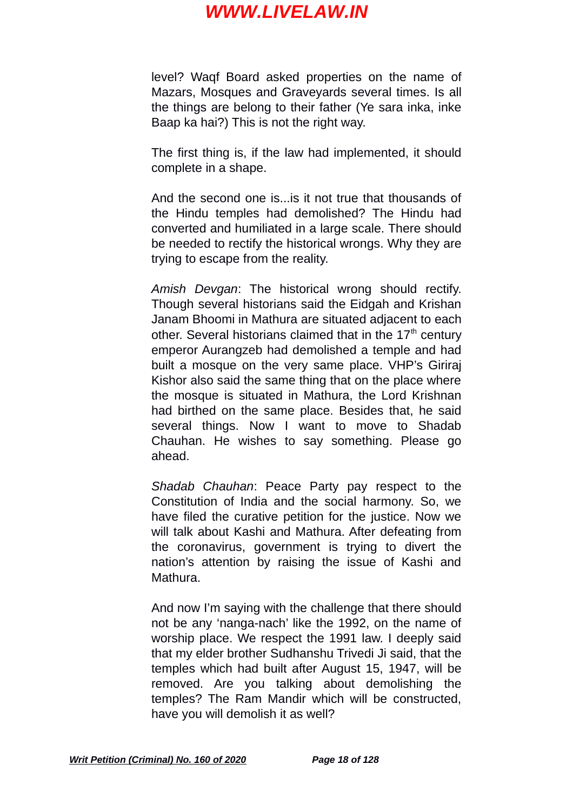level? Waqf Board asked properties on the name of Mazars, Mosques and Graveyards several times. Is all the things are belong to their father (Ye sara inka, inke Baap ka hai?) This is not the right way.

The first thing is, if the law had implemented, it should complete in a shape.

And the second one is...is it not true that thousands of the Hindu temples had demolished? The Hindu had converted and humiliated in a large scale. There should be needed to rectify the historical wrongs. Why they are trying to escape from the reality.

*Amish Devgan*: The historical wrong should rectify. Though several historians said the Eidgah and Krishan Janam Bhoomi in Mathura are situated adjacent to each other. Several historians claimed that in the  $17<sup>th</sup>$  century emperor Aurangzeb had demolished a temple and had built a mosque on the very same place. VHP's Giriraj Kishor also said the same thing that on the place where the mosque is situated in Mathura, the Lord Krishnan had birthed on the same place. Besides that, he said several things. Now I want to move to Shadab Chauhan. He wishes to say something. Please go ahead.

*Shadab Chauhan*: Peace Party pay respect to the Constitution of India and the social harmony. So, we have filed the curative petition for the justice. Now we will talk about Kashi and Mathura. After defeating from the coronavirus, government is trying to divert the nation's attention by raising the issue of Kashi and Mathura.

And now I'm saying with the challenge that there should not be any 'nanga-nach' like the 1992, on the name of worship place. We respect the 1991 law. I deeply said that my elder brother Sudhanshu Trivedi Ji said, that the temples which had built after August 15, 1947, will be removed. Are you talking about demolishing the temples? The Ram Mandir which will be constructed, have you will demolish it as well?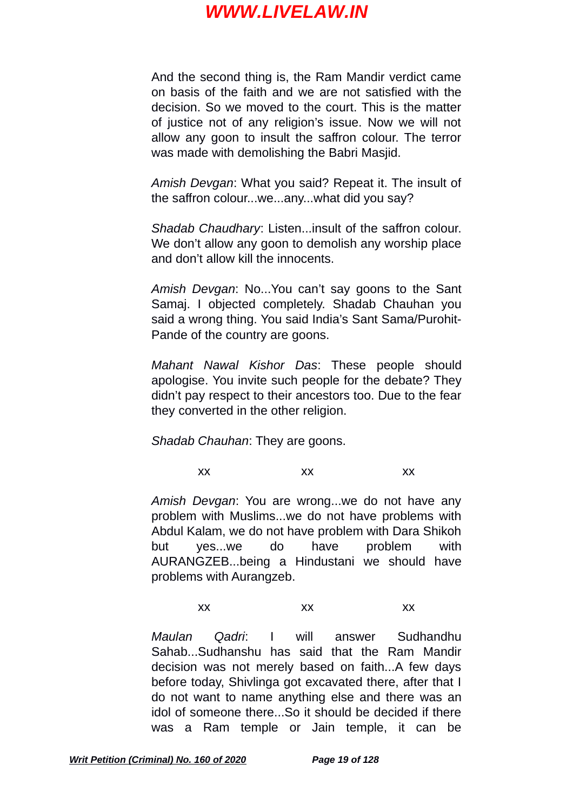And the second thing is, the Ram Mandir verdict came on basis of the faith and we are not satisfied with the decision. So we moved to the court. This is the matter of justice not of any religion's issue. Now we will not allow any goon to insult the saffron colour. The terror was made with demolishing the Babri Masjid.

*Amish Devgan*: What you said? Repeat it. The insult of the saffron colour...we...any...what did you say?

*Shadab Chaudhary*: Listen...insult of the saffron colour. We don't allow any goon to demolish any worship place and don't allow kill the innocents.

*Amish Devgan*: No...You can't say goons to the Sant Samaj. I objected completely. Shadab Chauhan you said a wrong thing. You said India's Sant Sama/Purohit-Pande of the country are goons.

*Mahant Nawal Kishor Das*: These people should apologise. You invite such people for the debate? They didn't pay respect to their ancestors too. Due to the fear they converted in the other religion.

*Shadab Chauhan*: They are goons.

xx xx xx

*Amish Devgan*: You are wrong...we do not have any problem with Muslims...we do not have problems with Abdul Kalam, we do not have problem with Dara Shikoh but yes...we do have problem with AURANGZEB...being a Hindustani we should have problems with Aurangzeb.

xx xx xx

*Maulan Qadri*: I will answer Sudhandhu Sahab...Sudhanshu has said that the Ram Mandir decision was not merely based on faith...A few days before today, Shivlinga got excavated there, after that I do not want to name anything else and there was an idol of someone there...So it should be decided if there was a Ram temple or Jain temple, it can be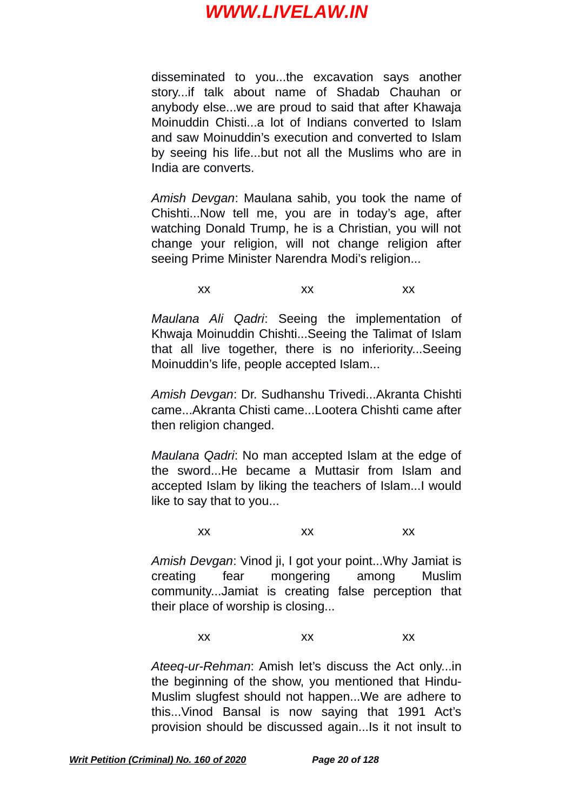disseminated to you...the excavation says another story...if talk about name of Shadab Chauhan or anybody else...we are proud to said that after Khawaja Moinuddin Chisti...a lot of Indians converted to Islam and saw Moinuddin's execution and converted to Islam by seeing his life...but not all the Muslims who are in India are converts.

*Amish Devgan*: Maulana sahib, you took the name of Chishti...Now tell me, you are in today's age, after watching Donald Trump, he is a Christian, you will not change your religion, will not change religion after seeing Prime Minister Narendra Modi's religion...

xx xx xx

*Maulana Ali Qadri*: Seeing the implementation of Khwaja Moinuddin Chishti...Seeing the Talimat of Islam that all live together, there is no inferiority...Seeing Moinuddin's life, people accepted Islam...

*Amish Devgan*: Dr. Sudhanshu Trivedi...Akranta Chishti came...Akranta Chisti came...Lootera Chishti came after then religion changed.

*Maulana Qadri*: No man accepted Islam at the edge of the sword...He became a Muttasir from Islam and accepted Islam by liking the teachers of Islam...I would like to say that to you...

xx xx xx

*Amish Devgan*: Vinod ji, I got your point...Why Jamiat is creating fear mongering among Muslim community...Jamiat is creating false perception that their place of worship is closing...

xx xx xx

*Ateeq-ur-Rehman*: Amish let's discuss the Act only...in the beginning of the show, you mentioned that Hindu-Muslim slugfest should not happen...We are adhere to this...Vinod Bansal is now saying that 1991 Act's provision should be discussed again...Is it not insult to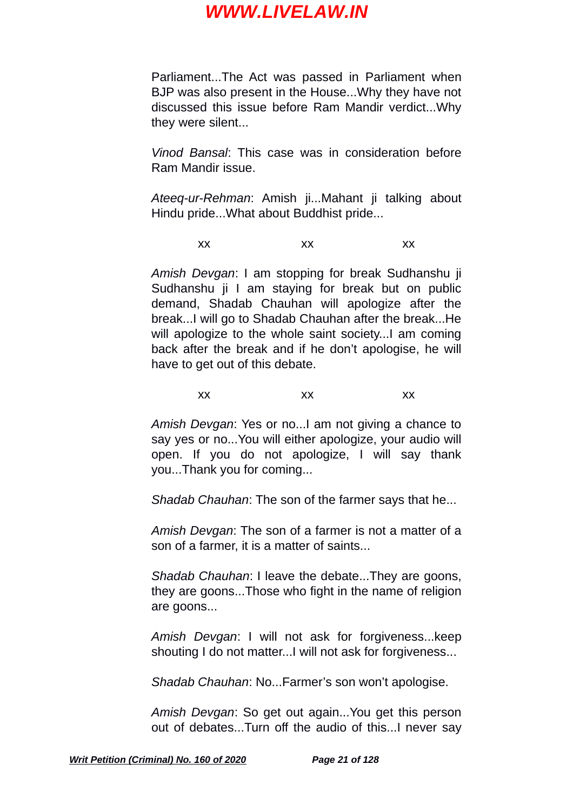Parliament...The Act was passed in Parliament when BJP was also present in the House...Why they have not discussed this issue before Ram Mandir verdict...Why they were silent...

*Vinod Bansal*: This case was in consideration before Ram Mandir issue.

*Ateeq-ur-Rehman*: Amish ji...Mahant ji talking about Hindu pride...What about Buddhist pride...

xx xx xx

*Amish Devgan*: I am stopping for break Sudhanshu ji Sudhanshu ji I am staving for break but on public demand, Shadab Chauhan will apologize after the break...I will go to Shadab Chauhan after the break...He will apologize to the whole saint society... I am coming back after the break and if he don't apologise, he will have to get out of this debate.

xx xx xx

*Amish Devgan*: Yes or no...I am not giving a chance to say yes or no...You will either apologize, your audio will open. If you do not apologize, I will say thank you...Thank you for coming...

*Shadab Chauhan*: The son of the farmer says that he...

*Amish Devgan*: The son of a farmer is not a matter of a son of a farmer, it is a matter of saints...

*Shadab Chauhan*: I leave the debate...They are goons, they are goons...Those who fight in the name of religion are goons...

*Amish Devgan*: I will not ask for forgiveness...keep shouting I do not matter...I will not ask for forgiveness...

*Shadab Chauhan*: No...Farmer's son won't apologise.

*Amish Devgan*: So get out again...You get this person out of debates...Turn off the audio of this...I never say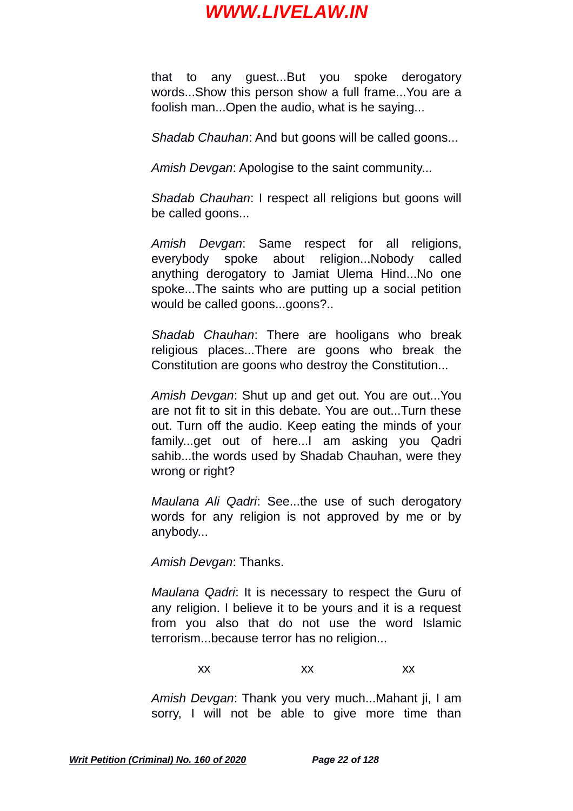that to any guest...But you spoke derogatory words...Show this person show a full frame...You are a foolish man...Open the audio, what is he saying...

*Shadab Chauhan*: And but goons will be called goons...

*Amish Devgan*: Apologise to the saint community...

*Shadab Chauhan*: I respect all religions but goons will be called goons...

*Amish Devgan*: Same respect for all religions, everybody spoke about religion...Nobody called anything derogatory to Jamiat Ulema Hind...No one spoke...The saints who are putting up a social petition would be called goons...goons?..

*Shadab Chauhan*: There are hooligans who break religious places...There are goons who break the Constitution are goons who destroy the Constitution...

*Amish Devgan*: Shut up and get out. You are out...You are not fit to sit in this debate. You are out...Turn these out. Turn off the audio. Keep eating the minds of your family...get out of here...I am asking you Qadri sahib...the words used by Shadab Chauhan, were they wrong or right?

*Maulana Ali Qadri*: See...the use of such derogatory words for any religion is not approved by me or by anybody...

*Amish Devgan*: Thanks.

*Maulana Qadri*: It is necessary to respect the Guru of any religion. I believe it to be yours and it is a request from you also that do not use the word Islamic terrorism...because terror has no religion...

xx xx xx

*Amish Devgan*: Thank you very much...Mahant ji, I am sorry, I will not be able to give more time than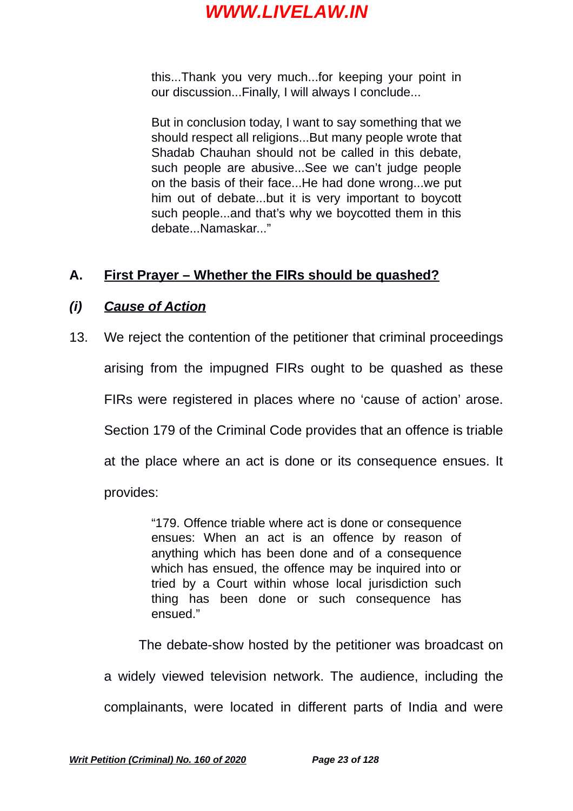this...Thank you very much...for keeping your point in our discussion...Finally, I will always I conclude...

But in conclusion today, I want to say something that we should respect all religions...But many people wrote that Shadab Chauhan should not be called in this debate, such people are abusive...See we can't judge people on the basis of their face...He had done wrong...we put him out of debate...but it is very important to boycott such people...and that's why we boycotted them in this debate. Namaskar..."

### **A. First Prayer – Whether the FIRs should be quashed?**

#### *(i) Cause of Action*

13. We reject the contention of the petitioner that criminal proceedings arising from the impugned FIRs ought to be quashed as these FIRs were registered in places where no 'cause of action' arose. Section 179 of the Criminal Code provides that an offence is triable at the place where an act is done or its consequence ensues. It provides:

> "179. Offence triable where act is done or consequence ensues: When an act is an offence by reason of anything which has been done and of a consequence which has ensued, the offence may be inquired into or tried by a Court within whose local jurisdiction such thing has been done or such consequence has ensued."

The debate-show hosted by the petitioner was broadcast on a widely viewed television network. The audience, including the complainants, were located in different parts of India and were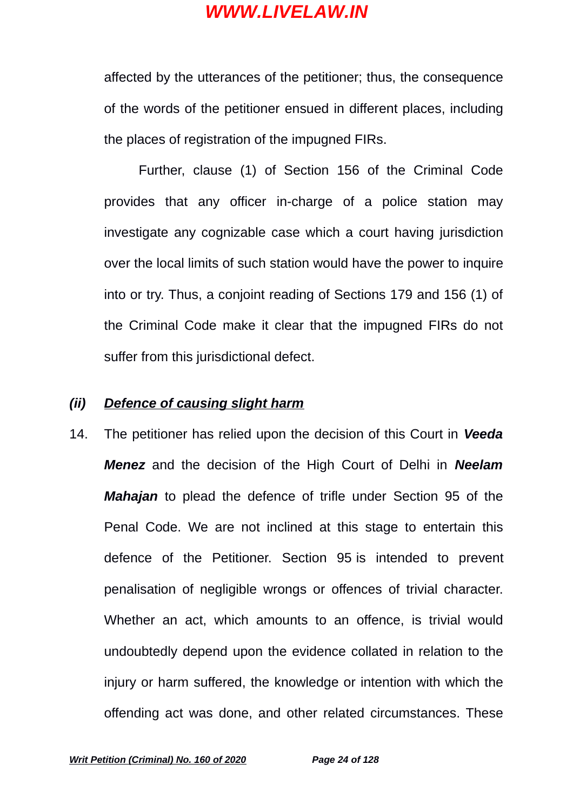affected by the utterances of the petitioner; thus, the consequence of the words of the petitioner ensued in different places, including the places of registration of the impugned FIRs.

Further, clause (1) of Section 156 of the Criminal Code provides that any officer in-charge of a police station may investigate any cognizable case which a court having jurisdiction over the local limits of such station would have the power to inquire into or try. Thus, a conjoint reading of Sections 179 and 156 (1) of the Criminal Code make it clear that the impugned FIRs do not suffer from this jurisdictional defect.

#### *(ii) Defence of causing slight harm*

14. The petitioner has relied upon the decision of this Court in *Veeda Menez* and the decision of the High Court of Delhi in *Neelam Mahajan* to plead the defence of trifle under Section 95 of the Penal Code. We are not inclined at this stage to entertain this defence of the Petitioner. Section 95 is intended to prevent penalisation of negligible wrongs or offences of trivial character. Whether an act, which amounts to an offence, is trivial would undoubtedly depend upon the evidence collated in relation to the injury or harm suffered, the knowledge or intention with which the offending act was done, and other related circumstances. These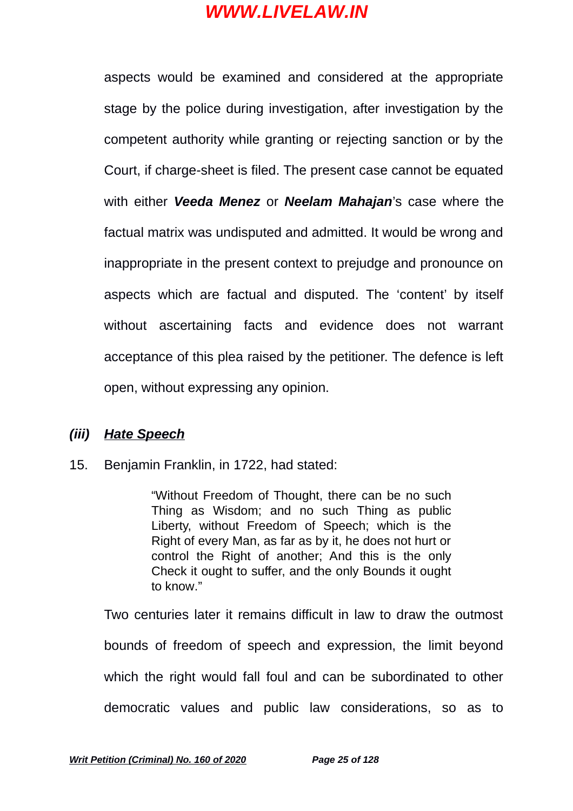aspects would be examined and considered at the appropriate stage by the police during investigation, after investigation by the competent authority while granting or rejecting sanction or by the Court, if charge-sheet is filed. The present case cannot be equated with either *Veeda Menez* or *Neelam Mahajan*'s case where the factual matrix was undisputed and admitted. It would be wrong and inappropriate in the present context to prejudge and pronounce on aspects which are factual and disputed. The 'content' by itself without ascertaining facts and evidence does not warrant acceptance of this plea raised by the petitioner. The defence is left open, without expressing any opinion.

#### *(iii) Hate Speech*

15. Benjamin Franklin, in 1722, had stated:

"Without Freedom of Thought, there can be no such Thing as Wisdom; and no such Thing as public Liberty, without Freedom of Speech; which is the Right of every Man, as far as by it, he does not hurt or control the Right of another; And this is the only Check it ought to suffer, and the only Bounds it ought to know."

Two centuries later it remains difficult in law to draw the outmost bounds of freedom of speech and expression, the limit beyond which the right would fall foul and can be subordinated to other democratic values and public law considerations, so as to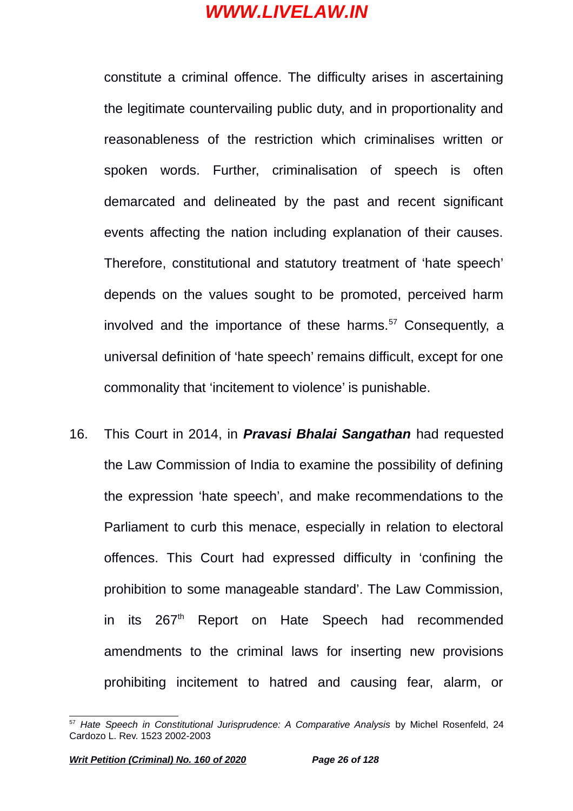constitute a criminal offence. The difficulty arises in ascertaining the legitimate countervailing public duty, and in proportionality and reasonableness of the restriction which criminalises written or spoken words. Further, criminalisation of speech is often demarcated and delineated by the past and recent significant events affecting the nation including explanation of their causes. Therefore, constitutional and statutory treatment of 'hate speech' depends on the values sought to be promoted, perceived harm involved and the importance of these harms.<sup>[57](#page-25-0)</sup> Consequently, a universal definition of 'hate speech' remains difficult, except for one commonality that 'incitement to violence' is punishable.

16. This Court in 2014, in *Pravasi Bhalai Sangathan* had requested the Law Commission of India to examine the possibility of defining the expression 'hate speech', and make recommendations to the Parliament to curb this menace, especially in relation to electoral offences. This Court had expressed difficulty in 'confining the prohibition to some manageable standard'. The Law Commission, in its 267<sup>th</sup> Report on Hate Speech had recommended amendments to the criminal laws for inserting new provisions prohibiting incitement to hatred and causing fear, alarm, or

<span id="page-25-0"></span><sup>57</sup> *Hate Speech in Constitutional Jurisprudence: A Comparative Analysis* by Michel Rosenfeld, 24 Cardozo L. Rev. 1523 2002-2003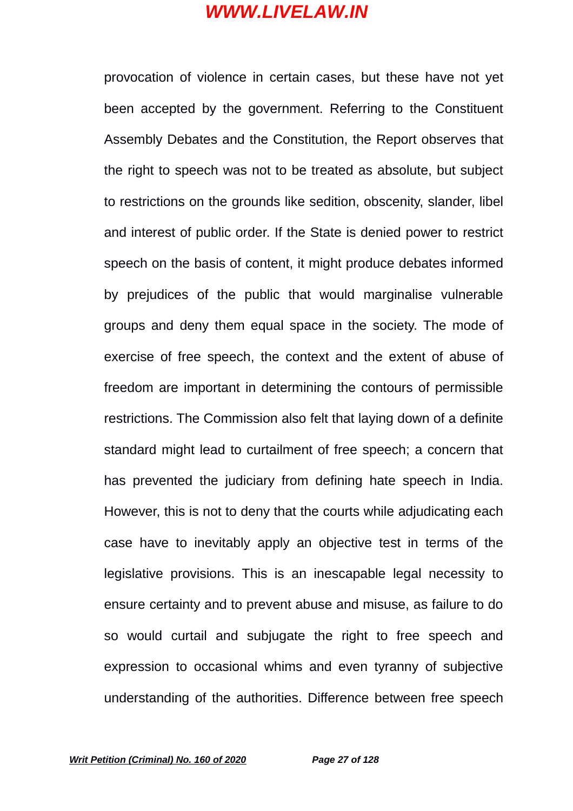provocation of violence in certain cases, but these have not yet been accepted by the government. Referring to the Constituent Assembly Debates and the Constitution, the Report observes that the right to speech was not to be treated as absolute, but subject to restrictions on the grounds like sedition, obscenity, slander, libel and interest of public order. If the State is denied power to restrict speech on the basis of content, it might produce debates informed by prejudices of the public that would marginalise vulnerable groups and deny them equal space in the society. The mode of exercise of free speech, the context and the extent of abuse of freedom are important in determining the contours of permissible restrictions. The Commission also felt that laying down of a definite standard might lead to curtailment of free speech; a concern that has prevented the judiciary from defining hate speech in India. However, this is not to deny that the courts while adjudicating each case have to inevitably apply an objective test in terms of the legislative provisions. This is an inescapable legal necessity to ensure certainty and to prevent abuse and misuse, as failure to do so would curtail and subjugate the right to free speech and expression to occasional whims and even tyranny of subjective understanding of the authorities. Difference between free speech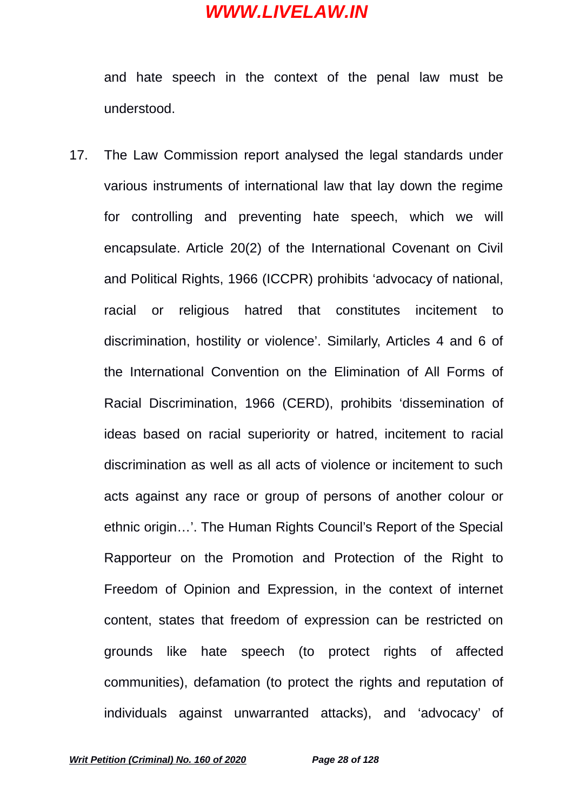and hate speech in the context of the penal law must be understood.

17. The Law Commission report analysed the legal standards under various instruments of international law that lay down the regime for controlling and preventing hate speech, which we will encapsulate. Article 20(2) of the International Covenant on Civil and Political Rights, 1966 (ICCPR) prohibits 'advocacy of national, racial or religious hatred that constitutes incitement to discrimination, hostility or violence'. Similarly, Articles 4 and 6 of the International Convention on the Elimination of All Forms of Racial Discrimination, 1966 (CERD), prohibits 'dissemination of ideas based on racial superiority or hatred, incitement to racial discrimination as well as all acts of violence or incitement to such acts against any race or group of persons of another colour or ethnic origin…'. The Human Rights Council's Report of the Special Rapporteur on the Promotion and Protection of the Right to Freedom of Opinion and Expression, in the context of internet content, states that freedom of expression can be restricted on grounds like hate speech (to protect rights of affected communities), defamation (to protect the rights and reputation of individuals against unwarranted attacks), and 'advocacy' of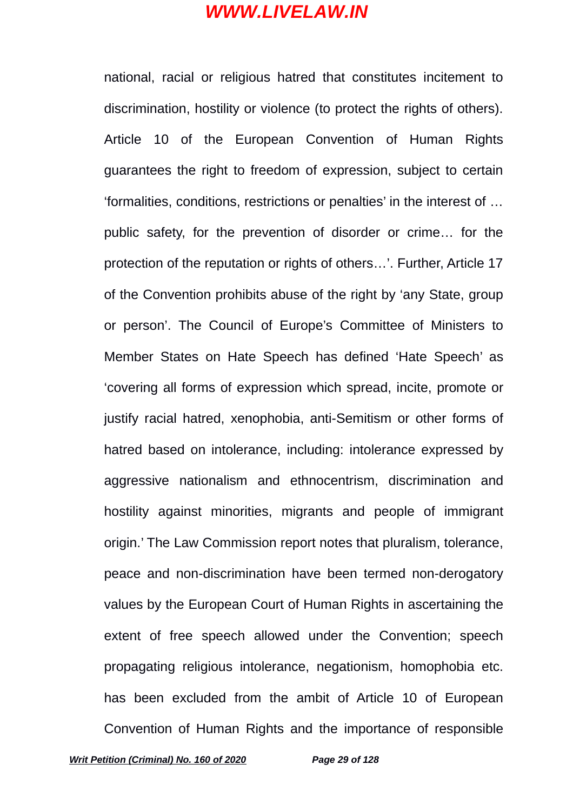national, racial or religious hatred that constitutes incitement to discrimination, hostility or violence (to protect the rights of others). Article 10 of the European Convention of Human Rights guarantees the right to freedom of expression, subject to certain 'formalities, conditions, restrictions or penalties' in the interest of … public safety, for the prevention of disorder or crime… for the protection of the reputation or rights of others…'. Further, Article 17 of the Convention prohibits abuse of the right by 'any State, group or person'. The Council of Europe's Committee of Ministers to Member States on Hate Speech has defined 'Hate Speech' as 'covering all forms of expression which spread, incite, promote or justify racial hatred, xenophobia, anti-Semitism or other forms of hatred based on intolerance, including: intolerance expressed by aggressive nationalism and ethnocentrism, discrimination and hostility against minorities, migrants and people of immigrant origin.' The Law Commission report notes that pluralism, tolerance, peace and non-discrimination have been termed non-derogatory values by the European Court of Human Rights in ascertaining the extent of free speech allowed under the Convention; speech propagating religious intolerance, negationism, homophobia etc. has been excluded from the ambit of Article 10 of European Convention of Human Rights and the importance of responsible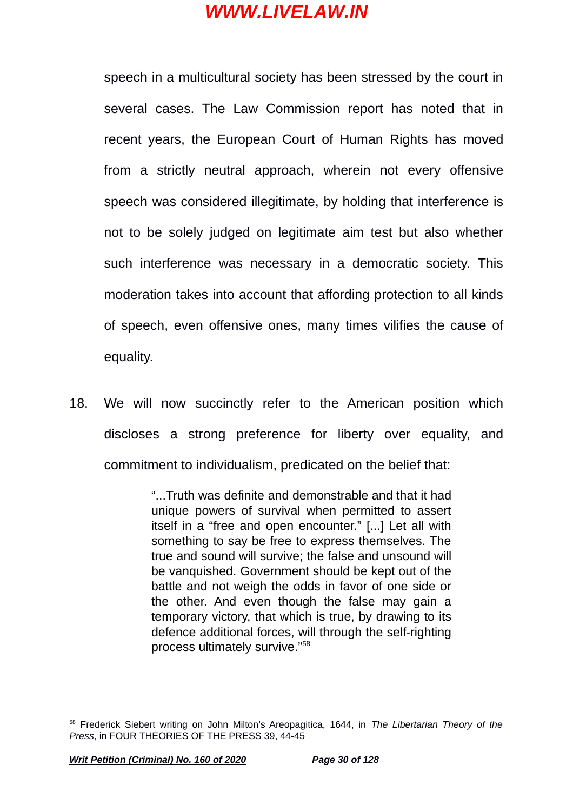speech in a multicultural society has been stressed by the court in several cases. The Law Commission report has noted that in recent years, the European Court of Human Rights has moved from a strictly neutral approach, wherein not every offensive speech was considered illegitimate, by holding that interference is not to be solely judged on legitimate aim test but also whether such interference was necessary in a democratic society. This moderation takes into account that affording protection to all kinds of speech, even offensive ones, many times vilifies the cause of equality.

18. We will now succinctly refer to the American position which discloses a strong preference for liberty over equality, and commitment to individualism, predicated on the belief that:

> "...Truth was definite and demonstrable and that it had unique powers of survival when permitted to assert itself in a "free and open encounter." [...] Let all with something to say be free to express themselves. The true and sound will survive; the false and unsound will be vanquished. Government should be kept out of the battle and not weigh the odds in favor of one side or the other. And even though the false may gain a temporary victory, that which is true, by drawing to its defence additional forces, will through the self-righting process ultimately survive."[58](#page-29-0)

<span id="page-29-0"></span><sup>58</sup> Frederick Siebert writing on John Milton's Areopagitica, 1644, in *The Libertarian Theory of the Press*, in FOUR THEORIES OF THE PRESS 39, 44-45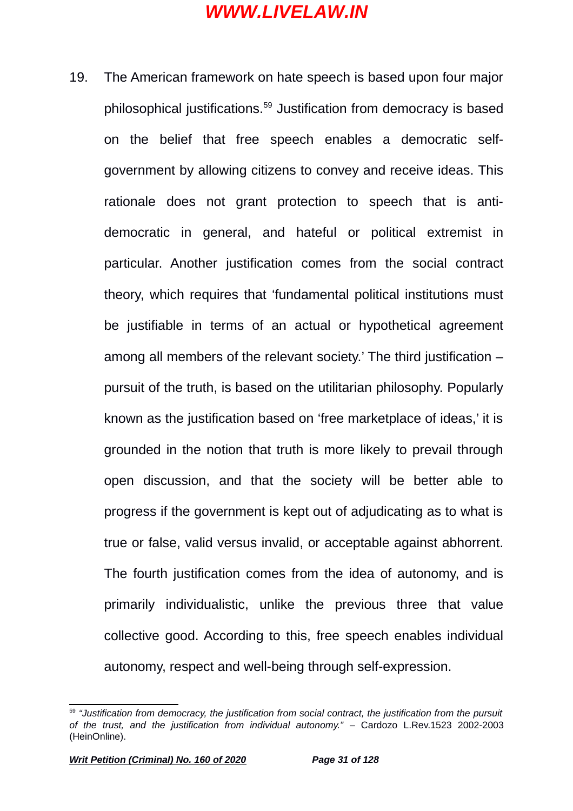19. The American framework on hate speech is based upon four major philosophical justifications.[59](#page-30-0) Justification from democracy is based on the belief that free speech enables a democratic selfgovernment by allowing citizens to convey and receive ideas. This rationale does not grant protection to speech that is antidemocratic in general, and hateful or political extremist in particular. Another justification comes from the social contract theory, which requires that 'fundamental political institutions must be justifiable in terms of an actual or hypothetical agreement among all members of the relevant society.' The third justification – pursuit of the truth, is based on the utilitarian philosophy. Popularly known as the justification based on 'free marketplace of ideas,' it is grounded in the notion that truth is more likely to prevail through open discussion, and that the society will be better able to progress if the government is kept out of adjudicating as to what is true or false, valid versus invalid, or acceptable against abhorrent. The fourth justification comes from the idea of autonomy, and is primarily individualistic, unlike the previous three that value collective good. According to this, free speech enables individual autonomy, respect and well-being through self-expression.

<span id="page-30-0"></span><sup>59</sup> *"Justification from democracy, the justification from social contract, the justification from the pursuit of the trust, and the justification from individual autonomy."* – Cardozo L.Rev.1523 2002-2003 (HeinOnline).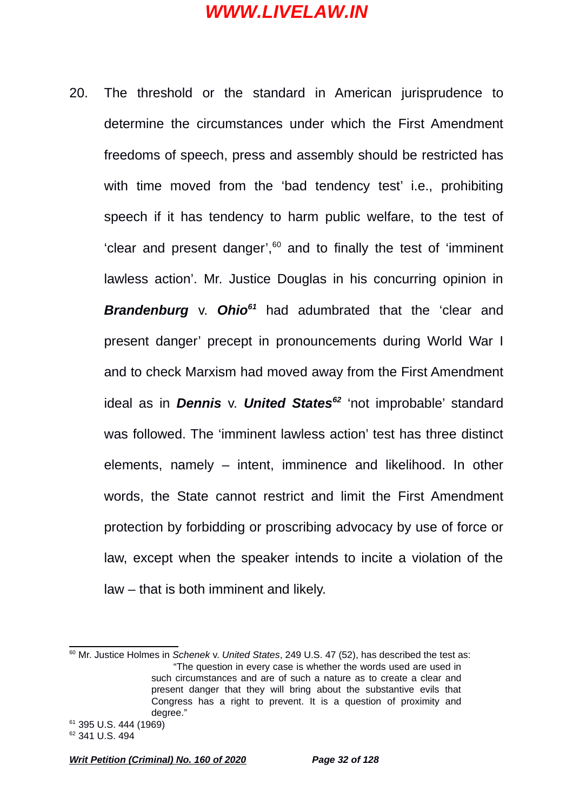20. The threshold or the standard in American jurisprudence to determine the circumstances under which the First Amendment freedoms of speech, press and assembly should be restricted has with time moved from the 'bad tendency test' i.e., prohibiting speech if it has tendency to harm public welfare, to the test of 'clear and present danger', $60$  and to finally the test of 'imminent lawless action'. Mr. Justice Douglas in his concurring opinion in *Brandenburg* v. *Ohio[61](#page-31-1)* had adumbrated that the 'clear and present danger' precept in pronouncements during World War I and to check Marxism had moved away from the First Amendment ideal as in *Dennis* v. *United States[62](#page-31-2)* 'not improbable' standard was followed. The 'imminent lawless action' test has three distinct elements, namely – intent, imminence and likelihood. In other words, the State cannot restrict and limit the First Amendment protection by forbidding or proscribing advocacy by use of force or law, except when the speaker intends to incite a violation of the law – that is both imminent and likely.

<span id="page-31-2"></span><span id="page-31-1"></span>*Writ Petition (Criminal) No. 160 of 2020 Page 32 of 128*

<span id="page-31-0"></span><sup>60</sup> Mr. Justice Holmes in *Schenek* v. *United States*, 249 U.S. 47 (52), has described the test as: "The question in every case is whether the words used are used in such circumstances and are of such a nature as to create a clear and present danger that they will bring about the substantive evils that Congress has a right to prevent. It is a question of proximity and degree." <sup>61</sup> 395 U.S. 444 (1969)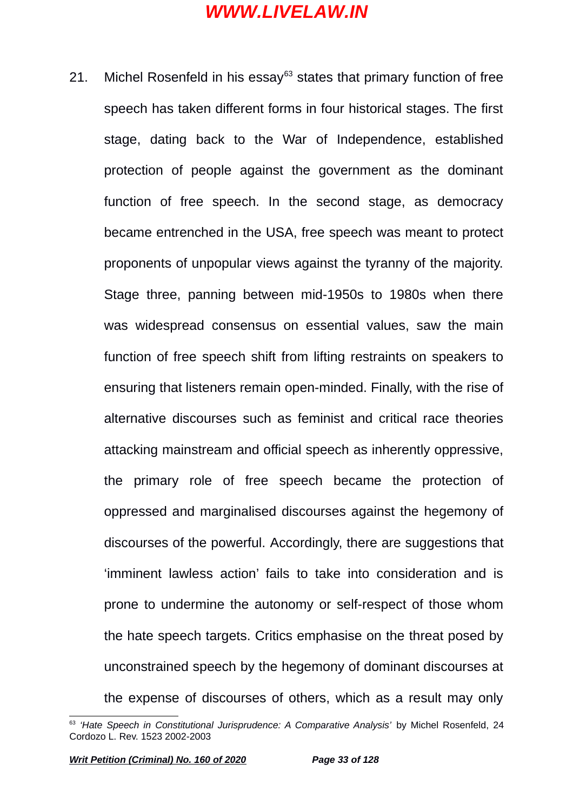21. Michel Rosenfeld in his essay<sup>[63](#page-32-0)</sup> states that primary function of free speech has taken different forms in four historical stages. The first stage, dating back to the War of Independence, established protection of people against the government as the dominant function of free speech. In the second stage, as democracy became entrenched in the USA, free speech was meant to protect proponents of unpopular views against the tyranny of the majority. Stage three, panning between mid-1950s to 1980s when there was widespread consensus on essential values, saw the main function of free speech shift from lifting restraints on speakers to ensuring that listeners remain open-minded. Finally, with the rise of alternative discourses such as feminist and critical race theories attacking mainstream and official speech as inherently oppressive, the primary role of free speech became the protection of oppressed and marginalised discourses against the hegemony of discourses of the powerful. Accordingly, there are suggestions that 'imminent lawless action' fails to take into consideration and is prone to undermine the autonomy or self-respect of those whom the hate speech targets. Critics emphasise on the threat posed by unconstrained speech by the hegemony of dominant discourses at the expense of discourses of others, which as a result may only

<span id="page-32-0"></span><sup>&</sup>lt;sup>63</sup> 'Hate Speech in Constitutional Jurisprudence: A Comparative Analysis' by Michel Rosenfeld, 24 Cordozo L. Rev. 1523 2002-2003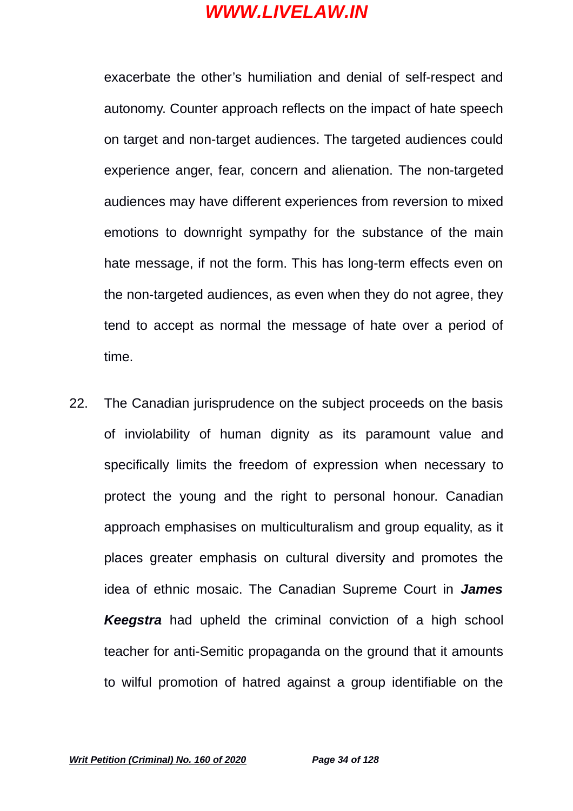exacerbate the other's humiliation and denial of self-respect and autonomy. Counter approach reflects on the impact of hate speech on target and non-target audiences. The targeted audiences could experience anger, fear, concern and alienation. The non-targeted audiences may have different experiences from reversion to mixed emotions to downright sympathy for the substance of the main hate message, if not the form. This has long-term effects even on the non-targeted audiences, as even when they do not agree, they tend to accept as normal the message of hate over a period of time.

22. The Canadian jurisprudence on the subject proceeds on the basis of inviolability of human dignity as its paramount value and specifically limits the freedom of expression when necessary to protect the young and the right to personal honour. Canadian approach emphasises on multiculturalism and group equality, as it places greater emphasis on cultural diversity and promotes the idea of ethnic mosaic. The Canadian Supreme Court in *James Keegstra* had upheld the criminal conviction of a high school teacher for anti-Semitic propaganda on the ground that it amounts to wilful promotion of hatred against a group identifiable on the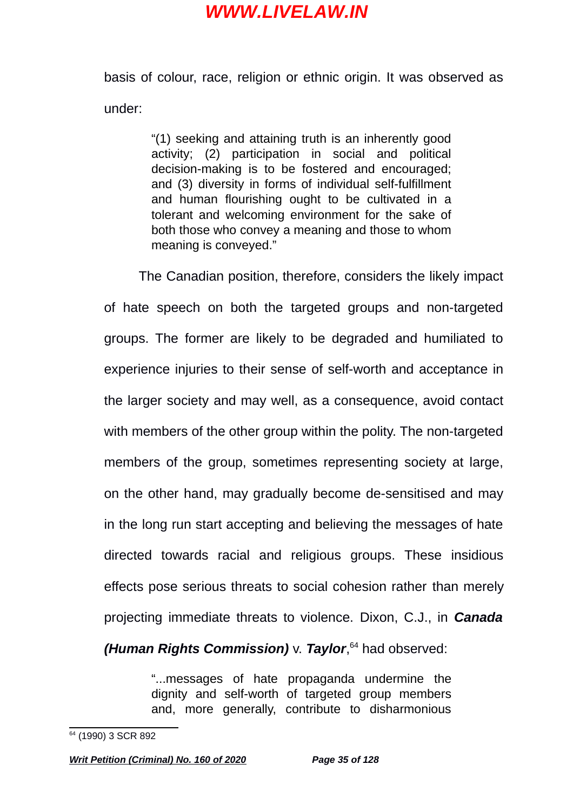basis of colour, race, religion or ethnic origin. It was observed as under:

> "(1) seeking and attaining truth is an inherently good activity; (2) participation in social and political decision-making is to be fostered and encouraged; and (3) diversity in forms of individual self-fulfillment and human flourishing ought to be cultivated in a tolerant and welcoming environment for the sake of both those who convey a meaning and those to whom meaning is conveyed."

The Canadian position, therefore, considers the likely impact of hate speech on both the targeted groups and non-targeted groups. The former are likely to be degraded and humiliated to experience injuries to their sense of self-worth and acceptance in the larger society and may well, as a consequence, avoid contact with members of the other group within the polity. The non-targeted members of the group, sometimes representing society at large, on the other hand, may gradually become de-sensitised and may in the long run start accepting and believing the messages of hate directed towards racial and religious groups. These insidious effects pose serious threats to social cohesion rather than merely projecting immediate threats to violence. Dixon, C.J., in *Canada*

*(Human Rights Commission)* v. *Taylor*, [64](#page-34-0) had observed:

"...messages of hate propaganda undermine the dignity and self-worth of targeted group members and, more generally, contribute to disharmonious

<span id="page-34-0"></span><sup>&</sup>lt;sup>64</sup> (1990) 3 SCR 892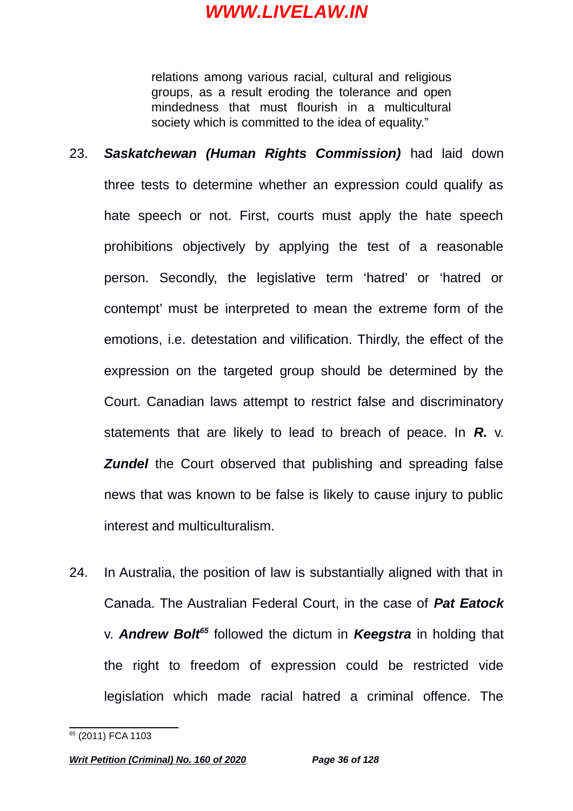relations among various racial, cultural and religious groups, as a result eroding the tolerance and open mindedness that must flourish in a multicultural society which is committed to the idea of equality."

- 23. *Saskatchewan (Human Rights Commission)* had laid down three tests to determine whether an expression could qualify as hate speech or not. First, courts must apply the hate speech prohibitions objectively by applying the test of a reasonable person. Secondly, the legislative term 'hatred' or 'hatred or contempt' must be interpreted to mean the extreme form of the emotions, i.e. detestation and vilification. Thirdly, the effect of the expression on the targeted group should be determined by the Court. Canadian laws attempt to restrict false and discriminatory statements that are likely to lead to breach of peace. In *R.* v. *Zundel* the Court observed that publishing and spreading false news that was known to be false is likely to cause injury to public interest and multiculturalism.
- 24. In Australia, the position of law is substantially aligned with that in Canada. The Australian Federal Court, in the case of *Pat Eatock* v. *Andrew Bolt[65](#page-35-0)* followed the dictum in *Keegstra* in holding that the right to freedom of expression could be restricted vide legislation which made racial hatred a criminal offence. The

<span id="page-35-0"></span><sup>&</sup>lt;sup>65</sup> (2011) FCA 1103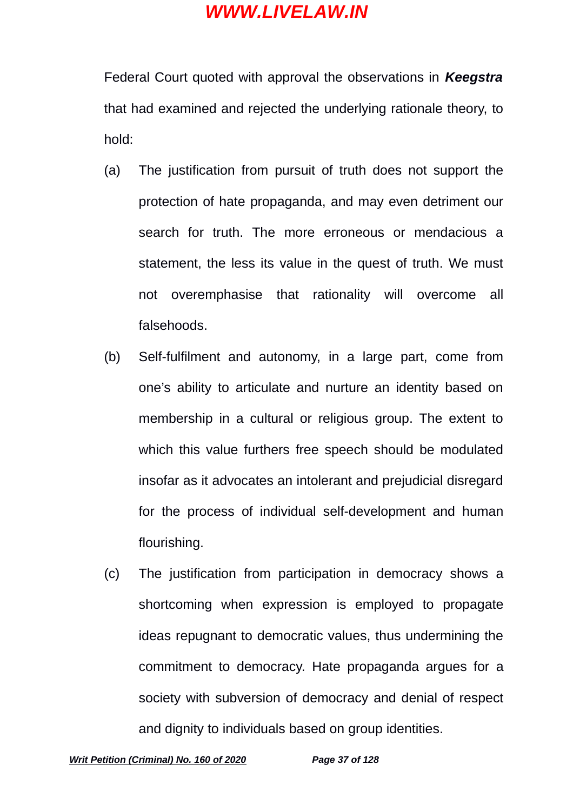Federal Court quoted with approval the observations in *Keegstra* that had examined and rejected the underlying rationale theory, to hold:

- (a) The justification from pursuit of truth does not support the protection of hate propaganda, and may even detriment our search for truth. The more erroneous or mendacious a statement, the less its value in the quest of truth. We must not overemphasise that rationality will overcome all falsehoods.
- (b) Self-fulfilment and autonomy, in a large part, come from one's ability to articulate and nurture an identity based on membership in a cultural or religious group. The extent to which this value furthers free speech should be modulated insofar as it advocates an intolerant and prejudicial disregard for the process of individual self-development and human flourishing.
- (c) The justification from participation in democracy shows a shortcoming when expression is employed to propagate ideas repugnant to democratic values, thus undermining the commitment to democracy. Hate propaganda argues for a society with subversion of democracy and denial of respect and dignity to individuals based on group identities.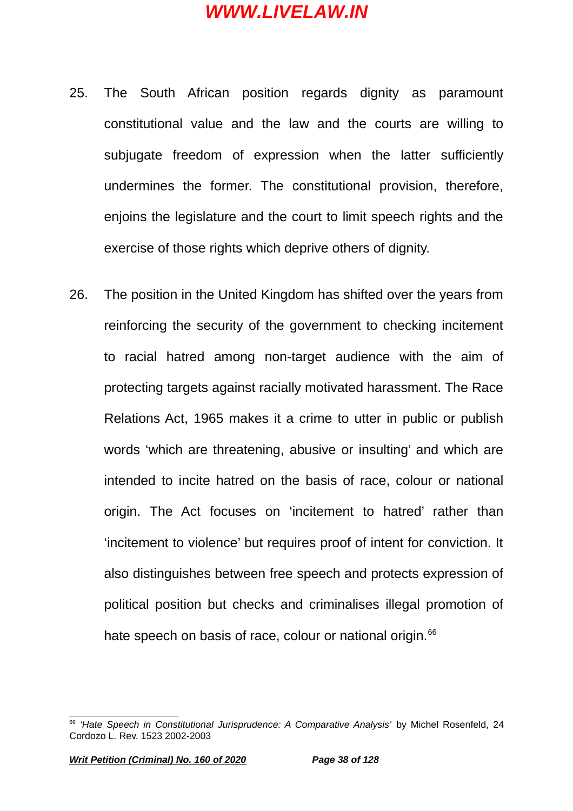- 25. The South African position regards dignity as paramount constitutional value and the law and the courts are willing to subjugate freedom of expression when the latter sufficiently undermines the former. The constitutional provision, therefore, enjoins the legislature and the court to limit speech rights and the exercise of those rights which deprive others of dignity.
- 26. The position in the United Kingdom has shifted over the years from reinforcing the security of the government to checking incitement to racial hatred among non-target audience with the aim of protecting targets against racially motivated harassment. The Race Relations Act, 1965 makes it a crime to utter in public or publish words 'which are threatening, abusive or insulting' and which are intended to incite hatred on the basis of race, colour or national origin. The Act focuses on 'incitement to hatred' rather than 'incitement to violence' but requires proof of intent for conviction. It also distinguishes between free speech and protects expression of political position but checks and criminalises illegal promotion of hate speech on basis of race, colour or national origin.<sup>[66](#page-37-0)</sup>

<span id="page-37-0"></span><sup>&</sup>lt;sup>66</sup> 'Hate Speech in Constitutional Jurisprudence: A Comparative Analysis' by Michel Rosenfeld, 24 Cordozo L. Rev. 1523 2002-2003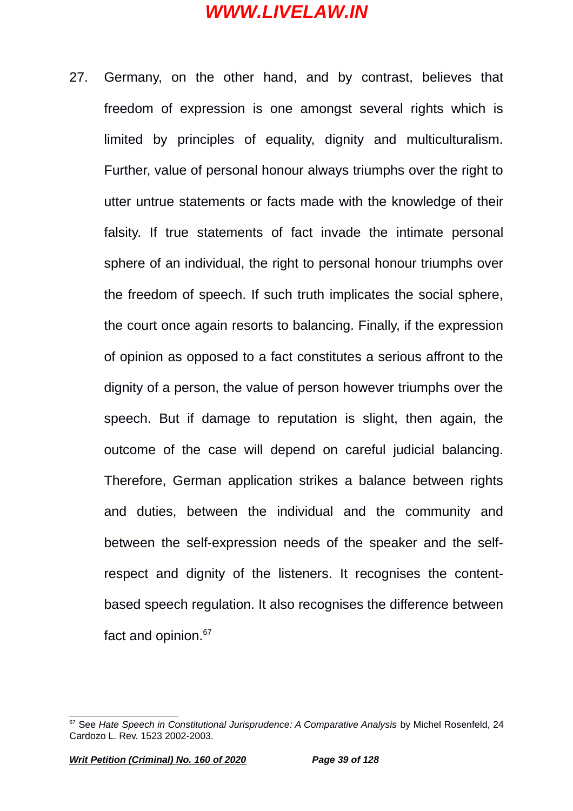27. Germany, on the other hand, and by contrast, believes that freedom of expression is one amongst several rights which is limited by principles of equality, dignity and multiculturalism. Further, value of personal honour always triumphs over the right to utter untrue statements or facts made with the knowledge of their falsity. If true statements of fact invade the intimate personal sphere of an individual, the right to personal honour triumphs over the freedom of speech. If such truth implicates the social sphere, the court once again resorts to balancing. Finally, if the expression of opinion as opposed to a fact constitutes a serious affront to the dignity of a person, the value of person however triumphs over the speech. But if damage to reputation is slight, then again, the outcome of the case will depend on careful judicial balancing. Therefore, German application strikes a balance between rights and duties, between the individual and the community and between the self-expression needs of the speaker and the selfrespect and dignity of the listeners. It recognises the contentbased speech regulation. It also recognises the difference between fact and opinion.<sup>[67](#page-38-0)</sup>

<span id="page-38-0"></span><sup>67</sup> See *Hate Speech in Constitutional Jurisprudence: A Comparative Analysis* by Michel Rosenfeld, 24 Cardozo L. Rev. 1523 2002-2003.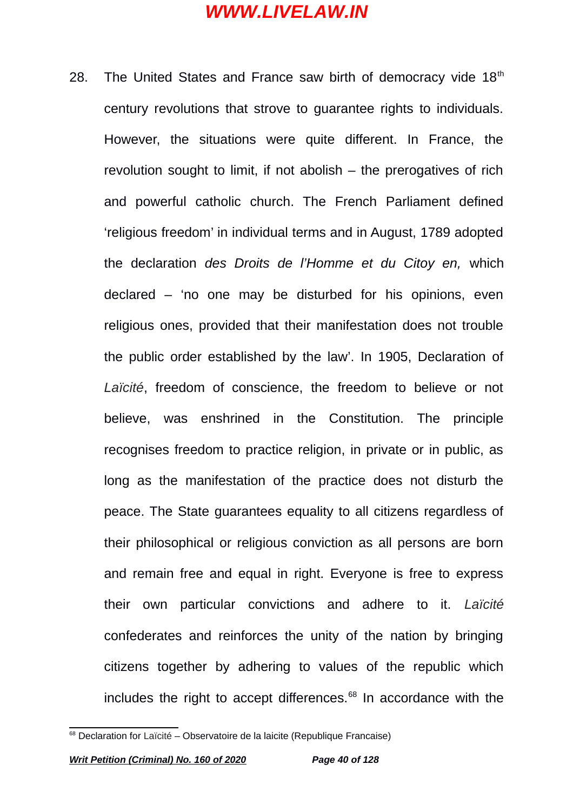28. The United States and France saw birth of democracy vide  $18<sup>th</sup>$ century revolutions that strove to guarantee rights to individuals. However, the situations were quite different. In France, the revolution sought to limit, if not abolish – the prerogatives of rich and powerful catholic church. The French Parliament defined 'religious freedom' in individual terms and in August, 1789 adopted the declaration *des Droits de l'Homme et du Citoy en,* which declared – 'no one may be disturbed for his opinions, even religious ones, provided that their manifestation does not trouble the public order established by the law'. In 1905, Declaration of *Laïcité*, freedom of conscience, the freedom to believe or not believe, was enshrined in the Constitution. The principle recognises freedom to practice religion, in private or in public, as long as the manifestation of the practice does not disturb the peace. The State guarantees equality to all citizens regardless of their philosophical or religious conviction as all persons are born and remain free and equal in right. Everyone is free to express their own particular convictions and adhere to it. *Laïcité* confederates and reinforces the unity of the nation by bringing citizens together by adhering to values of the republic which includes the right to accept differences.<sup>[68](#page-39-0)</sup> In accordance with the

<span id="page-39-0"></span><sup>&</sup>lt;sup>68</sup> Declaration for Laïcité – Observatoire de la laicite (Republique Francaise)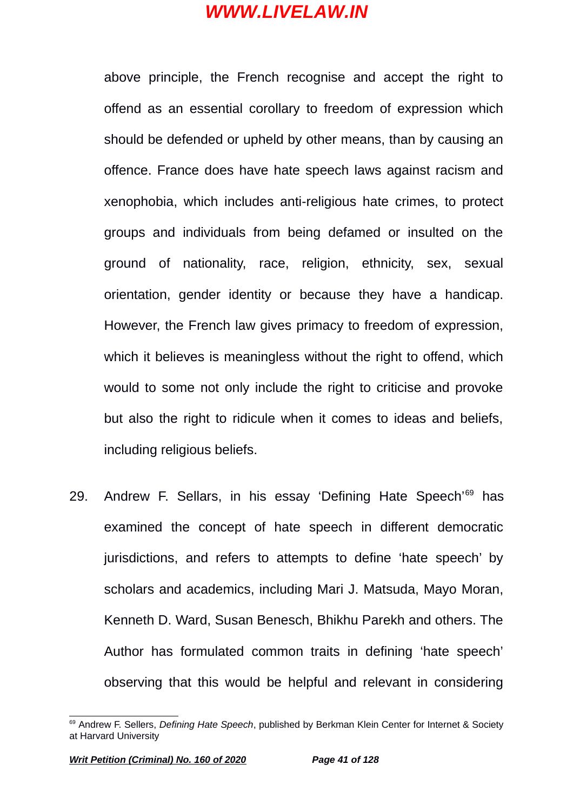above principle, the French recognise and accept the right to offend as an essential corollary to freedom of expression which should be defended or upheld by other means, than by causing an offence. France does have hate speech laws against racism and xenophobia, which includes anti-religious hate crimes, to protect groups and individuals from being defamed or insulted on the ground of nationality, race, religion, ethnicity, sex, sexual orientation, gender identity or because they have a handicap. However, the French law gives primacy to freedom of expression, which it believes is meaningless without the right to offend, which would to some not only include the right to criticise and provoke but also the right to ridicule when it comes to ideas and beliefs, including religious beliefs.

29. Andrew F. Sellars, in his essay 'Defining Hate Speech'<sup>[69](#page-40-0)</sup> has examined the concept of hate speech in different democratic jurisdictions, and refers to attempts to define 'hate speech' by scholars and academics, including Mari J. Matsuda, Mayo Moran, Kenneth D. Ward, Susan Benesch, Bhikhu Parekh and others. The Author has formulated common traits in defining 'hate speech' observing that this would be helpful and relevant in considering

<span id="page-40-0"></span><sup>69</sup> Andrew F. Sellers, *Defining Hate Speech*, published by Berkman Klein Center for Internet & Society at Harvard University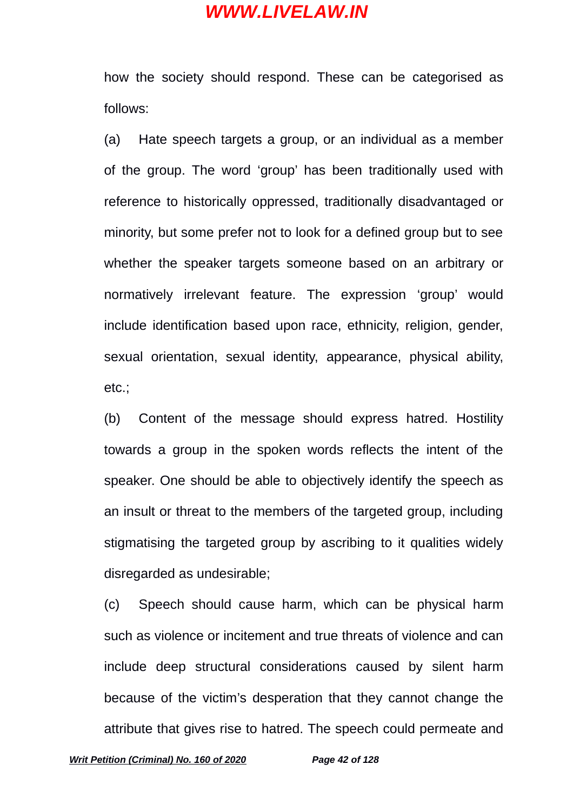how the society should respond. These can be categorised as follows:

(a) Hate speech targets a group, or an individual as a member of the group. The word 'group' has been traditionally used with reference to historically oppressed, traditionally disadvantaged or minority, but some prefer not to look for a defined group but to see whether the speaker targets someone based on an arbitrary or normatively irrelevant feature. The expression 'group' would include identification based upon race, ethnicity, religion, gender, sexual orientation, sexual identity, appearance, physical ability, etc.;

(b) Content of the message should express hatred. Hostility towards a group in the spoken words reflects the intent of the speaker. One should be able to objectively identify the speech as an insult or threat to the members of the targeted group, including stigmatising the targeted group by ascribing to it qualities widely disregarded as undesirable;

(c) Speech should cause harm, which can be physical harm such as violence or incitement and true threats of violence and can include deep structural considerations caused by silent harm because of the victim's desperation that they cannot change the attribute that gives rise to hatred. The speech could permeate and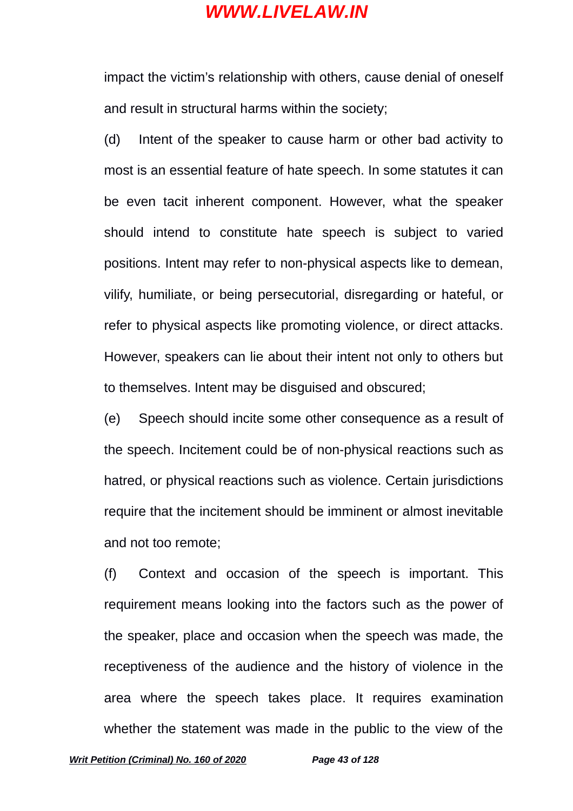impact the victim's relationship with others, cause denial of oneself and result in structural harms within the society;

(d) Intent of the speaker to cause harm or other bad activity to most is an essential feature of hate speech. In some statutes it can be even tacit inherent component. However, what the speaker should intend to constitute hate speech is subject to varied positions. Intent may refer to non-physical aspects like to demean, vilify, humiliate, or being persecutorial, disregarding or hateful, or refer to physical aspects like promoting violence, or direct attacks. However, speakers can lie about their intent not only to others but to themselves. Intent may be disguised and obscured;

(e) Speech should incite some other consequence as a result of the speech. Incitement could be of non-physical reactions such as hatred, or physical reactions such as violence. Certain jurisdictions require that the incitement should be imminent or almost inevitable and not too remote;

(f) Context and occasion of the speech is important. This requirement means looking into the factors such as the power of the speaker, place and occasion when the speech was made, the receptiveness of the audience and the history of violence in the area where the speech takes place. It requires examination whether the statement was made in the public to the view of the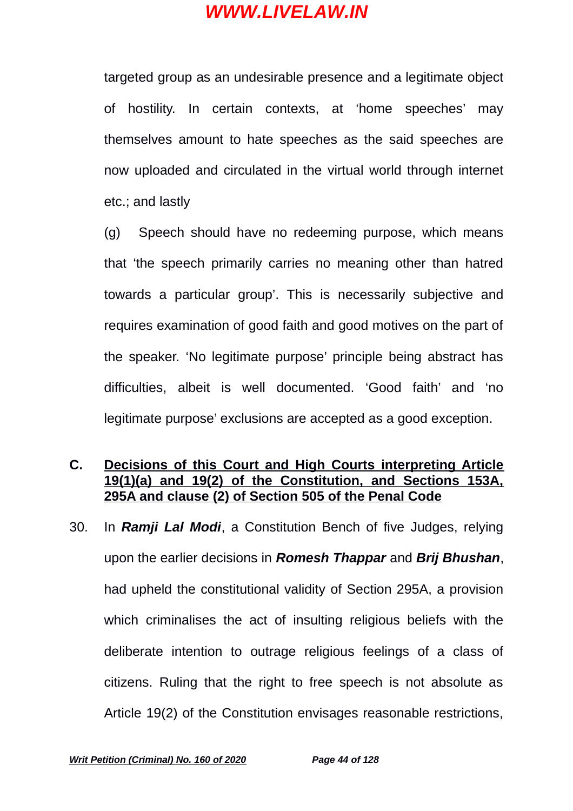targeted group as an undesirable presence and a legitimate object of hostility. In certain contexts, at 'home speeches' may themselves amount to hate speeches as the said speeches are now uploaded and circulated in the virtual world through internet etc.; and lastly

(g) Speech should have no redeeming purpose, which means that 'the speech primarily carries no meaning other than hatred towards a particular group'. This is necessarily subjective and requires examination of good faith and good motives on the part of the speaker. 'No legitimate purpose' principle being abstract has difficulties, albeit is well documented. 'Good faith' and 'no legitimate purpose' exclusions are accepted as a good exception.

#### **C. Decisions of this Court and High Courts interpreting Article 19(1)(a) and 19(2) of the Constitution, and Sections 153A, 295A and clause (2) of Section 505 of the Penal Code**

30. In *Ramji Lal Modi*, a Constitution Bench of five Judges, relying upon the earlier decisions in *Romesh Thappar* and *Brij Bhushan*, had upheld the constitutional validity of Section 295A, a provision which criminalises the act of insulting religious beliefs with the deliberate intention to outrage religious feelings of a class of citizens. Ruling that the right to free speech is not absolute as Article 19(2) of the Constitution envisages reasonable restrictions,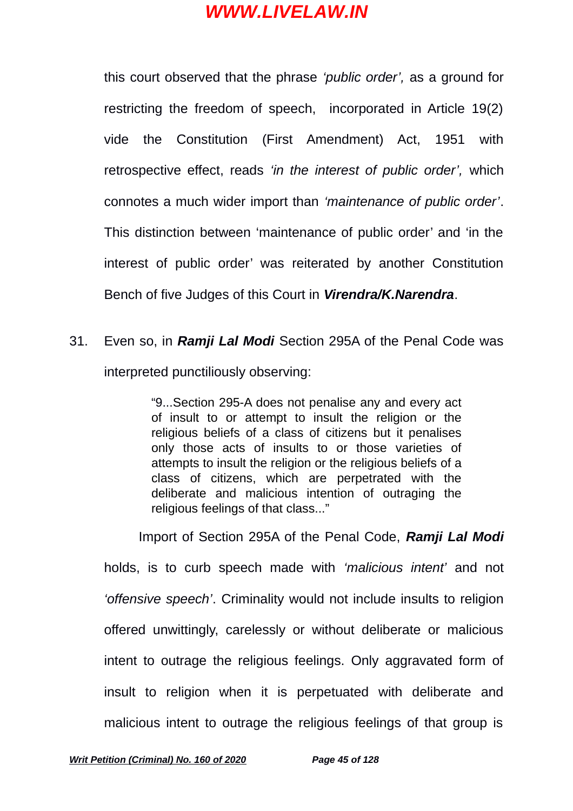this court observed that the phrase *'public order',* as a ground for restricting the freedom of speech, incorporated in Article 19(2) vide the Constitution (First Amendment) Act, 1951 with retrospective effect, reads *'in the interest of public order',* which connotes a much wider import than *'maintenance of public order'*. This distinction between 'maintenance of public order' and 'in the interest of public order' was reiterated by another Constitution Bench of five Judges of this Court in *Virendra/K.Narendra*.

31. Even so, in *Ramji Lal Modi* Section 295A of the Penal Code was interpreted punctiliously observing:

> "9...Section 295-A does not penalise any and every act of insult to or attempt to insult the religion or the religious beliefs of a class of citizens but it penalises only those acts of insults to or those varieties of attempts to insult the religion or the religious beliefs of a class of citizens, which are perpetrated with the deliberate and malicious intention of outraging the religious feelings of that class..."

Import of Section 295A of the Penal Code, *Ramji Lal Modi* holds, is to curb speech made with *'malicious intent'* and not *'offensive speech'*. Criminality would not include insults to religion offered unwittingly, carelessly or without deliberate or malicious intent to outrage the religious feelings. Only aggravated form of insult to religion when it is perpetuated with deliberate and malicious intent to outrage the religious feelings of that group is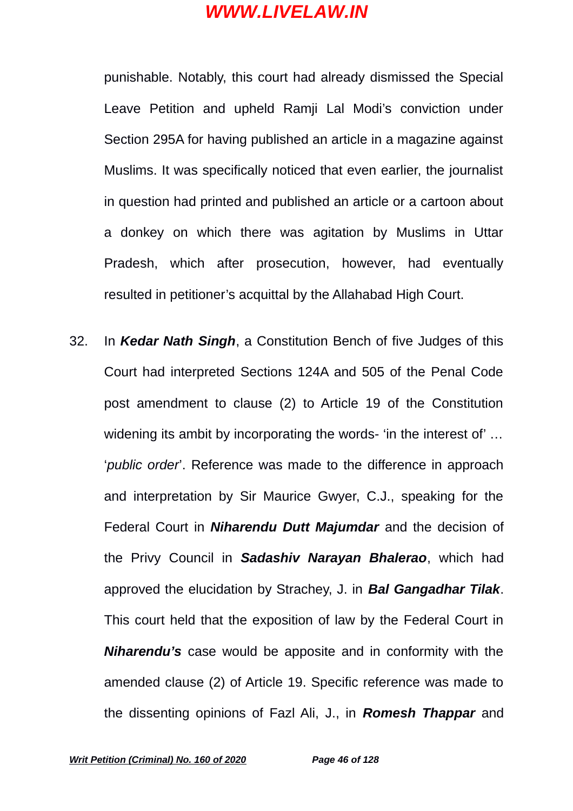punishable. Notably, this court had already dismissed the Special Leave Petition and upheld Ramji Lal Modi's conviction under Section 295A for having published an article in a magazine against Muslims. It was specifically noticed that even earlier, the journalist in question had printed and published an article or a cartoon about a donkey on which there was agitation by Muslims in Uttar Pradesh, which after prosecution, however, had eventually resulted in petitioner's acquittal by the Allahabad High Court.

32. In *Kedar Nath Singh*, a Constitution Bench of five Judges of this Court had interpreted Sections 124A and 505 of the Penal Code post amendment to clause (2) to Article 19 of the Constitution widening its ambit by incorporating the words- 'in the interest of'... '*public order*'. Reference was made to the difference in approach and interpretation by Sir Maurice Gwyer, C.J., speaking for the Federal Court in *Niharendu Dutt Majumdar* and the decision of the Privy Council in *Sadashiv Narayan Bhalerao*, which had approved the elucidation by Strachey, J. in *Bal Gangadhar Tilak*. This court held that the exposition of law by the Federal Court in *Niharendu's* case would be apposite and in conformity with the amended clause (2) of Article 19. Specific reference was made to the dissenting opinions of Fazl Ali, J., in *Romesh Thappar* and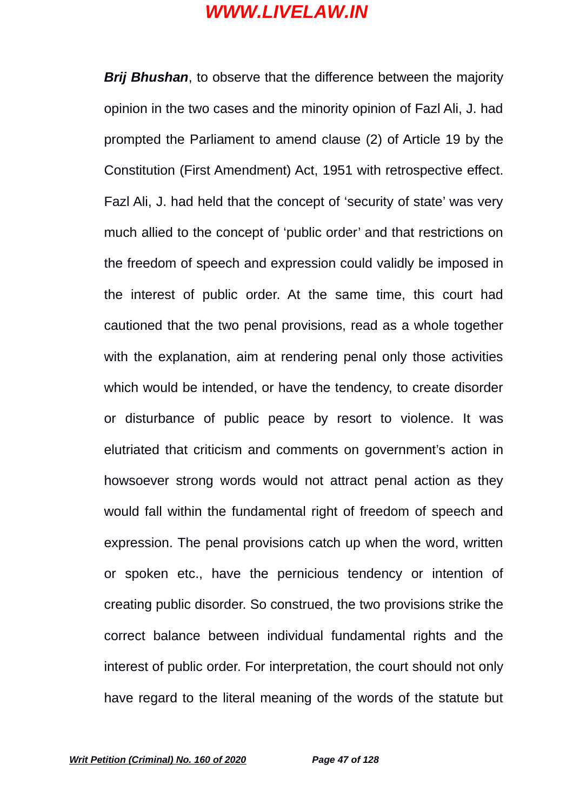*Brij Bhushan*, to observe that the difference between the majority opinion in the two cases and the minority opinion of Fazl Ali, J. had prompted the Parliament to amend clause (2) of Article 19 by the Constitution (First Amendment) Act, 1951 with retrospective effect. Fazl Ali, J. had held that the concept of 'security of state' was very much allied to the concept of 'public order' and that restrictions on the freedom of speech and expression could validly be imposed in the interest of public order. At the same time, this court had cautioned that the two penal provisions, read as a whole together with the explanation, aim at rendering penal only those activities which would be intended, or have the tendency, to create disorder or disturbance of public peace by resort to violence. It was elutriated that criticism and comments on government's action in howsoever strong words would not attract penal action as they would fall within the fundamental right of freedom of speech and expression. The penal provisions catch up when the word, written or spoken etc., have the pernicious tendency or intention of creating public disorder. So construed, the two provisions strike the correct balance between individual fundamental rights and the interest of public order. For interpretation, the court should not only have regard to the literal meaning of the words of the statute but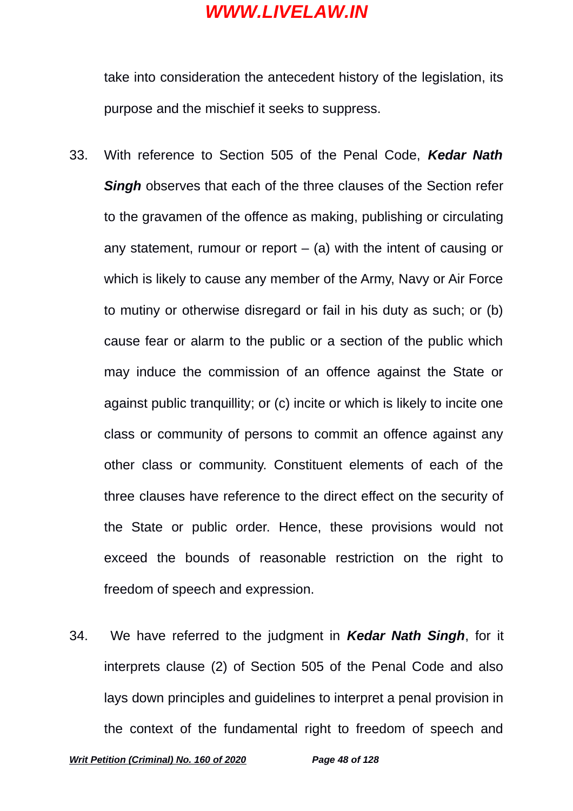take into consideration the antecedent history of the legislation, its purpose and the mischief it seeks to suppress.

- 33. With reference to Section 505 of the Penal Code, *Kedar Nath Singh* observes that each of the three clauses of the Section refer to the gravamen of the offence as making, publishing or circulating any statement, rumour or report  $-$  (a) with the intent of causing or which is likely to cause any member of the Army, Navy or Air Force to mutiny or otherwise disregard or fail in his duty as such; or (b) cause fear or alarm to the public or a section of the public which may induce the commission of an offence against the State or against public tranquillity; or (c) incite or which is likely to incite one class or community of persons to commit an offence against any other class or community. Constituent elements of each of the three clauses have reference to the direct effect on the security of the State or public order. Hence, these provisions would not exceed the bounds of reasonable restriction on the right to freedom of speech and expression.
- 34. We have referred to the judgment in *Kedar Nath Singh*, for it interprets clause (2) of Section 505 of the Penal Code and also lays down principles and guidelines to interpret a penal provision in the context of the fundamental right to freedom of speech and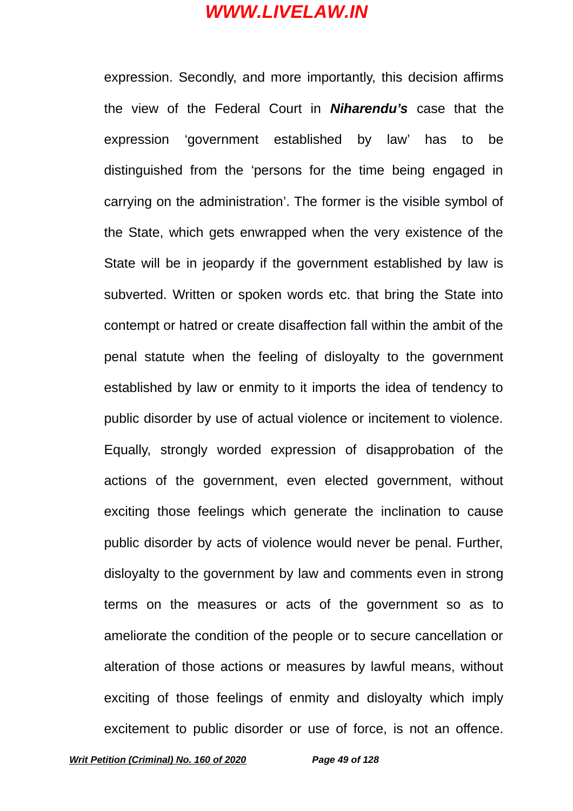expression. Secondly, and more importantly, this decision affirms the view of the Federal Court in *Niharendu's* case that the expression 'government established by law' has to be distinguished from the 'persons for the time being engaged in carrying on the administration'. The former is the visible symbol of the State, which gets enwrapped when the very existence of the State will be in jeopardy if the government established by law is subverted. Written or spoken words etc. that bring the State into contempt or hatred or create disaffection fall within the ambit of the penal statute when the feeling of disloyalty to the government established by law or enmity to it imports the idea of tendency to public disorder by use of actual violence or incitement to violence. Equally, strongly worded expression of disapprobation of the actions of the government, even elected government, without exciting those feelings which generate the inclination to cause public disorder by acts of violence would never be penal. Further, disloyalty to the government by law and comments even in strong terms on the measures or acts of the government so as to ameliorate the condition of the people or to secure cancellation or alteration of those actions or measures by lawful means, without exciting of those feelings of enmity and disloyalty which imply excitement to public disorder or use of force, is not an offence.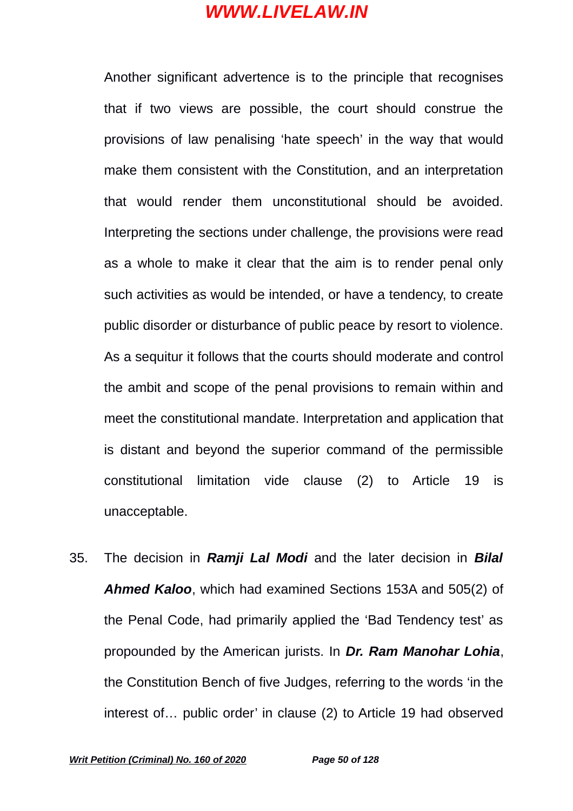Another significant advertence is to the principle that recognises that if two views are possible, the court should construe the provisions of law penalising 'hate speech' in the way that would make them consistent with the Constitution, and an interpretation that would render them unconstitutional should be avoided. Interpreting the sections under challenge, the provisions were read as a whole to make it clear that the aim is to render penal only such activities as would be intended, or have a tendency, to create public disorder or disturbance of public peace by resort to violence. As a sequitur it follows that the courts should moderate and control the ambit and scope of the penal provisions to remain within and meet the constitutional mandate. Interpretation and application that is distant and beyond the superior command of the permissible constitutional limitation vide clause (2) to Article 19 is unacceptable.

35. The decision in *Ramji Lal Modi* and the later decision in *Bilal Ahmed Kaloo*, which had examined Sections 153A and 505(2) of the Penal Code, had primarily applied the 'Bad Tendency test' as propounded by the American jurists. In *Dr. Ram Manohar Lohia*, the Constitution Bench of five Judges, referring to the words 'in the interest of… public order' in clause (2) to Article 19 had observed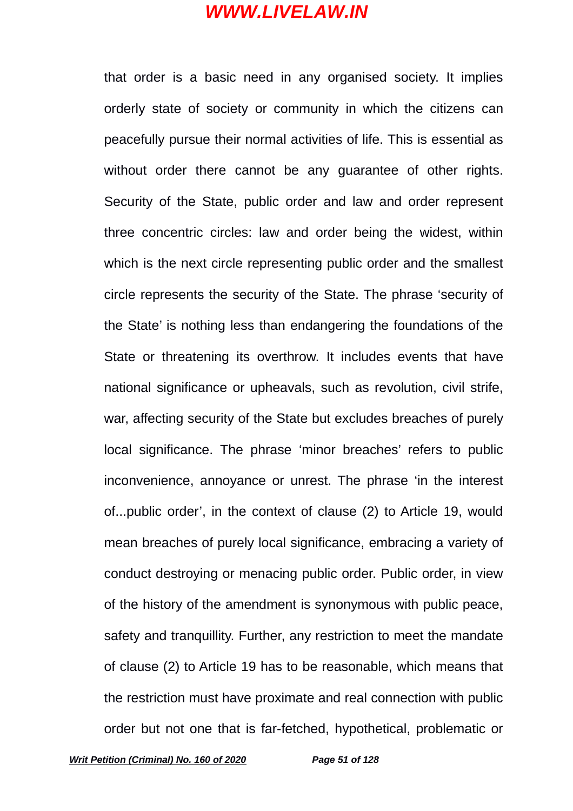that order is a basic need in any organised society. It implies orderly state of society or community in which the citizens can peacefully pursue their normal activities of life. This is essential as without order there cannot be any guarantee of other rights. Security of the State, public order and law and order represent three concentric circles: law and order being the widest, within which is the next circle representing public order and the smallest circle represents the security of the State. The phrase 'security of the State' is nothing less than endangering the foundations of the State or threatening its overthrow. It includes events that have national significance or upheavals, such as revolution, civil strife, war, affecting security of the State but excludes breaches of purely local significance. The phrase 'minor breaches' refers to public inconvenience, annoyance or unrest. The phrase 'in the interest of...public order', in the context of clause (2) to Article 19, would mean breaches of purely local significance, embracing a variety of conduct destroying or menacing public order. Public order, in view of the history of the amendment is synonymous with public peace, safety and tranquillity. Further, any restriction to meet the mandate of clause (2) to Article 19 has to be reasonable, which means that the restriction must have proximate and real connection with public order but not one that is far-fetched, hypothetical, problematic or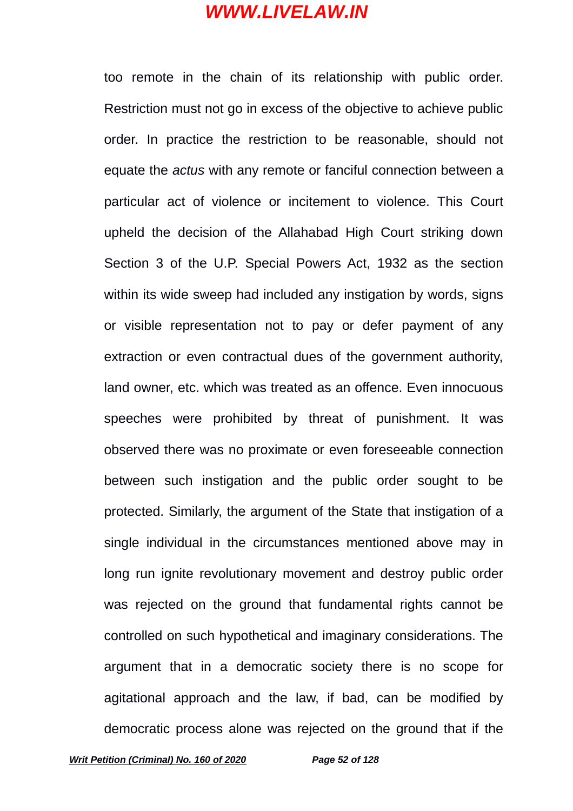too remote in the chain of its relationship with public order. Restriction must not go in excess of the objective to achieve public order. In practice the restriction to be reasonable, should not equate the *actus* with any remote or fanciful connection between a particular act of violence or incitement to violence. This Court upheld the decision of the Allahabad High Court striking down Section 3 of the U.P. Special Powers Act, 1932 as the section within its wide sweep had included any instigation by words, signs or visible representation not to pay or defer payment of any extraction or even contractual dues of the government authority, land owner, etc. which was treated as an offence. Even innocuous speeches were prohibited by threat of punishment. It was observed there was no proximate or even foreseeable connection between such instigation and the public order sought to be protected. Similarly, the argument of the State that instigation of a single individual in the circumstances mentioned above may in long run ignite revolutionary movement and destroy public order was rejected on the ground that fundamental rights cannot be controlled on such hypothetical and imaginary considerations. The argument that in a democratic society there is no scope for agitational approach and the law, if bad, can be modified by democratic process alone was rejected on the ground that if the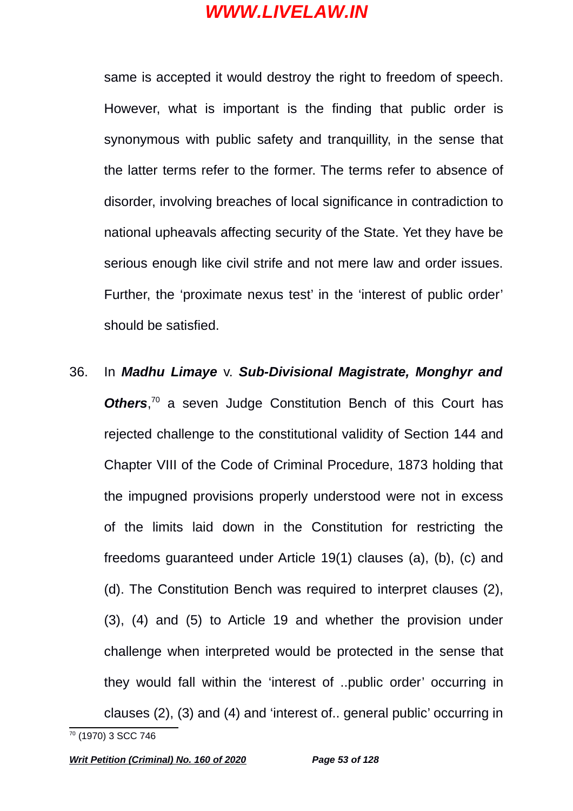same is accepted it would destroy the right to freedom of speech. However, what is important is the finding that public order is synonymous with public safety and tranquillity, in the sense that the latter terms refer to the former. The terms refer to absence of disorder, involving breaches of local significance in contradiction to national upheavals affecting security of the State. Yet they have be serious enough like civil strife and not mere law and order issues. Further, the 'proximate nexus test' in the 'interest of public order' should be satisfied.

36. In *Madhu Limaye* v. *Sub-Divisional Magistrate, Monghyr and* **Others**<sup>,[70](#page-52-0)</sup> a seven Judge Constitution Bench of this Court has rejected challenge to the constitutional validity of Section 144 and Chapter VIII of the Code of Criminal Procedure, 1873 holding that the impugned provisions properly understood were not in excess of the limits laid down in the Constitution for restricting the freedoms guaranteed under Article 19(1) clauses (a), (b), (c) and (d). The Constitution Bench was required to interpret clauses (2), (3), (4) and (5) to Article 19 and whether the provision under challenge when interpreted would be protected in the sense that they would fall within the 'interest of ..public order' occurring in clauses (2), (3) and (4) and 'interest of.. general public' occurring in

<span id="page-52-0"></span><sup>70</sup> (1970) 3 SCC 746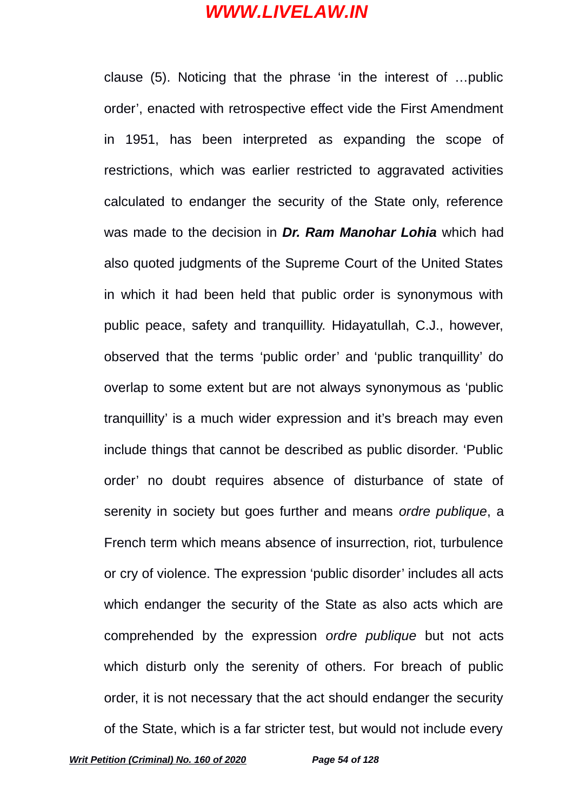clause (5). Noticing that the phrase 'in the interest of …public order', enacted with retrospective effect vide the First Amendment in 1951, has been interpreted as expanding the scope of restrictions, which was earlier restricted to aggravated activities calculated to endanger the security of the State only, reference was made to the decision in *Dr. Ram Manohar Lohia* which had also quoted judgments of the Supreme Court of the United States in which it had been held that public order is synonymous with public peace, safety and tranquillity. Hidayatullah, C.J., however, observed that the terms 'public order' and 'public tranquillity' do overlap to some extent but are not always synonymous as 'public tranquillity' is a much wider expression and it's breach may even include things that cannot be described as public disorder. 'Public order' no doubt requires absence of disturbance of state of serenity in society but goes further and means *ordre publique*, a French term which means absence of insurrection, riot, turbulence or cry of violence. The expression 'public disorder' includes all acts which endanger the security of the State as also acts which are comprehended by the expression *ordre publique* but not acts which disturb only the serenity of others. For breach of public order, it is not necessary that the act should endanger the security of the State, which is a far stricter test, but would not include every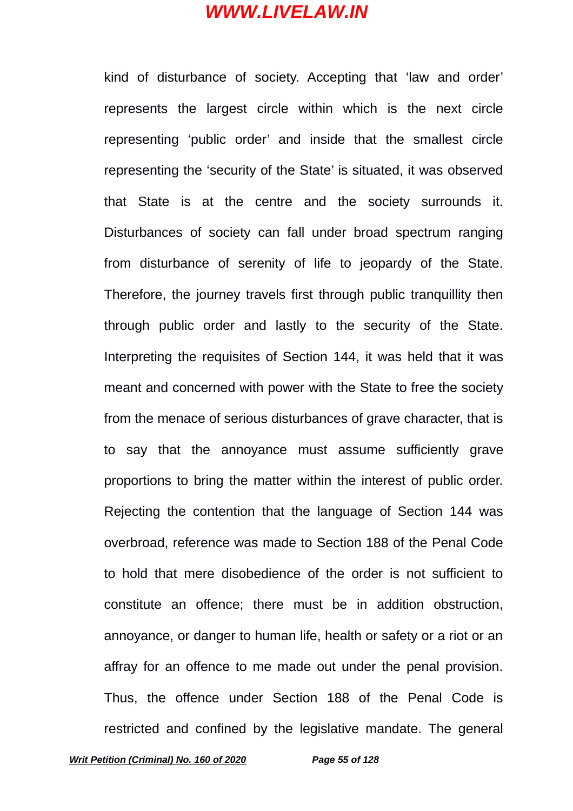kind of disturbance of society. Accepting that 'law and order' represents the largest circle within which is the next circle representing 'public order' and inside that the smallest circle representing the 'security of the State' is situated, it was observed that State is at the centre and the society surrounds it. Disturbances of society can fall under broad spectrum ranging from disturbance of serenity of life to jeopardy of the State. Therefore, the journey travels first through public tranquillity then through public order and lastly to the security of the State. Interpreting the requisites of Section 144, it was held that it was meant and concerned with power with the State to free the society from the menace of serious disturbances of grave character, that is to say that the annoyance must assume sufficiently grave proportions to bring the matter within the interest of public order. Rejecting the contention that the language of Section 144 was overbroad, reference was made to Section 188 of the Penal Code to hold that mere disobedience of the order is not sufficient to constitute an offence; there must be in addition obstruction, annoyance, or danger to human life, health or safety or a riot or an affray for an offence to me made out under the penal provision. Thus, the offence under Section 188 of the Penal Code is restricted and confined by the legislative mandate. The general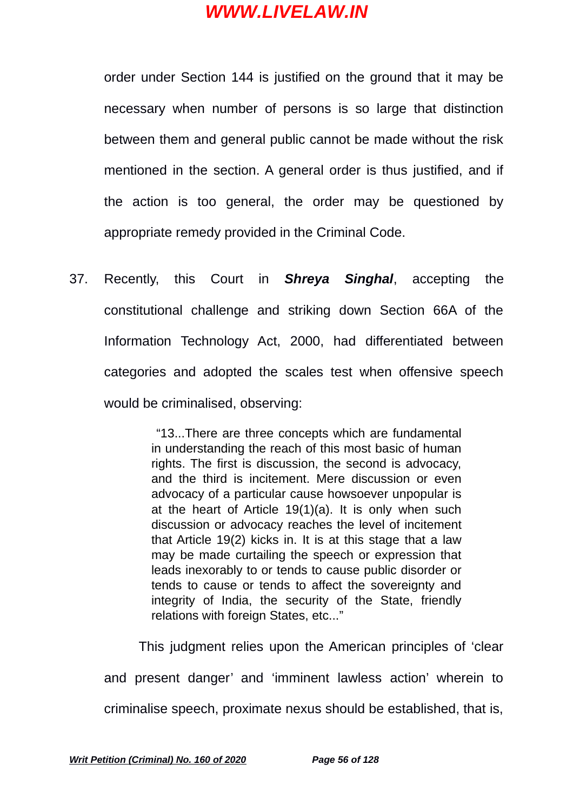order under Section 144 is justified on the ground that it may be necessary when number of persons is so large that distinction between them and general public cannot be made without the risk mentioned in the section. A general order is thus justified, and if the action is too general, the order may be questioned by appropriate remedy provided in the Criminal Code.

37. Recently, this Court in *Shreya Singhal*, accepting the constitutional challenge and striking down Section 66A of the Information Technology Act, 2000, had differentiated between categories and adopted the scales test when offensive speech would be criminalised, observing:

> "13...There are three concepts which are fundamental in understanding the reach of this most basic of human rights. The first is discussion, the second is advocacy, and the third is incitement. Mere discussion or even advocacy of a particular cause howsoever unpopular is at the heart of Article 19(1)(a). It is only when such discussion or advocacy reaches the level of incitement that Article 19(2) kicks in. It is at this stage that a law may be made curtailing the speech or expression that leads inexorably to or tends to cause public disorder or tends to cause or tends to affect the sovereignty and integrity of India, the security of the State, friendly relations with foreign States, etc..."

This judgment relies upon the American principles of 'clear and present danger' and 'imminent lawless action' wherein to criminalise speech, proximate nexus should be established, that is,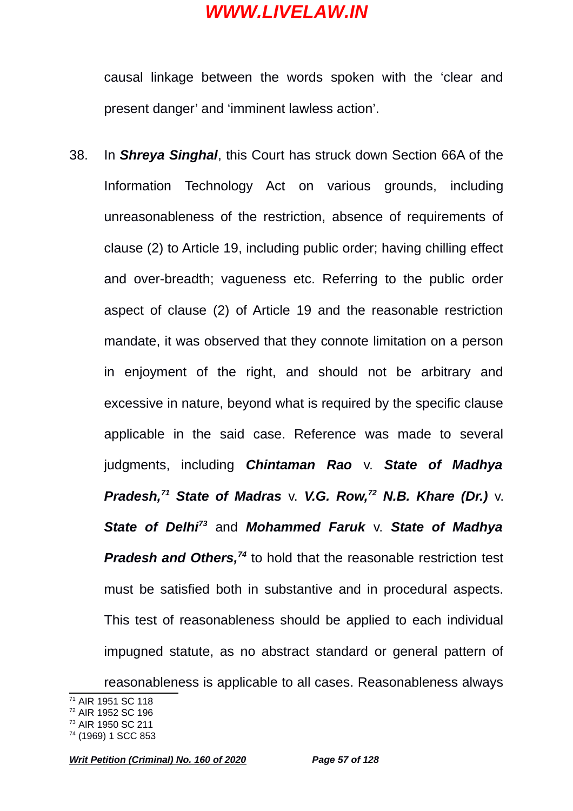causal linkage between the words spoken with the 'clear and present danger' and 'imminent lawless action'.

38. In *Shreya Singhal*, this Court has struck down Section 66A of the Information Technology Act on various grounds, including unreasonableness of the restriction, absence of requirements of clause (2) to Article 19, including public order; having chilling effect and over-breadth; vagueness etc. Referring to the public order aspect of clause (2) of Article 19 and the reasonable restriction mandate, it was observed that they connote limitation on a person in enjoyment of the right, and should not be arbitrary and excessive in nature, beyond what is required by the specific clause applicable in the said case. Reference was made to several judgments, including *Chintaman Rao* v. *State of Madhya Pradesh,[71](#page-56-0) State of Madras* v. *V.G. Row,[72](#page-56-1) N.B. Khare (Dr.)* v. *State of Delhi[73](#page-56-2)* and *Mohammed Faruk* v. *State of Madhya Pradesh and Others,<sup>[74](#page-56-3)</sup>* to hold that the reasonable restriction test must be satisfied both in substantive and in procedural aspects. This test of reasonableness should be applied to each individual impugned statute, as no abstract standard or general pattern of reasonableness is applicable to all cases. Reasonableness always

<span id="page-56-0"></span><sup>71</sup> AIR 1951 SC 118

<span id="page-56-1"></span><sup>72</sup> AIR 1952 SC 196

<span id="page-56-2"></span><sup>73</sup> AIR 1950 SC 211

<span id="page-56-3"></span><sup>74</sup> (1969) 1 SCC 853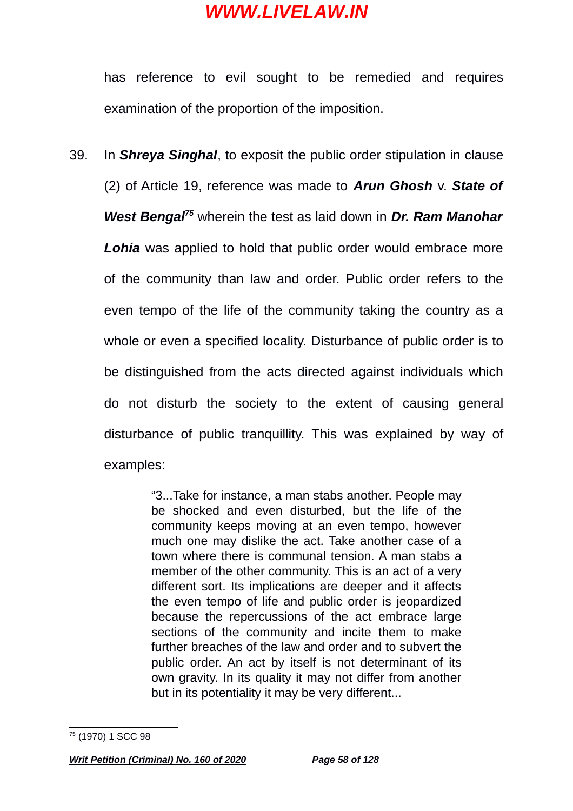has reference to evil sought to be remedied and requires examination of the proportion of the imposition.

39. In *Shreya Singhal*, to exposit the public order stipulation in clause (2) of Article 19, reference was made to *Arun Ghosh* v. *State of West Bengal[75](#page-57-0)* wherein the test as laid down in *Dr. Ram Manohar Lohia* was applied to hold that public order would embrace more of the community than law and order. Public order refers to the even tempo of the life of the community taking the country as a whole or even a specified locality. Disturbance of public order is to be distinguished from the acts directed against individuals which do not disturb the society to the extent of causing general disturbance of public tranquillity. This was explained by way of examples:

> "3...Take for instance, a man stabs another. People may be shocked and even disturbed, but the life of the community keeps moving at an even tempo, however much one may dislike the act. Take another case of a town where there is communal tension. A man stabs a member of the other community. This is an act of a very different sort. Its implications are deeper and it affects the even tempo of life and public order is jeopardized because the repercussions of the act embrace large sections of the community and incite them to make further breaches of the law and order and to subvert the public order. An act by itself is not determinant of its own gravity. In its quality it may not differ from another but in its potentiality it may be very different...

<span id="page-57-0"></span><sup>75</sup> (1970) 1 SCC 98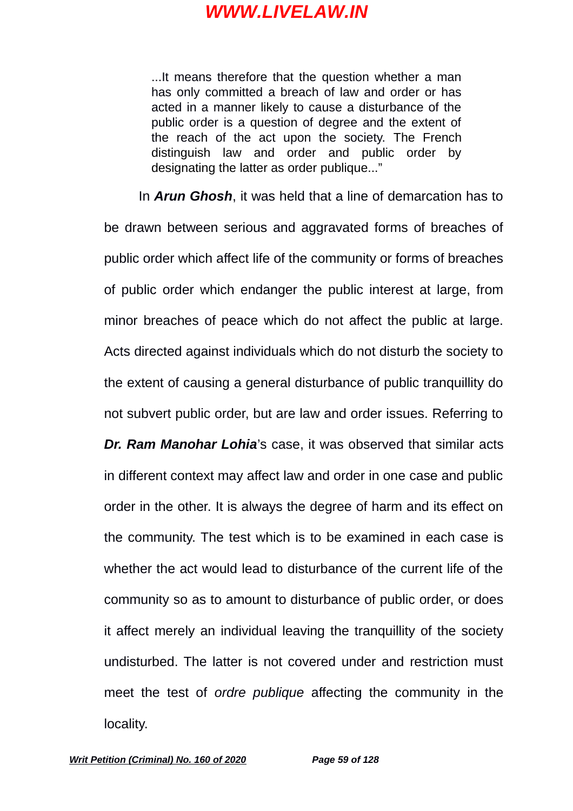...It means therefore that the question whether a man has only committed a breach of law and order or has acted in a manner likely to cause a disturbance of the public order is a question of degree and the extent of the reach of the act upon the society. The French distinguish law and order and public order by designating the latter as order publique..."

In *Arun Ghosh*, it was held that a line of demarcation has to

be drawn between serious and aggravated forms of breaches of public order which affect life of the community or forms of breaches of public order which endanger the public interest at large, from minor breaches of peace which do not affect the public at large. Acts directed against individuals which do not disturb the society to the extent of causing a general disturbance of public tranquillity do not subvert public order, but are law and order issues. Referring to *Dr. Ram Manohar Lohia*'s case, it was observed that similar acts in different context may affect law and order in one case and public order in the other. It is always the degree of harm and its effect on the community. The test which is to be examined in each case is whether the act would lead to disturbance of the current life of the community so as to amount to disturbance of public order, or does it affect merely an individual leaving the tranquillity of the society undisturbed. The latter is not covered under and restriction must meet the test of *ordre publique* affecting the community in the locality.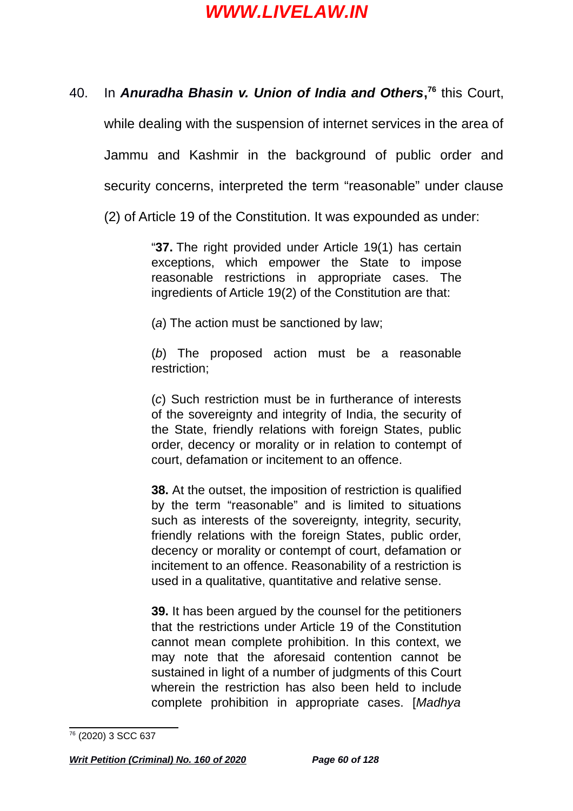#### 40. In *Anuradha Bhasin v. Union of India and Others***, [76](#page-59-0)** this Court,

while dealing with the suspension of internet services in the area of Jammu and Kashmir in the background of public order and security concerns, interpreted the term "reasonable" under clause

(2) of Article 19 of the Constitution. It was expounded as under:

"**37.** The right provided under Article 19(1) has certain exceptions, which empower the State to impose reasonable restrictions in appropriate cases. The ingredients of Article 19(2) of the Constitution are that:

(*a*) The action must be sanctioned by law;

(*b*) The proposed action must be a reasonable restriction;

(*c*) Such restriction must be in furtherance of interests of the sovereignty and integrity of India, the security of the State, friendly relations with foreign States, public order, decency or morality or in relation to contempt of court, defamation or incitement to an offence.

**38.** At the outset, the imposition of restriction is qualified by the term "reasonable" and is limited to situations such as interests of the sovereignty, integrity, security, friendly relations with the foreign States, public order, decency or morality or contempt of court, defamation or incitement to an offence. Reasonability of a restriction is used in a qualitative, quantitative and relative sense.

**39.** It has been argued by the counsel for the petitioners that the restrictions under Article 19 of the Constitution cannot mean complete prohibition. In this context, we may note that the aforesaid contention cannot be sustained in light of a number of judgments of this Court wherein the restriction has also been held to include complete prohibition in appropriate cases. [*Madhya*

<span id="page-59-0"></span><sup>76</sup> (2020) 3 SCC 637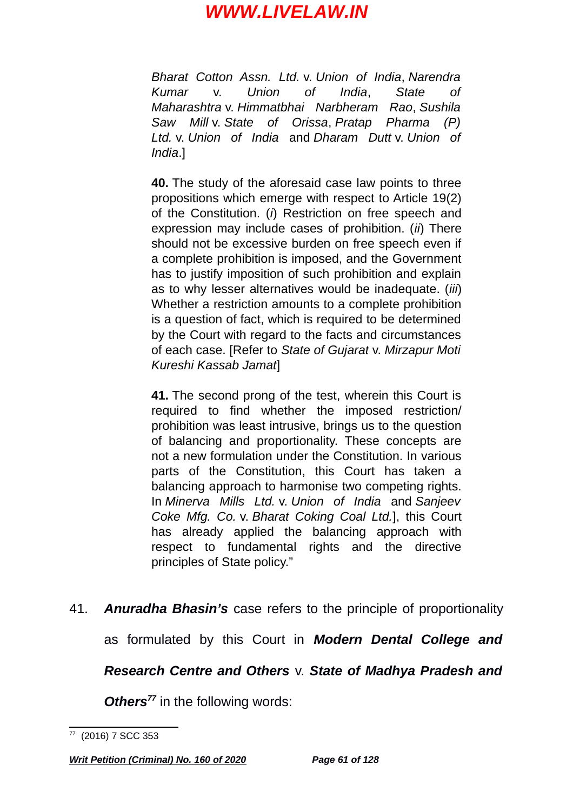*Bharat Cotton Assn. Ltd.* v. *Union of India*, *Narendra Kumar* v. *Union of India*, *State of Maharashtra* v. *Himmatbhai Narbheram Rao*, *Sushila Saw Mill* v. *State of Orissa*, *Pratap Pharma (P) Ltd.* v. *Union of India* and *Dharam Dutt* v. *Union of India*.]

**40.** The study of the aforesaid case law points to three propositions which emerge with respect to Article 19(2) of the Constitution. (*i*) Restriction on free speech and expression may include cases of prohibition. (*ii*) There should not be excessive burden on free speech even if a complete prohibition is imposed, and the Government has to justify imposition of such prohibition and explain as to why lesser alternatives would be inadequate. (*iii*) Whether a restriction amounts to a complete prohibition is a question of fact, which is required to be determined by the Court with regard to the facts and circumstances of each case. [Refer to *State of Gujarat* v. *Mirzapur Moti Kureshi Kassab Jamat*]

**41.** The second prong of the test, wherein this Court is required to find whether the imposed restriction/ prohibition was least intrusive, brings us to the question of balancing and proportionality. These concepts are not a new formulation under the Constitution. In various parts of the Constitution, this Court has taken a balancing approach to harmonise two competing rights. In *Minerva Mills Ltd.* v. *Union of India* and *Sanjeev Coke Mfg. Co.* v. *Bharat Coking Coal Ltd.*], this Court has already applied the balancing approach with respect to fundamental rights and the directive principles of State policy."

41. *Anuradha Bhasin's* case refers to the principle of proportionality as formulated by this Court in *Modern Dental College and Research Centre and Others* v. *State of Madhya Pradesh and*

*Others[77](#page-60-0)* in the following words:

<span id="page-60-0"></span><sup>77</sup> (2016) 7 SCC 353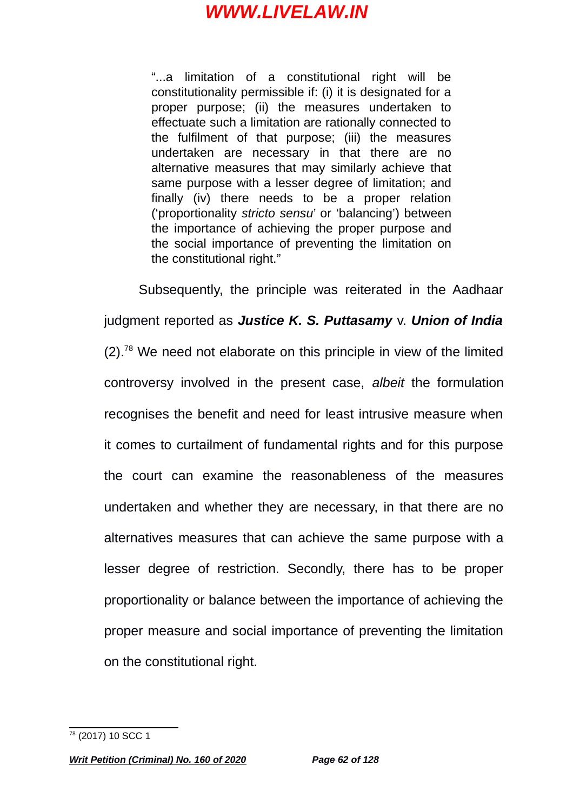"...a limitation of a constitutional right will be constitutionality permissible if: (i) it is designated for a proper purpose; (ii) the measures undertaken to effectuate such a limitation are rationally connected to the fulfilment of that purpose; (iii) the measures undertaken are necessary in that there are no alternative measures that may similarly achieve that same purpose with a lesser degree of limitation; and finally (iv) there needs to be a proper relation ('proportionality *stricto sensu*' or 'balancing') between the importance of achieving the proper purpose and the social importance of preventing the limitation on the constitutional right."

Subsequently, the principle was reiterated in the Aadhaar judgment reported as *Justice K. S. Puttasamy* v. *Union of India*  $(2)$ .<sup>[78](#page-61-0)</sup> We need not elaborate on this principle in view of the limited controversy involved in the present case, *albeit* the formulation recognises the benefit and need for least intrusive measure when it comes to curtailment of fundamental rights and for this purpose the court can examine the reasonableness of the measures undertaken and whether they are necessary, in that there are no alternatives measures that can achieve the same purpose with a lesser degree of restriction. Secondly, there has to be proper proportionality or balance between the importance of achieving the proper measure and social importance of preventing the limitation on the constitutional right.

<span id="page-61-0"></span><sup>78</sup> (2017) 10 SCC 1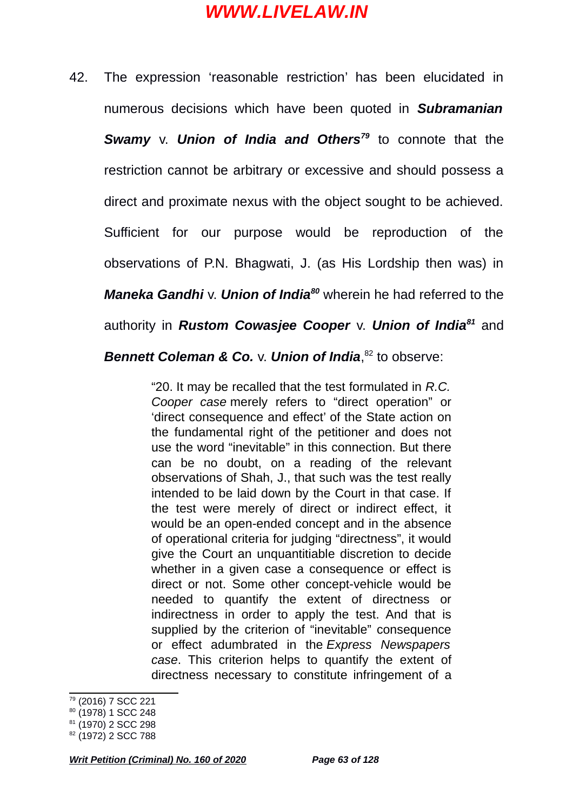42. The expression 'reasonable restriction' has been elucidated in numerous decisions which have been quoted in *Subramanian Swamy* v. *Union of India and Others<sup>[79](#page-62-0)</sup> to connote that the* restriction cannot be arbitrary or excessive and should possess a direct and proximate nexus with the object sought to be achieved. Sufficient for our purpose would be reproduction of the observations of P.N. Bhagwati, J. (as His Lordship then was) in *Maneka Gandhi* v. *Union of India[80](#page-62-1)* wherein he had referred to the authority in *Rustom Cowasjee Cooper* v. *Union of India[81](#page-62-2)* and

*Bennett Coleman & Co.* v. *Union of India*, [82](#page-62-3) to observe:

"20. It may be recalled that the test formulated in *R.C. Cooper case* merely refers to "direct operation" or 'direct consequence and effect' of the State action on the fundamental right of the petitioner and does not use the word "inevitable" in this connection. But there can be no doubt, on a reading of the relevant observations of Shah, J., that such was the test really intended to be laid down by the Court in that case. If the test were merely of direct or indirect effect, it would be an open-ended concept and in the absence of operational criteria for judging "directness", it would give the Court an unquantitiable discretion to decide whether in a given case a consequence or effect is direct or not. Some other concept-vehicle would be needed to quantify the extent of directness or indirectness in order to apply the test. And that is supplied by the criterion of "inevitable" consequence or effect adumbrated in the *Express Newspapers case*. This criterion helps to quantify the extent of directness necessary to constitute infringement of a

<span id="page-62-0"></span><sup>79</sup> (2016) 7 SCC 221

<span id="page-62-1"></span><sup>&</sup>lt;sup>80</sup> (1978) 1 SCC 248

<span id="page-62-2"></span><sup>&</sup>lt;sup>81</sup> (1970) 2 SCC 298

<span id="page-62-3"></span><sup>82</sup> (1972) 2 SCC 788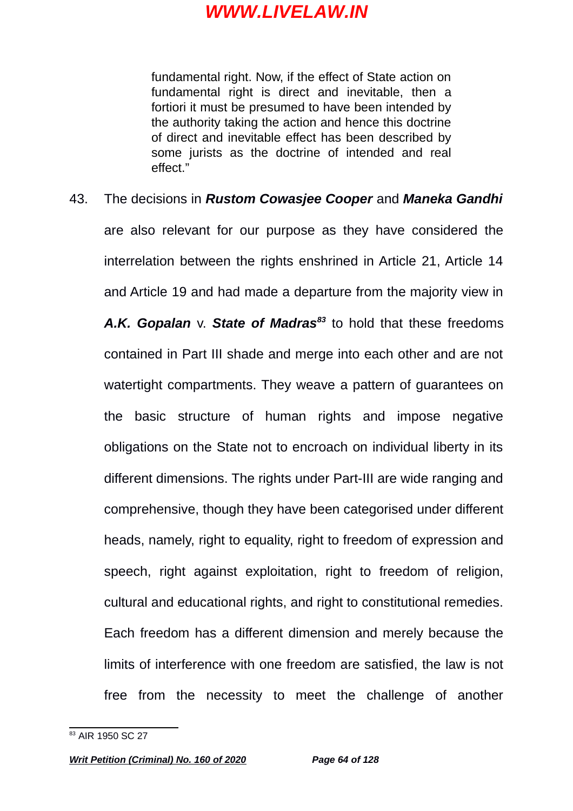fundamental right. Now, if the effect of State action on fundamental right is direct and inevitable, then a fortiori it must be presumed to have been intended by the authority taking the action and hence this doctrine of direct and inevitable effect has been described by some jurists as the doctrine of intended and real effect."

43. The decisions in *Rustom Cowasjee Cooper* and *Maneka Gandhi* are also relevant for our purpose as they have considered the interrelation between the rights enshrined in Article 21, Article 14 and Article 19 and had made a departure from the majority view in *A.K. Gopalan* v. *State of Madras[83](#page-63-0)* to hold that these freedoms contained in Part III shade and merge into each other and are not watertight compartments. They weave a pattern of guarantees on the basic structure of human rights and impose negative obligations on the State not to encroach on individual liberty in its different dimensions. The rights under Part-III are wide ranging and comprehensive, though they have been categorised under different heads, namely, right to equality, right to freedom of expression and speech, right against exploitation, right to freedom of religion, cultural and educational rights, and right to constitutional remedies. Each freedom has a different dimension and merely because the limits of interference with one freedom are satisfied, the law is not free from the necessity to meet the challenge of another

<span id="page-63-0"></span><sup>&</sup>lt;sup>83</sup> AIR 1950 SC 27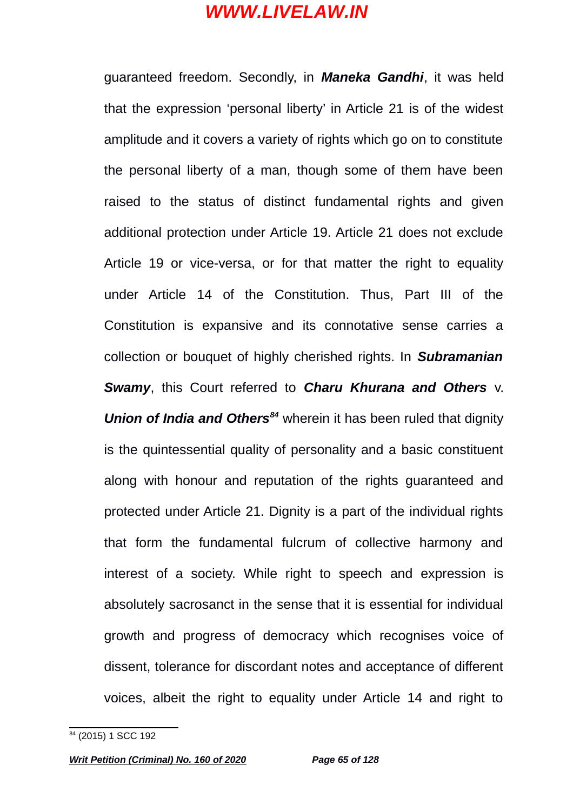guaranteed freedom. Secondly, in *Maneka Gandhi*, it was held that the expression 'personal liberty' in Article 21 is of the widest amplitude and it covers a variety of rights which go on to constitute the personal liberty of a man, though some of them have been raised to the status of distinct fundamental rights and given additional protection under Article 19. Article 21 does not exclude Article 19 or vice-versa, or for that matter the right to equality under Article 14 of the Constitution. Thus, Part III of the Constitution is expansive and its connotative sense carries a collection or bouquet of highly cherished rights. In *Subramanian Swamy*, this Court referred to *Charu Khurana and Others* v. *Union of India and Others[84](#page-64-0)* wherein it has been ruled that dignity is the quintessential quality of personality and a basic constituent along with honour and reputation of the rights guaranteed and protected under Article 21. Dignity is a part of the individual rights that form the fundamental fulcrum of collective harmony and interest of a society. While right to speech and expression is absolutely sacrosanct in the sense that it is essential for individual growth and progress of democracy which recognises voice of dissent, tolerance for discordant notes and acceptance of different voices, albeit the right to equality under Article 14 and right to

<span id="page-64-0"></span><sup>&</sup>lt;sup>84</sup> (2015) 1 SCC 192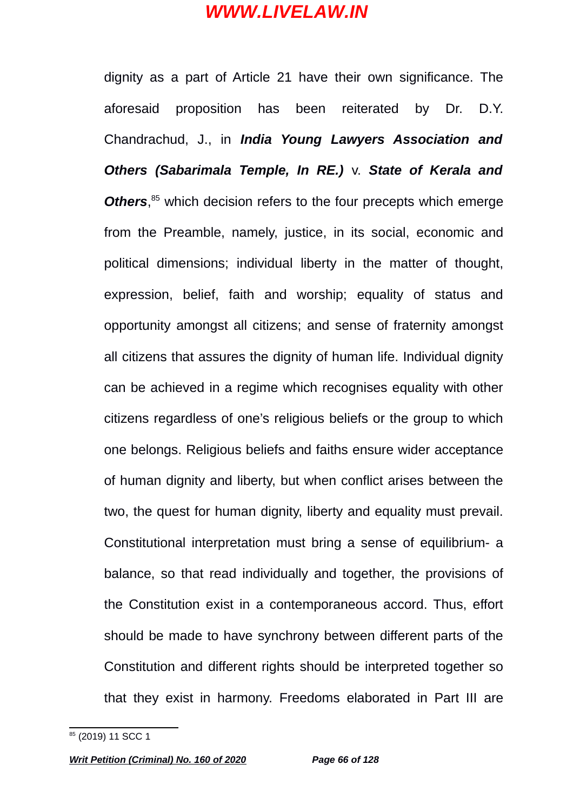dignity as a part of Article 21 have their own significance. The aforesaid proposition has been reiterated by Dr. D.Y. Chandrachud, J., in *India Young Lawyers Association and Others (Sabarimala Temple, In RE.)* v. *State of Kerala and* Others,<sup>[85](#page-65-0)</sup> which decision refers to the four precepts which emerge from the Preamble, namely, justice, in its social, economic and political dimensions; individual liberty in the matter of thought, expression, belief, faith and worship; equality of status and opportunity amongst all citizens; and sense of fraternity amongst all citizens that assures the dignity of human life. Individual dignity can be achieved in a regime which recognises equality with other citizens regardless of one's religious beliefs or the group to which one belongs. Religious beliefs and faiths ensure wider acceptance of human dignity and liberty, but when conflict arises between the two, the quest for human dignity, liberty and equality must prevail. Constitutional interpretation must bring a sense of equilibrium- a balance, so that read individually and together, the provisions of the Constitution exist in a contemporaneous accord. Thus, effort should be made to have synchrony between different parts of the Constitution and different rights should be interpreted together so that they exist in harmony. Freedoms elaborated in Part III are

<span id="page-65-0"></span><sup>&</sup>lt;sup>85</sup> (2019) 11 SCC 1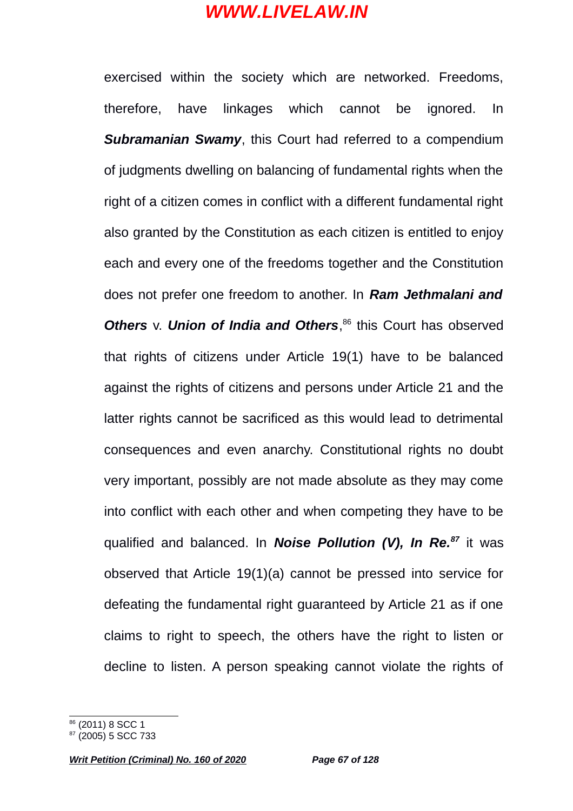exercised within the society which are networked. Freedoms, therefore, have linkages which cannot be ignored. In *Subramanian Swamy*, this Court had referred to a compendium of judgments dwelling on balancing of fundamental rights when the right of a citizen comes in conflict with a different fundamental right also granted by the Constitution as each citizen is entitled to enjoy each and every one of the freedoms together and the Constitution does not prefer one freedom to another. In *Ram Jethmalani and Others* v. *Union of India and Others*, [86](#page-66-0) this Court has observed that rights of citizens under Article 19(1) have to be balanced against the rights of citizens and persons under Article 21 and the latter rights cannot be sacrificed as this would lead to detrimental consequences and even anarchy. Constitutional rights no doubt very important, possibly are not made absolute as they may come into conflict with each other and when competing they have to be qualified and balanced. In *Noise Pollution (V), In Re.[87](#page-66-1)* it was observed that Article 19(1)(a) cannot be pressed into service for defeating the fundamental right guaranteed by Article 21 as if one claims to right to speech, the others have the right to listen or decline to listen. A person speaking cannot violate the rights of

<span id="page-66-0"></span><sup>&</sup>lt;sup>86</sup> (2011) 8 SCC 1

<span id="page-66-1"></span> $87(2005)$  5 SCC 733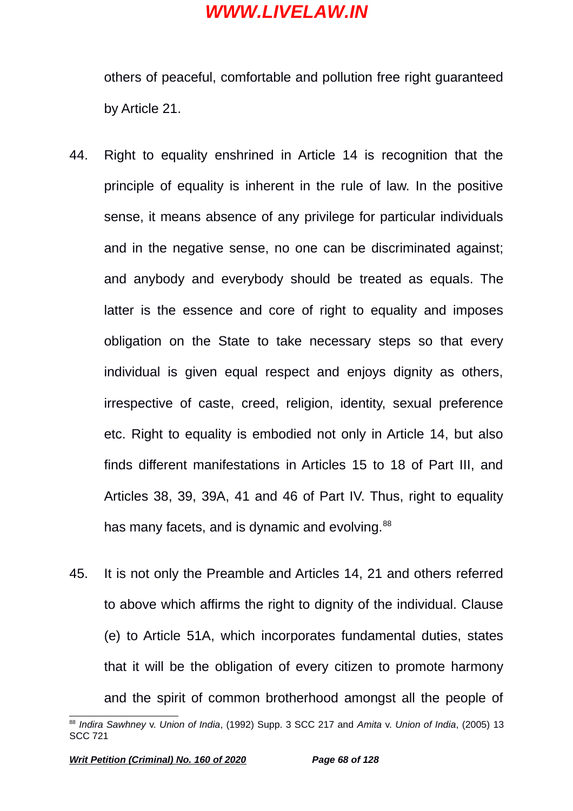others of peaceful, comfortable and pollution free right guaranteed by Article 21.

- 44. Right to equality enshrined in Article 14 is recognition that the principle of equality is inherent in the rule of law. In the positive sense, it means absence of any privilege for particular individuals and in the negative sense, no one can be discriminated against; and anybody and everybody should be treated as equals. The latter is the essence and core of right to equality and imposes obligation on the State to take necessary steps so that every individual is given equal respect and enjoys dignity as others, irrespective of caste, creed, religion, identity, sexual preference etc. Right to equality is embodied not only in Article 14, but also finds different manifestations in Articles 15 to 18 of Part III, and Articles 38, 39, 39A, 41 and 46 of Part IV. Thus, right to equality has many facets, and is dynamic and evolving.<sup>[88](#page-67-0)</sup>
- 45. It is not only the Preamble and Articles 14, 21 and others referred to above which affirms the right to dignity of the individual. Clause (e) to Article 51A, which incorporates fundamental duties, states that it will be the obligation of every citizen to promote harmony and the spirit of common brotherhood amongst all the people of

<span id="page-67-0"></span><sup>88</sup> *Indira Sawhney* v. *Union of India*, (1992) Supp. 3 SCC 217 and *Amita* v. *Union of India*, (2005) 13 SCC 721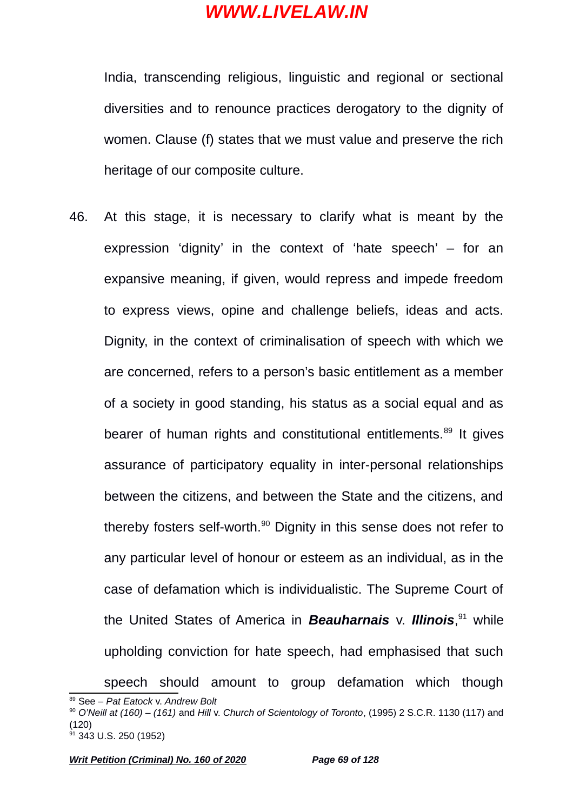India, transcending religious, linguistic and regional or sectional diversities and to renounce practices derogatory to the dignity of women. Clause (f) states that we must value and preserve the rich heritage of our composite culture.

46. At this stage, it is necessary to clarify what is meant by the expression 'dignity' in the context of 'hate speech' – for an expansive meaning, if given, would repress and impede freedom to express views, opine and challenge beliefs, ideas and acts. Dignity, in the context of criminalisation of speech with which we are concerned, refers to a person's basic entitlement as a member of a society in good standing, his status as a social equal and as bearer of human rights and constitutional entitlements.<sup>[89](#page-68-0)</sup> It gives assurance of participatory equality in inter-personal relationships between the citizens, and between the State and the citizens, and thereby fosters self-worth.<sup>[90](#page-68-1)</sup> Dignity in this sense does not refer to any particular level of honour or esteem as an individual, as in the case of defamation which is individualistic. The Supreme Court of the United States of America in *Beauharnais* v. *Illinois*, [91](#page-68-2) while upholding conviction for hate speech, had emphasised that such

speech should amount to group defamation which though

<span id="page-68-0"></span><sup>89</sup> See – *Pat Eatock* v. *Andrew Bolt*

<span id="page-68-1"></span><sup>90</sup> *O'Neill at (160) – (161)* and *Hill* v. *Church of Scientology of Toronto*, (1995) 2 S.C.R. 1130 (117) and (120)

<span id="page-68-2"></span> $91$  343 U.S. 250 (1952)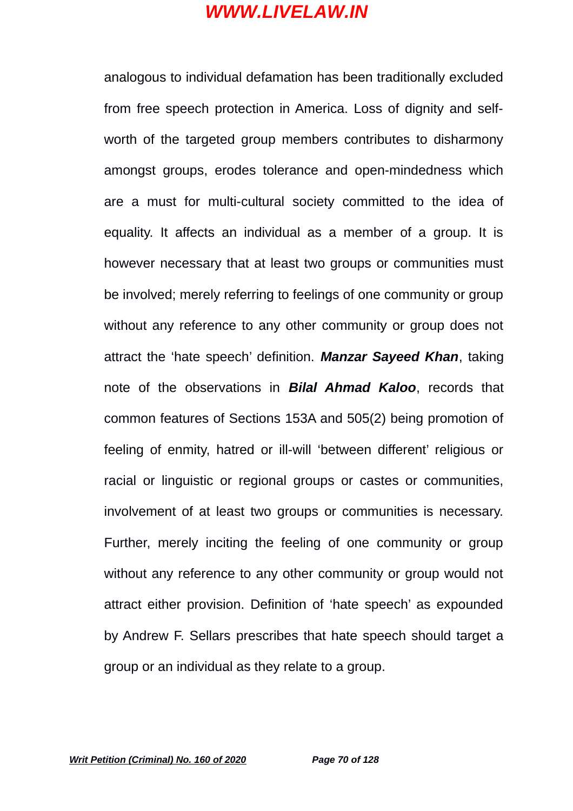analogous to individual defamation has been traditionally excluded from free speech protection in America. Loss of dignity and selfworth of the targeted group members contributes to disharmony amongst groups, erodes tolerance and open-mindedness which are a must for multi-cultural society committed to the idea of equality. It affects an individual as a member of a group. It is however necessary that at least two groups or communities must be involved; merely referring to feelings of one community or group without any reference to any other community or group does not attract the 'hate speech' definition. *Manzar Sayeed Khan*, taking note of the observations in *Bilal Ahmad Kaloo*, records that common features of Sections 153A and 505(2) being promotion of feeling of enmity, hatred or ill-will 'between different' religious or racial or linguistic or regional groups or castes or communities, involvement of at least two groups or communities is necessary. Further, merely inciting the feeling of one community or group without any reference to any other community or group would not attract either provision. Definition of 'hate speech' as expounded by Andrew F. Sellars prescribes that hate speech should target a group or an individual as they relate to a group.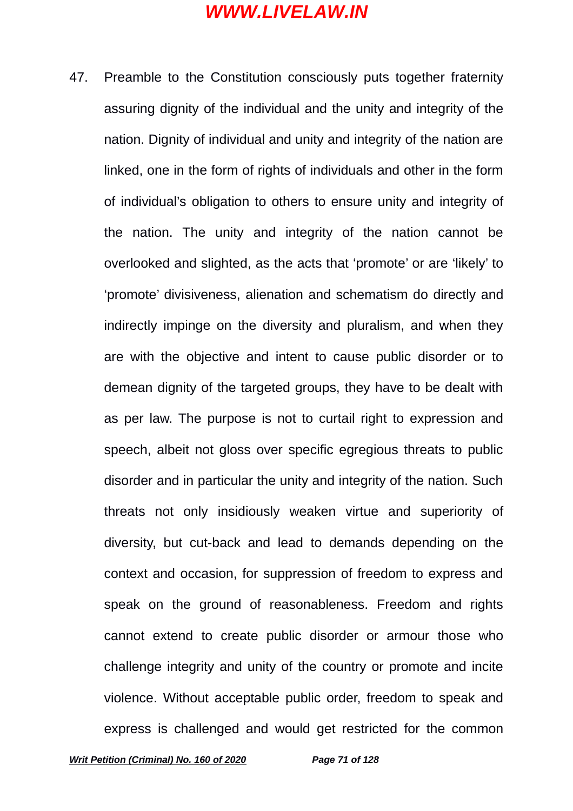47. Preamble to the Constitution consciously puts together fraternity assuring dignity of the individual and the unity and integrity of the nation. Dignity of individual and unity and integrity of the nation are linked, one in the form of rights of individuals and other in the form of individual's obligation to others to ensure unity and integrity of the nation. The unity and integrity of the nation cannot be overlooked and slighted, as the acts that 'promote' or are 'likely' to 'promote' divisiveness, alienation and schematism do directly and indirectly impinge on the diversity and pluralism, and when they are with the objective and intent to cause public disorder or to demean dignity of the targeted groups, they have to be dealt with as per law. The purpose is not to curtail right to expression and speech, albeit not gloss over specific egregious threats to public disorder and in particular the unity and integrity of the nation. Such threats not only insidiously weaken virtue and superiority of diversity, but cut-back and lead to demands depending on the context and occasion, for suppression of freedom to express and speak on the ground of reasonableness. Freedom and rights cannot extend to create public disorder or armour those who challenge integrity and unity of the country or promote and incite violence. Without acceptable public order, freedom to speak and express is challenged and would get restricted for the common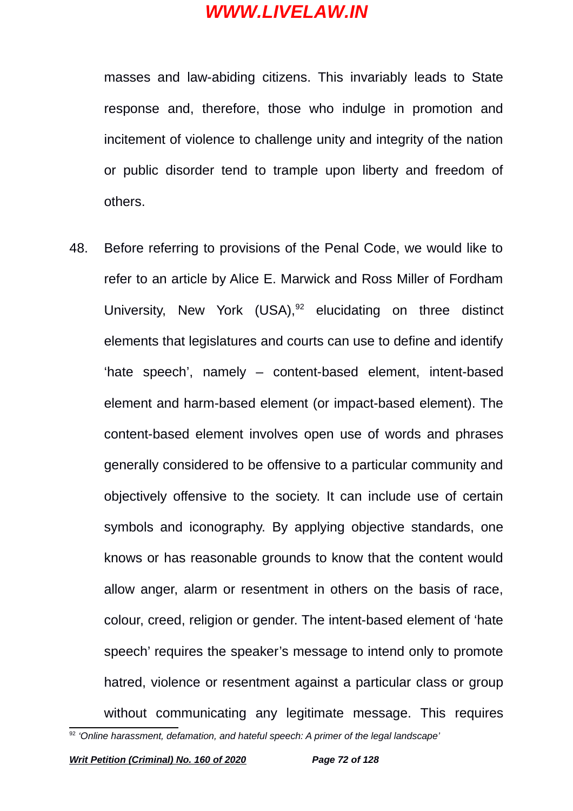masses and law-abiding citizens. This invariably leads to State response and, therefore, those who indulge in promotion and incitement of violence to challenge unity and integrity of the nation or public disorder tend to trample upon liberty and freedom of others.

48. Before referring to provisions of the Penal Code, we would like to refer to an article by Alice E. Marwick and Ross Miller of Fordham University, New York  $(USA)^{92}$  $(USA)^{92}$  $(USA)^{92}$  elucidating on three distinct elements that legislatures and courts can use to define and identify 'hate speech', namely – content-based element, intent-based element and harm-based element (or impact-based element). The content-based element involves open use of words and phrases generally considered to be offensive to a particular community and objectively offensive to the society. It can include use of certain symbols and iconography. By applying objective standards, one knows or has reasonable grounds to know that the content would allow anger, alarm or resentment in others on the basis of race, colour, creed, religion or gender. The intent-based element of 'hate speech' requires the speaker's message to intend only to promote hatred, violence or resentment against a particular class or group without communicating any legitimate message. This requires

<span id="page-71-0"></span><sup>92</sup> *'Online harassment, defamation, and hateful speech: A primer of the legal landscape'*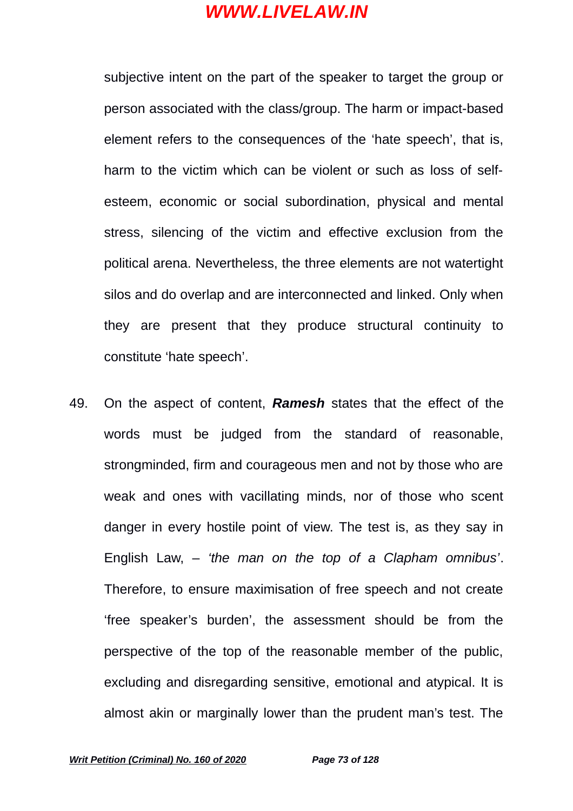subjective intent on the part of the speaker to target the group or person associated with the class/group. The harm or impact-based element refers to the consequences of the 'hate speech', that is, harm to the victim which can be violent or such as loss of selfesteem, economic or social subordination, physical and mental stress, silencing of the victim and effective exclusion from the political arena. Nevertheless, the three elements are not watertight silos and do overlap and are interconnected and linked. Only when they are present that they produce structural continuity to constitute 'hate speech'.

49. On the aspect of content, *Ramesh* states that the effect of the words must be judged from the standard of reasonable, strongminded, firm and courageous men and not by those who are weak and ones with vacillating minds, nor of those who scent danger in every hostile point of view. The test is, as they say in English Law, – *'the man on the top of a Clapham omnibus'*. Therefore, to ensure maximisation of free speech and not create 'free speaker's burden', the assessment should be from the perspective of the top of the reasonable member of the public, excluding and disregarding sensitive, emotional and atypical. It is almost akin or marginally lower than the prudent man's test. The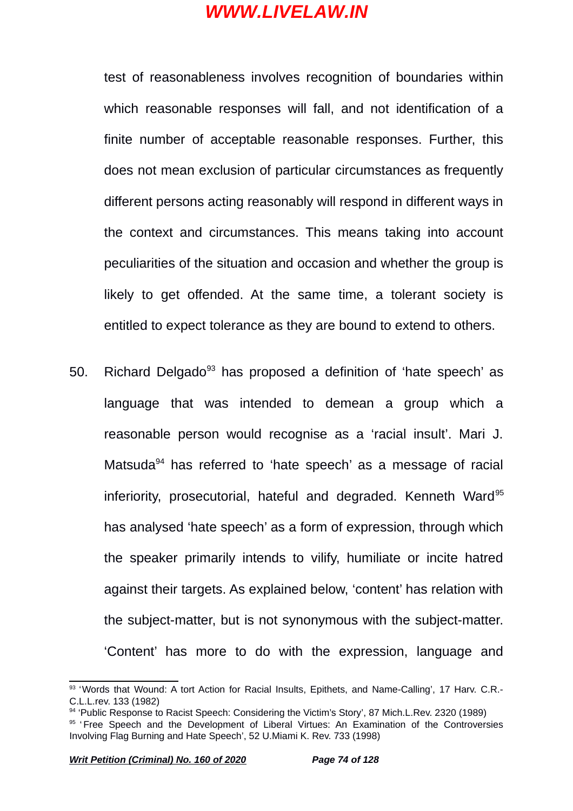test of reasonableness involves recognition of boundaries within which reasonable responses will fall, and not identification of a finite number of acceptable reasonable responses. Further, this does not mean exclusion of particular circumstances as frequently different persons acting reasonably will respond in different ways in the context and circumstances. This means taking into account peculiarities of the situation and occasion and whether the group is likely to get offended. At the same time, a tolerant society is entitled to expect tolerance as they are bound to extend to others.

50. Richard Delgado<sup>[93](#page-73-0)</sup> has proposed a definition of 'hate speech' as language that was intended to demean a group which a reasonable person would recognise as a 'racial insult'. Mari J. Matsuda<sup>[94](#page-73-1)</sup> has referred to 'hate speech' as a message of racial inferiority, prosecutorial, hateful and degraded. Kenneth Ward<sup>[95](#page-73-2)</sup> has analysed 'hate speech' as a form of expression, through which the speaker primarily intends to vilify, humiliate or incite hatred against their targets. As explained below, 'content' has relation with the subject-matter, but is not synonymous with the subject-matter. 'Content' has more to do with the expression, language and

<span id="page-73-0"></span><sup>93 &#</sup>x27;Words that Wound: A tort Action for Racial Insults, Epithets, and Name-Calling', 17 Harv. C.R.-C.L.L.rev. 133 (1982)

<span id="page-73-1"></span><sup>94 &#</sup>x27;Public Response to Racist Speech: Considering the Victim's Story', 87 Mich.L.Rev. 2320 (1989)

<span id="page-73-2"></span><sup>&</sup>lt;sup>95</sup> 'Free Speech and the Development of Liberal Virtues: An Examination of the Controversies Involving Flag Burning and Hate Speech', 52 U.Miami K. Rev. 733 (1998)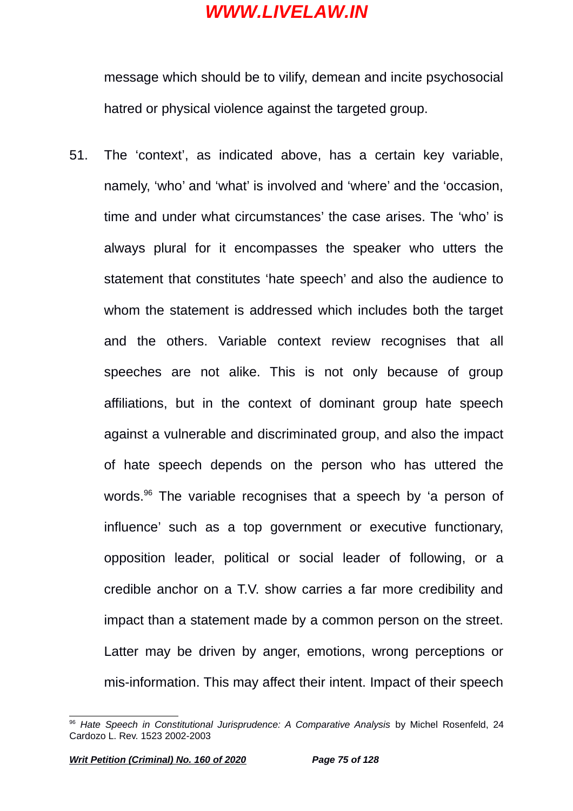message which should be to vilify, demean and incite psychosocial hatred or physical violence against the targeted group.

51. The 'context', as indicated above, has a certain key variable, namely, 'who' and 'what' is involved and 'where' and the 'occasion, time and under what circumstances' the case arises. The 'who' is always plural for it encompasses the speaker who utters the statement that constitutes 'hate speech' and also the audience to whom the statement is addressed which includes both the target and the others. Variable context review recognises that all speeches are not alike. This is not only because of group affiliations, but in the context of dominant group hate speech against a vulnerable and discriminated group, and also the impact of hate speech depends on the person who has uttered the words.<sup>[96](#page-74-0)</sup> The variable recognises that a speech by 'a person of influence' such as a top government or executive functionary, opposition leader, political or social leader of following, or a credible anchor on a T.V. show carries a far more credibility and impact than a statement made by a common person on the street. Latter may be driven by anger, emotions, wrong perceptions or mis-information. This may affect their intent. Impact of their speech

<span id="page-74-0"></span><sup>96</sup> *Hate Speech in Constitutional Jurisprudence: A Comparative Analysis* by Michel Rosenfeld, 24 Cardozo L. Rev. 1523 2002-2003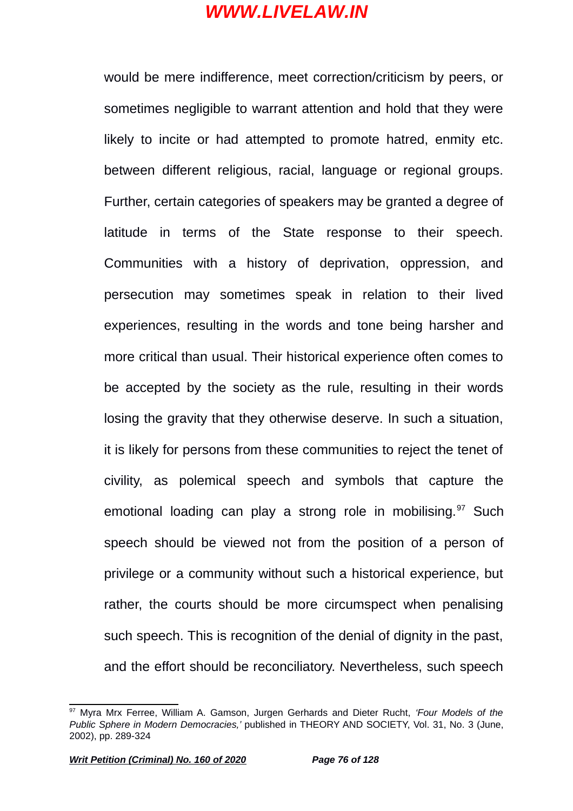would be mere indifference, meet correction/criticism by peers, or sometimes negligible to warrant attention and hold that they were likely to incite or had attempted to promote hatred, enmity etc. between different religious, racial, language or regional groups. Further, certain categories of speakers may be granted a degree of latitude in terms of the State response to their speech. Communities with a history of deprivation, oppression, and persecution may sometimes speak in relation to their lived experiences, resulting in the words and tone being harsher and more critical than usual. Their historical experience often comes to be accepted by the society as the rule, resulting in their words losing the gravity that they otherwise deserve. In such a situation, it is likely for persons from these communities to reject the tenet of civility, as polemical speech and symbols that capture the emotional loading can play a strong role in mobilising.<sup>[97](#page-75-0)</sup> Such speech should be viewed not from the position of a person of privilege or a community without such a historical experience, but rather, the courts should be more circumspect when penalising such speech. This is recognition of the denial of dignity in the past, and the effort should be reconciliatory. Nevertheless, such speech

<span id="page-75-0"></span><sup>97</sup> Myra Mrx Ferree, William A. Gamson, Jurgen Gerhards and Dieter Rucht, *'Four Models of the Public Sphere in Modern Democracies,'* published in THEORY AND SOCIETY, Vol. 31, No. 3 (June, 2002), pp. 289-324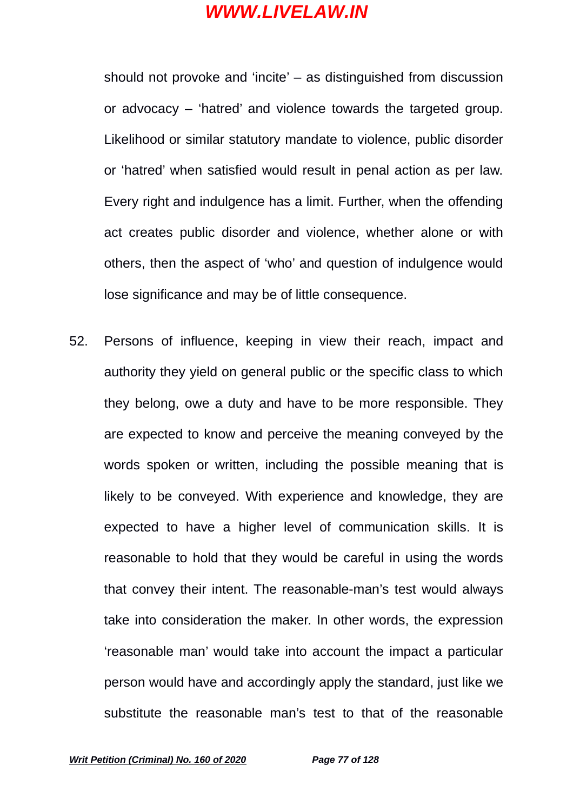should not provoke and 'incite' – as distinguished from discussion or advocacy – 'hatred' and violence towards the targeted group. Likelihood or similar statutory mandate to violence, public disorder or 'hatred' when satisfied would result in penal action as per law. Every right and indulgence has a limit. Further, when the offending act creates public disorder and violence, whether alone or with others, then the aspect of 'who' and question of indulgence would lose significance and may be of little consequence.

52. Persons of influence, keeping in view their reach, impact and authority they yield on general public or the specific class to which they belong, owe a duty and have to be more responsible. They are expected to know and perceive the meaning conveyed by the words spoken or written, including the possible meaning that is likely to be conveyed. With experience and knowledge, they are expected to have a higher level of communication skills. It is reasonable to hold that they would be careful in using the words that convey their intent. The reasonable-man's test would always take into consideration the maker. In other words, the expression 'reasonable man' would take into account the impact a particular person would have and accordingly apply the standard, just like we substitute the reasonable man's test to that of the reasonable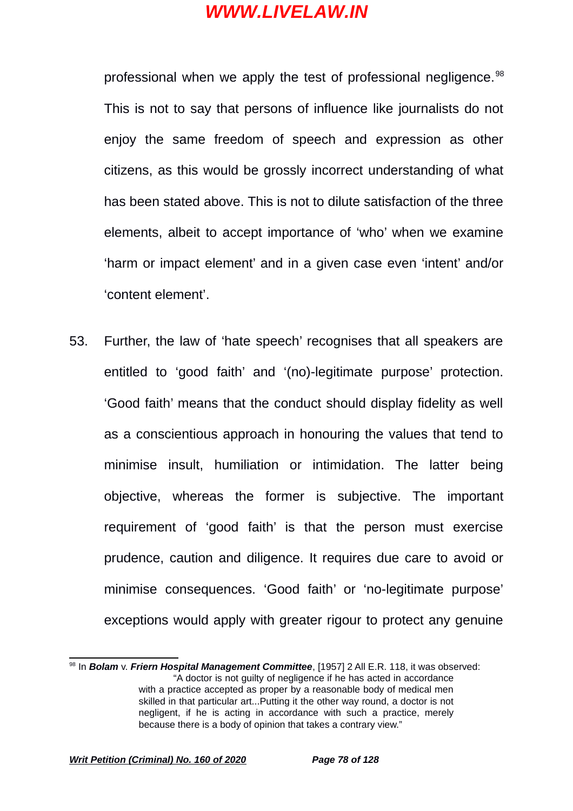professional when we apply the test of professional negligence.<sup>[98](#page-77-0)</sup> This is not to say that persons of influence like journalists do not enjoy the same freedom of speech and expression as other citizens, as this would be grossly incorrect understanding of what has been stated above. This is not to dilute satisfaction of the three elements, albeit to accept importance of 'who' when we examine 'harm or impact element' and in a given case even 'intent' and/or 'content element'.

53. Further, the law of 'hate speech' recognises that all speakers are entitled to 'good faith' and '(no)-legitimate purpose' protection. 'Good faith' means that the conduct should display fidelity as well as a conscientious approach in honouring the values that tend to minimise insult, humiliation or intimidation. The latter being objective, whereas the former is subjective. The important requirement of 'good faith' is that the person must exercise prudence, caution and diligence. It requires due care to avoid or minimise consequences. 'Good faith' or 'no-legitimate purpose' exceptions would apply with greater rigour to protect any genuine

<span id="page-77-0"></span><sup>98</sup> In *Bolam* v. *Friern Hospital Management Committee*, [1957] 2 All E.R. 118, it was observed: "A doctor is not guilty of negligence if he has acted in accordance with a practice accepted as proper by a reasonable body of medical men skilled in that particular art...Putting it the other way round, a doctor is not negligent, if he is acting in accordance with such a practice, merely because there is a body of opinion that takes a contrary view."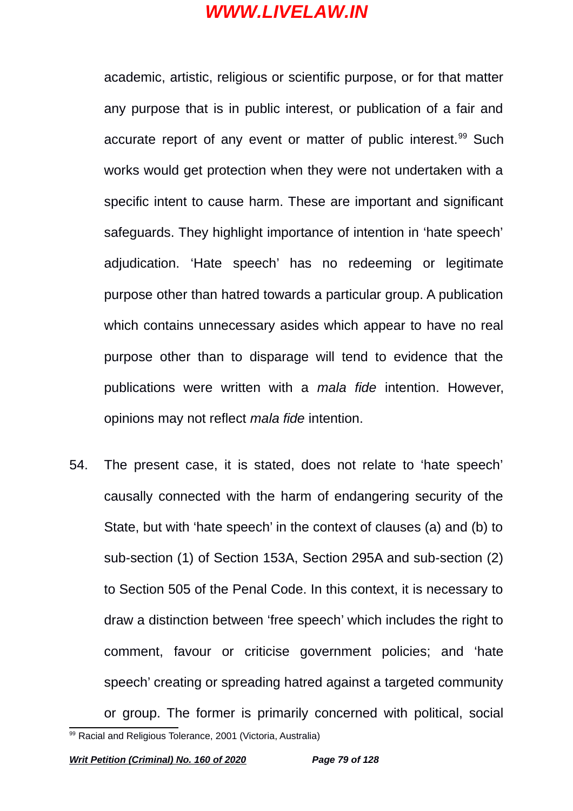academic, artistic, religious or scientific purpose, or for that matter any purpose that is in public interest, or publication of a fair and accurate report of any event or matter of public interest.<sup>[99](#page-78-0)</sup> Such works would get protection when they were not undertaken with a specific intent to cause harm. These are important and significant safeguards. They highlight importance of intention in 'hate speech' adjudication. 'Hate speech' has no redeeming or legitimate purpose other than hatred towards a particular group. A publication which contains unnecessary asides which appear to have no real purpose other than to disparage will tend to evidence that the publications were written with a *mala fide* intention. However, opinions may not reflect *mala fide* intention.

54. The present case, it is stated, does not relate to 'hate speech' causally connected with the harm of endangering security of the State, but with 'hate speech' in the context of clauses (a) and (b) to sub-section (1) of Section 153A, Section 295A and sub-section (2) to Section 505 of the Penal Code. In this context, it is necessary to draw a distinction between 'free speech' which includes the right to comment, favour or criticise government policies; and 'hate speech' creating or spreading hatred against a targeted community or group. The former is primarily concerned with political, social

<span id="page-78-0"></span><sup>99</sup> Racial and Religious Tolerance, 2001 (Victoria, Australia)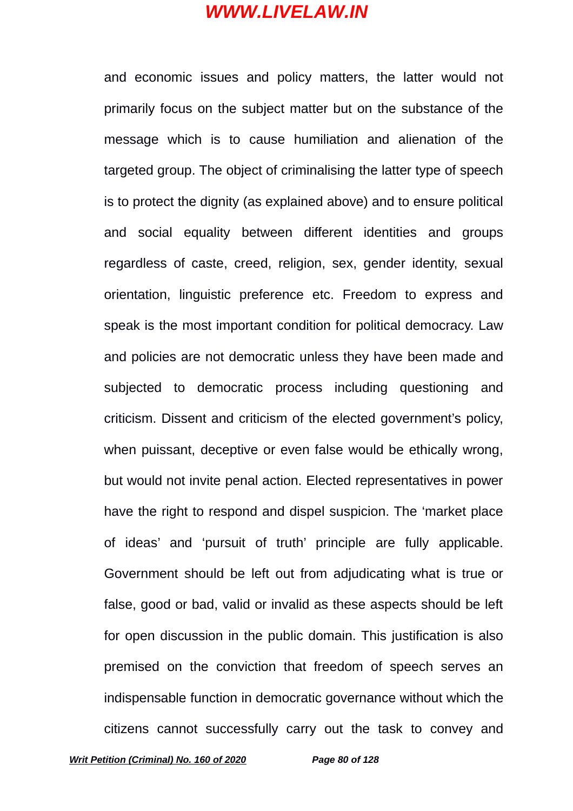and economic issues and policy matters, the latter would not primarily focus on the subject matter but on the substance of the message which is to cause humiliation and alienation of the targeted group. The object of criminalising the latter type of speech is to protect the dignity (as explained above) and to ensure political and social equality between different identities and groups regardless of caste, creed, religion, sex, gender identity, sexual orientation, linguistic preference etc. Freedom to express and speak is the most important condition for political democracy. Law and policies are not democratic unless they have been made and subjected to democratic process including questioning and criticism. Dissent and criticism of the elected government's policy, when puissant, deceptive or even false would be ethically wrong, but would not invite penal action. Elected representatives in power have the right to respond and dispel suspicion. The 'market place of ideas' and 'pursuit of truth' principle are fully applicable. Government should be left out from adjudicating what is true or false, good or bad, valid or invalid as these aspects should be left for open discussion in the public domain. This justification is also premised on the conviction that freedom of speech serves an indispensable function in democratic governance without which the citizens cannot successfully carry out the task to convey and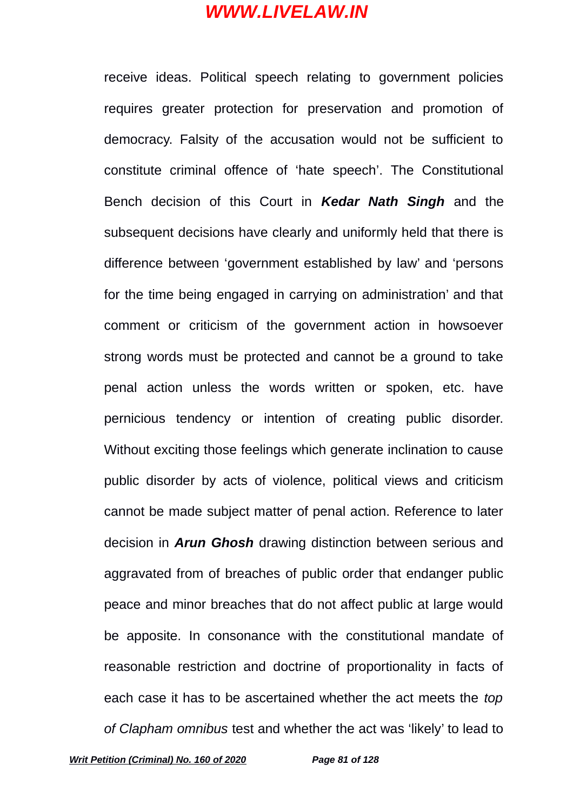receive ideas. Political speech relating to government policies requires greater protection for preservation and promotion of democracy. Falsity of the accusation would not be sufficient to constitute criminal offence of 'hate speech'. The Constitutional Bench decision of this Court in *Kedar Nath Singh* and the subsequent decisions have clearly and uniformly held that there is difference between 'government established by law' and 'persons for the time being engaged in carrying on administration' and that comment or criticism of the government action in howsoever strong words must be protected and cannot be a ground to take penal action unless the words written or spoken, etc. have pernicious tendency or intention of creating public disorder. Without exciting those feelings which generate inclination to cause public disorder by acts of violence, political views and criticism cannot be made subject matter of penal action. Reference to later decision in *Arun Ghosh* drawing distinction between serious and aggravated from of breaches of public order that endanger public peace and minor breaches that do not affect public at large would be apposite. In consonance with the constitutional mandate of reasonable restriction and doctrine of proportionality in facts of each case it has to be ascertained whether the act meets the *top of Clapham omnibus* test and whether the act was 'likely' to lead to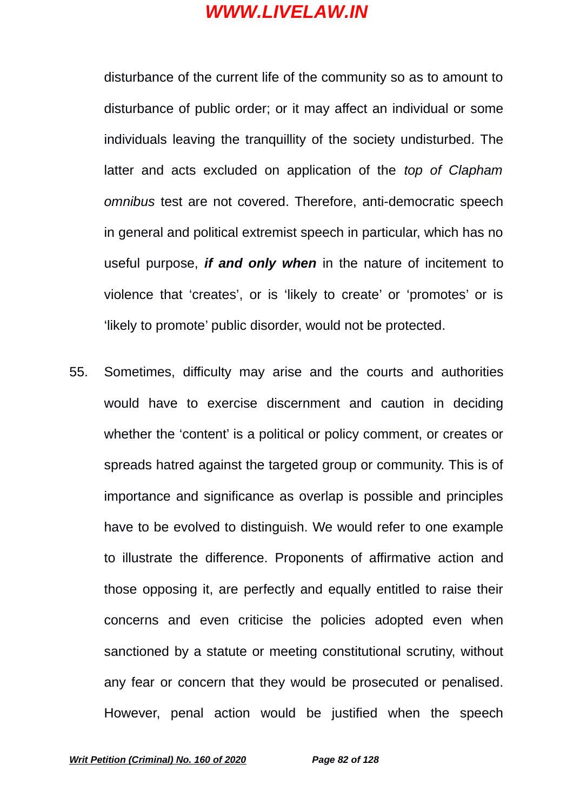disturbance of the current life of the community so as to amount to disturbance of public order; or it may affect an individual or some individuals leaving the tranquillity of the society undisturbed. The latter and acts excluded on application of the *top of Clapham omnibus* test are not covered. Therefore, anti-democratic speech in general and political extremist speech in particular, which has no useful purpose, *if and only when* in the nature of incitement to violence that 'creates', or is 'likely to create' or 'promotes' or is 'likely to promote' public disorder, would not be protected.

55. Sometimes, difficulty may arise and the courts and authorities would have to exercise discernment and caution in deciding whether the 'content' is a political or policy comment, or creates or spreads hatred against the targeted group or community. This is of importance and significance as overlap is possible and principles have to be evolved to distinguish. We would refer to one example to illustrate the difference. Proponents of affirmative action and those opposing it, are perfectly and equally entitled to raise their concerns and even criticise the policies adopted even when sanctioned by a statute or meeting constitutional scrutiny, without any fear or concern that they would be prosecuted or penalised. However, penal action would be justified when the speech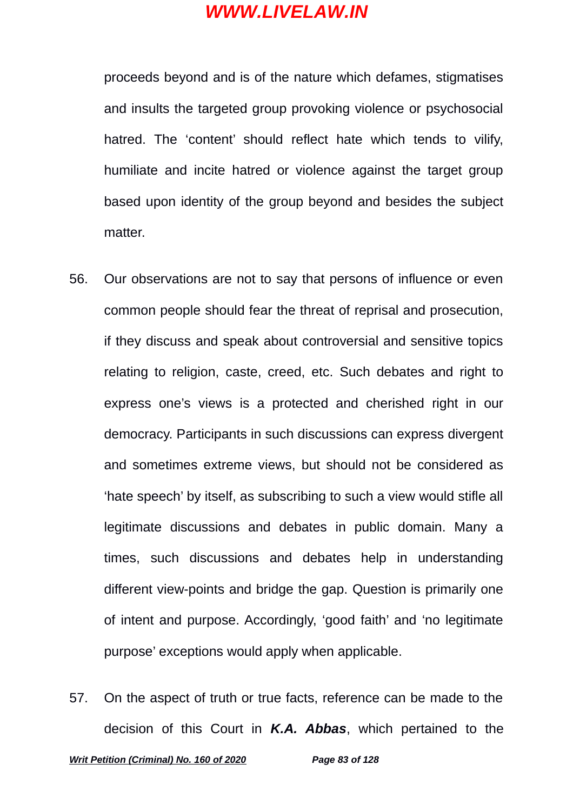proceeds beyond and is of the nature which defames, stigmatises and insults the targeted group provoking violence or psychosocial hatred. The 'content' should reflect hate which tends to vilify, humiliate and incite hatred or violence against the target group based upon identity of the group beyond and besides the subject matter.

- 56. Our observations are not to say that persons of influence or even common people should fear the threat of reprisal and prosecution, if they discuss and speak about controversial and sensitive topics relating to religion, caste, creed, etc. Such debates and right to express one's views is a protected and cherished right in our democracy. Participants in such discussions can express divergent and sometimes extreme views, but should not be considered as 'hate speech' by itself, as subscribing to such a view would stifle all legitimate discussions and debates in public domain. Many a times, such discussions and debates help in understanding different view-points and bridge the gap. Question is primarily one of intent and purpose. Accordingly, 'good faith' and 'no legitimate purpose' exceptions would apply when applicable.
- 57. On the aspect of truth or true facts, reference can be made to the decision of this Court in *K.A. Abbas*, which pertained to the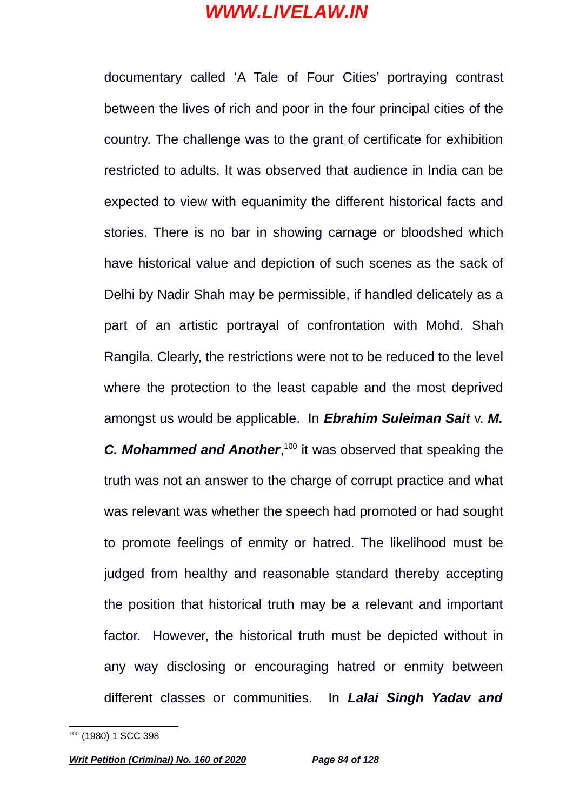documentary called 'A Tale of Four Cities' portraying contrast between the lives of rich and poor in the four principal cities of the country. The challenge was to the grant of certificate for exhibition restricted to adults. It was observed that audience in India can be expected to view with equanimity the different historical facts and stories. There is no bar in showing carnage or bloodshed which have historical value and depiction of such scenes as the sack of Delhi by Nadir Shah may be permissible, if handled delicately as a part of an artistic portrayal of confrontation with Mohd. Shah Rangila. Clearly, the restrictions were not to be reduced to the level where the protection to the least capable and the most deprived amongst us would be applicable. In *Ebrahim Suleiman Sait* v. *M.* **C. Mohammed and Another**,<sup>[100](#page-83-0)</sup> it was observed that speaking the truth was not an answer to the charge of corrupt practice and what was relevant was whether the speech had promoted or had sought to promote feelings of enmity or hatred. The likelihood must be judged from healthy and reasonable standard thereby accepting the position that historical truth may be a relevant and important factor. However, the historical truth must be depicted without in any way disclosing or encouraging hatred or enmity between different classes or communities. In *Lalai Singh Yadav and*

<span id="page-83-0"></span><sup>&</sup>lt;sup>100</sup> (1980) 1 SCC 398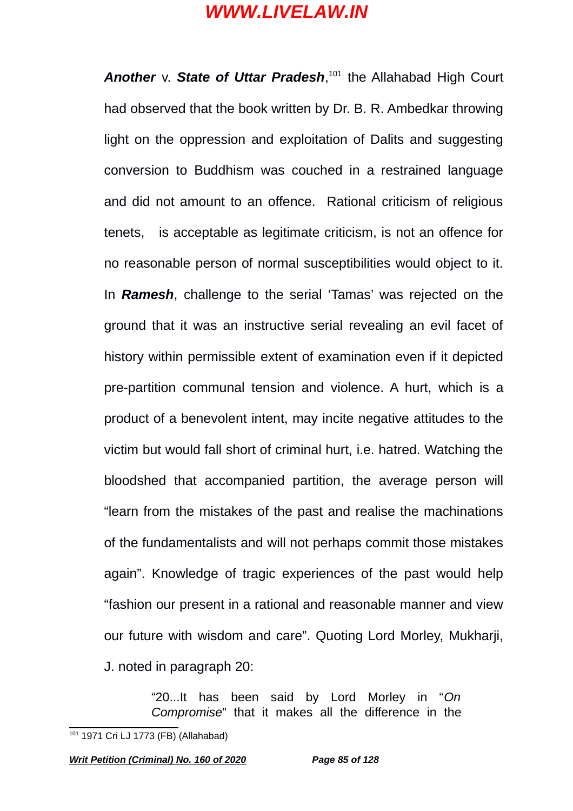*Another* v. *State of Uttar Pradesh*, [101](#page-84-0) the Allahabad High Court had observed that the book written by Dr. B. R. Ambedkar throwing light on the oppression and exploitation of Dalits and suggesting conversion to Buddhism was couched in a restrained language and did not amount to an offence. Rational criticism of religious tenets, wis acceptable as legitimate criticism, is not an offence for no reasonable person of normal susceptibilities would object to it. In *Ramesh*, challenge to the serial 'Tamas' was rejected on the ground that it was an instructive serial revealing an evil facet of history within permissible extent of examination even if it depicted pre-partition communal tension and violence. A hurt, which is a product of a benevolent intent, may incite negative attitudes to the victim but would fall short of criminal hurt, i.e. hatred. Watching the bloodshed that accompanied partition, the average person will "learn from the mistakes of the past and realise the machinations of the fundamentalists and will not perhaps commit those mistakes again". Knowledge of tragic experiences of the past would help "fashion our present in a rational and reasonable manner and view our future with wisdom and care". Quoting Lord Morley, Mukharji, J. noted in paragraph 20:

> "20...It has been said by Lord Morley in "*On Compromise*" that it makes all the difference in the

<span id="page-84-0"></span><sup>101 1971</sup> Cri LJ 1773 (FB) (Allahabad)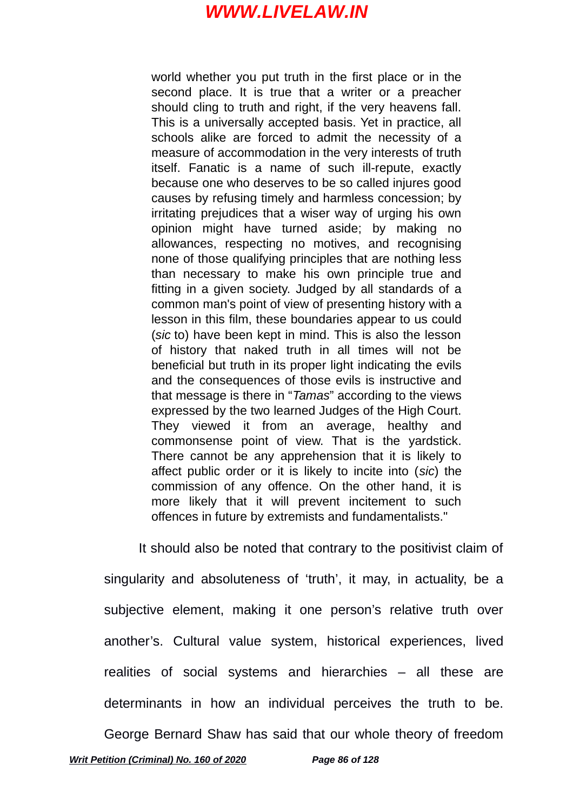world whether you put truth in the first place or in the second place. It is true that a writer or a preacher should cling to truth and right, if the very heavens fall. This is a universally accepted basis. Yet in practice, all schools alike are forced to admit the necessity of a measure of accommodation in the very interests of truth itself. Fanatic is a name of such ill-repute, exactly because one who deserves to be so called injures good causes by refusing timely and harmless concession; by irritating prejudices that a wiser way of urging his own opinion might have turned aside; by making no allowances, respecting no motives, and recognising none of those qualifying principles that are nothing less than necessary to make his own principle true and fitting in a given society. Judged by all standards of a common man's point of view of presenting history with a lesson in this film, these boundaries appear to us could (*sic* to) have been kept in mind. This is also the lesson of history that naked truth in all times will not be beneficial but truth in its proper light indicating the evils and the consequences of those evils is instructive and that message is there in "*Tamas*" according to the views expressed by the two learned Judges of the High Court. They viewed it from an average, healthy and commonsense point of view. That is the yardstick. There cannot be any apprehension that it is likely to affect public order or it is likely to incite into (*sic*) the commission of any offence. On the other hand, it is more likely that it will prevent incitement to such offences in future by extremists and fundamentalists."

It should also be noted that contrary to the positivist claim of singularity and absoluteness of 'truth', it may, in actuality, be a subjective element, making it one person's relative truth over another's. Cultural value system, historical experiences, lived realities of social systems and hierarchies – all these are determinants in how an individual perceives the truth to be.

George Bernard Shaw has said that our whole theory of freedom *Writ Petition (Criminal) No. 160 of 2020 Page 86 of 128*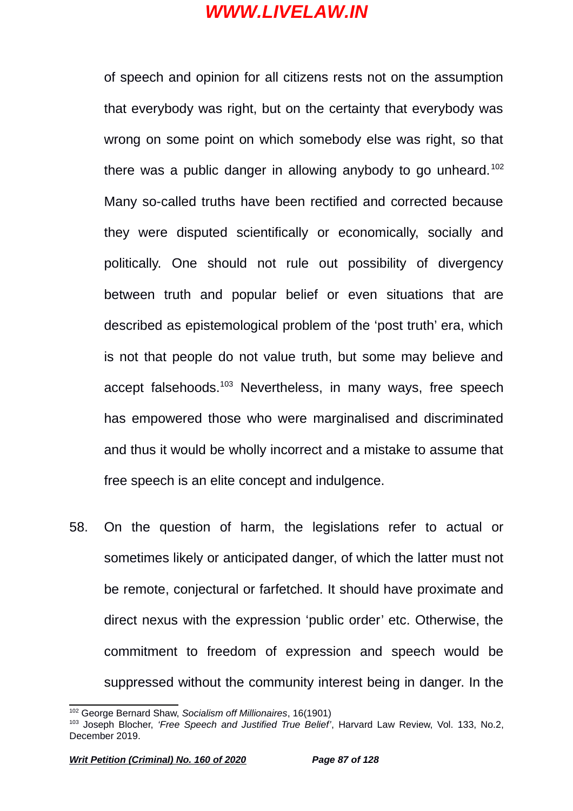of speech and opinion for all citizens rests not on the assumption that everybody was right, but on the certainty that everybody was wrong on some point on which somebody else was right, so that there was a public danger in allowing anybody to go unheard.<sup>[102](#page-86-0)</sup> Many so-called truths have been rectified and corrected because they were disputed scientifically or economically, socially and politically. One should not rule out possibility of divergency between truth and popular belief or even situations that are described as epistemological problem of the 'post truth' era, which is not that people do not value truth, but some may believe and accept falsehoods.<sup>[103](#page-86-1)</sup> Nevertheless, in many ways, free speech has empowered those who were marginalised and discriminated and thus it would be wholly incorrect and a mistake to assume that free speech is an elite concept and indulgence.

58. On the question of harm, the legislations refer to actual or sometimes likely or anticipated danger, of which the latter must not be remote, conjectural or farfetched. It should have proximate and direct nexus with the expression 'public order' etc. Otherwise, the commitment to freedom of expression and speech would be suppressed without the community interest being in danger. In the

<span id="page-86-0"></span><sup>102</sup> George Bernard Shaw, *Socialism off Millionaires*, 16(1901)

<span id="page-86-1"></span><sup>103</sup> Joseph Blocher, *'Free Speech and Justified True Belief'*, Harvard Law Review, Vol. 133, No.2, December 2019.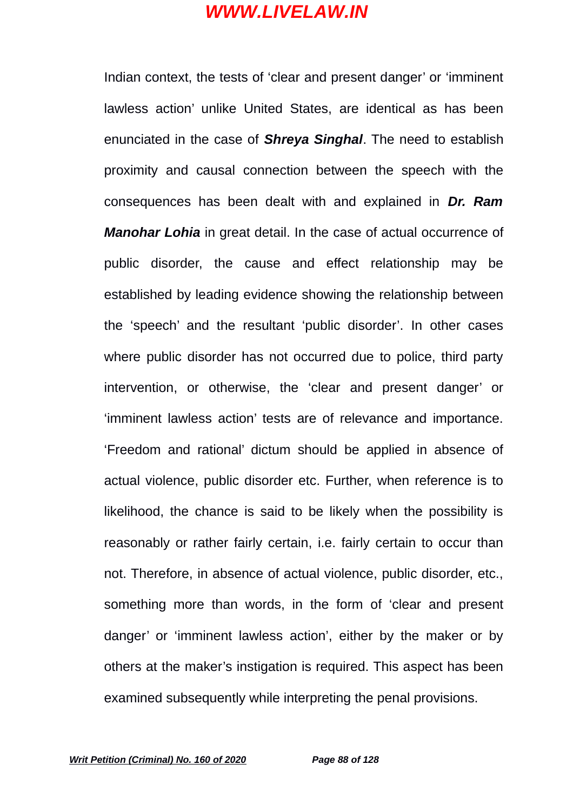Indian context, the tests of 'clear and present danger' or 'imminent lawless action' unlike United States, are identical as has been enunciated in the case of *Shreya Singhal*. The need to establish proximity and causal connection between the speech with the consequences has been dealt with and explained in *Dr. Ram Manohar Lohia* in great detail. In the case of actual occurrence of public disorder, the cause and effect relationship may be established by leading evidence showing the relationship between the 'speech' and the resultant 'public disorder'. In other cases where public disorder has not occurred due to police, third party intervention, or otherwise, the 'clear and present danger' or 'imminent lawless action' tests are of relevance and importance. 'Freedom and rational' dictum should be applied in absence of actual violence, public disorder etc. Further, when reference is to likelihood, the chance is said to be likely when the possibility is reasonably or rather fairly certain, i.e. fairly certain to occur than not. Therefore, in absence of actual violence, public disorder, etc., something more than words, in the form of 'clear and present danger' or 'imminent lawless action', either by the maker or by others at the maker's instigation is required. This aspect has been examined subsequently while interpreting the penal provisions.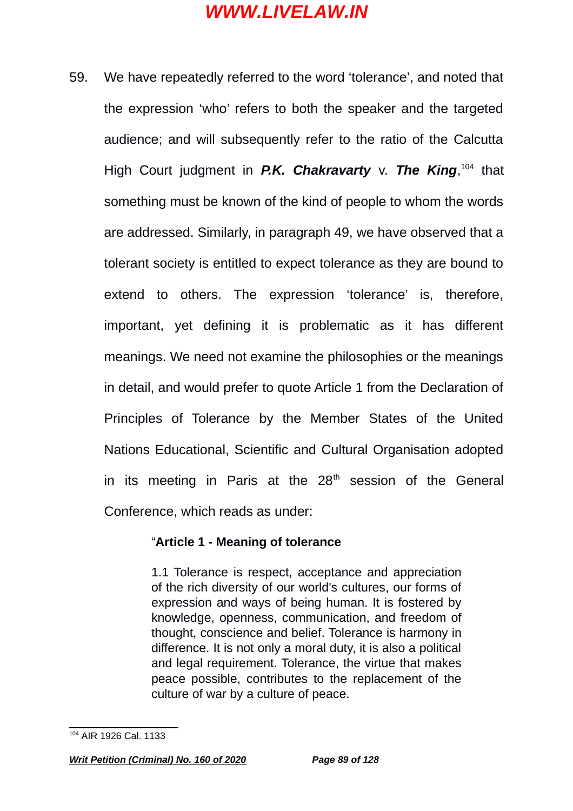59. We have repeatedly referred to the word 'tolerance', and noted that the expression 'who' refers to both the speaker and the targeted audience; and will subsequently refer to the ratio of the Calcutta High Court judgment in P.K. Chakravarty v. The King, [104](#page-88-0) that something must be known of the kind of people to whom the words are addressed. Similarly, in paragraph 49, we have observed that a tolerant society is entitled to expect tolerance as they are bound to extend to others. The expression 'tolerance' is, therefore, important, yet defining it is problematic as it has different meanings. We need not examine the philosophies or the meanings in detail, and would prefer to quote Article 1 from the Declaration of Principles of Tolerance by the Member States of the United Nations Educational, Scientific and Cultural Organisation adopted in its meeting in Paris at the  $28<sup>th</sup>$  session of the General Conference, which reads as under:

#### "**Article 1 - Meaning of tolerance**

1.1 Tolerance is respect, acceptance and appreciation of the rich diversity of our world's cultures, our forms of expression and ways of being human. It is fostered by knowledge, openness, communication, and freedom of thought, conscience and belief. Tolerance is harmony in difference. It is not only a moral duty, it is also a political and legal requirement. Tolerance, the virtue that makes peace possible, contributes to the replacement of the culture of war by a culture of peace.

<span id="page-88-0"></span><sup>104</sup> AIR 1926 Cal. 1133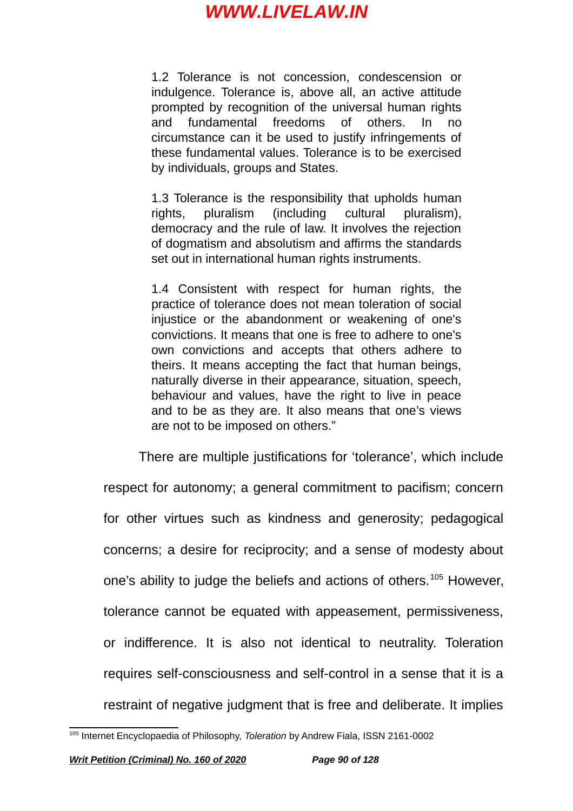1.2 Tolerance is not concession, condescension or indulgence. Tolerance is, above all, an active attitude prompted by recognition of the universal human rights and fundamental freedoms of others. In no circumstance can it be used to justify infringements of these fundamental values. Tolerance is to be exercised by individuals, groups and States.

1.3 Tolerance is the responsibility that upholds human rights, pluralism (including cultural pluralism), democracy and the rule of law. It involves the rejection of dogmatism and absolutism and affirms the standards set out in international human rights instruments.

1.4 Consistent with respect for human rights, the practice of tolerance does not mean toleration of social injustice or the abandonment or weakening of one's convictions. It means that one is free to adhere to one's own convictions and accepts that others adhere to theirs. It means accepting the fact that human beings, naturally diverse in their appearance, situation, speech, behaviour and values, have the right to live in peace and to be as they are. It also means that one's views are not to be imposed on others."

There are multiple justifications for 'tolerance', which include respect for autonomy; a general commitment to pacifism; concern for other virtues such as kindness and generosity; pedagogical concerns; a desire for reciprocity; and a sense of modesty about one's ability to judge the beliefs and actions of others.<sup>[105](#page-89-0)</sup> However, tolerance cannot be equated with appeasement, permissiveness, or indifference. It is also not identical to neutrality. Toleration requires self-consciousness and self-control in a sense that it is a restraint of negative judgment that is free and deliberate. It implies

<span id="page-89-0"></span><sup>105</sup> Internet Encyclopaedia of Philosophy, *Toleration* by Andrew Fiala, ISSN 2161-0002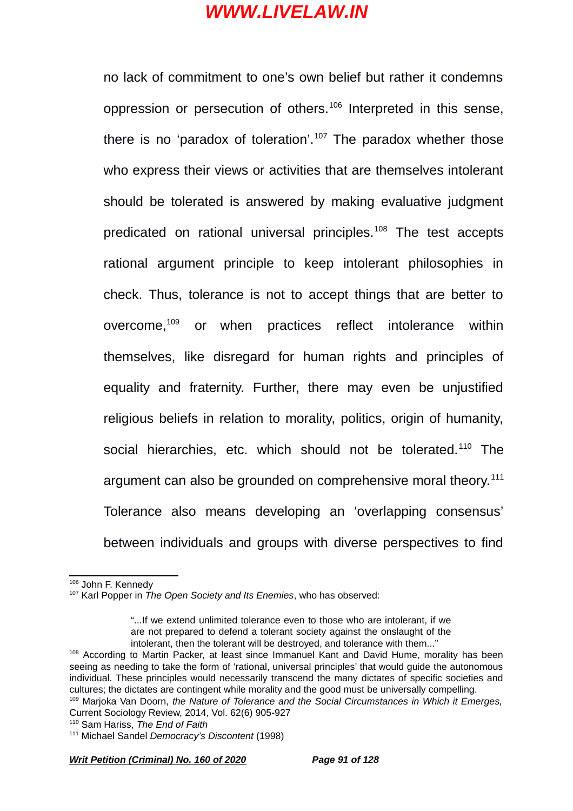no lack of commitment to one's own belief but rather it condemns oppression or persecution of others.<sup>[106](#page-90-0)</sup> Interpreted in this sense, there is no 'paradox of toleration'.<sup>[107](#page-90-1)</sup> The paradox whether those who express their views or activities that are themselves intolerant should be tolerated is answered by making evaluative judgment predicated on rational universal principles.<sup>[108](#page-90-2)</sup> The test accepts rational argument principle to keep intolerant philosophies in check. Thus, tolerance is not to accept things that are better to overcome,[109](#page-90-3) or when practices reflect intolerance within themselves, like disregard for human rights and principles of equality and fraternity. Further, there may even be unjustified religious beliefs in relation to morality, politics, origin of humanity, social hierarchies, etc. which should not be tolerated.<sup>[110](#page-90-4)</sup> The argument can also be grounded on comprehensive moral theory.<sup>[111](#page-90-5)</sup> Tolerance also means developing an 'overlapping consensus' between individuals and groups with diverse perspectives to find

*Writ Petition (Criminal) No. 160 of 2020 Page 91 of 128*

<span id="page-90-0"></span><sup>106</sup> John F. Kennedy

<span id="page-90-1"></span><sup>107</sup> Karl Popper in *The Open Society and Its Enemies*, who has observed:

<sup>&</sup>quot;...If we extend unlimited tolerance even to those who are intolerant, if we are not prepared to defend a tolerant society against the onslaught of the intolerant, then the tolerant will be destroyed, and tolerance with them..."

<span id="page-90-2"></span><sup>&</sup>lt;sup>108</sup> According to Martin Packer, at least since Immanuel Kant and David Hume, morality has been seeing as needing to take the form of 'rational, universal principles' that would guide the autonomous individual. These principles would necessarily transcend the many dictates of specific societies and cultures; the dictates are contingent while morality and the good must be universally compelling.

<span id="page-90-3"></span><sup>109</sup> Marjoka Van Doorn, *the Nature of Tolerance and the Social Circumstances in Which it Emerges,* Current Sociology Review, 2014, Vol. 62(6) 905-927

<span id="page-90-4"></span><sup>110</sup> Sam Hariss, *The End of Faith*

<span id="page-90-5"></span><sup>111</sup> Michael Sandel *Democracy's Discontent* (1998)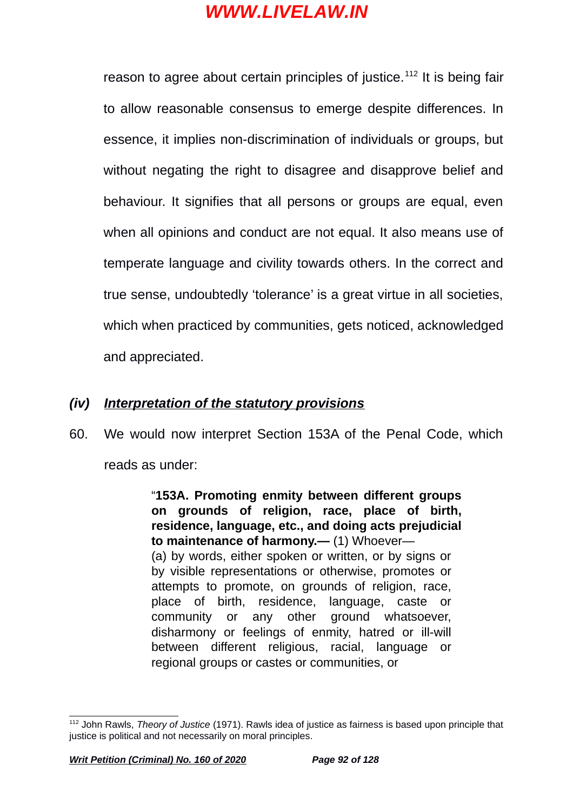reason to agree about certain principles of justice.<sup>[112](#page-91-0)</sup> It is being fair to allow reasonable consensus to emerge despite differences. In essence, it implies non-discrimination of individuals or groups, but without negating the right to disagree and disapprove belief and behaviour. It signifies that all persons or groups are equal, even when all opinions and conduct are not equal. It also means use of temperate language and civility towards others. In the correct and true sense, undoubtedly 'tolerance' is a great virtue in all societies, which when practiced by communities, gets noticed, acknowledged and appreciated.

### *(iv) Interpretation of the statutory provisions*

60. We would now interpret Section 153A of the Penal Code, which reads as under:

> "**153A. Promoting enmity between different groups on grounds of religion, race, place of birth, residence, language, etc., and doing acts prejudicial to maintenance of harmony.—** (1) Whoever— (a) by words, either spoken or written, or by signs or by visible representations or otherwise, promotes or attempts to promote, on grounds of religion, race, place of birth, residence, language, caste or community or any other ground whatsoever, disharmony or feelings of enmity, hatred or ill-will between different religious, racial, language or regional groups or castes or communities, or

<span id="page-91-0"></span><sup>112</sup> John Rawls, *Theory of Justice* (1971). Rawls idea of justice as fairness is based upon principle that justice is political and not necessarily on moral principles.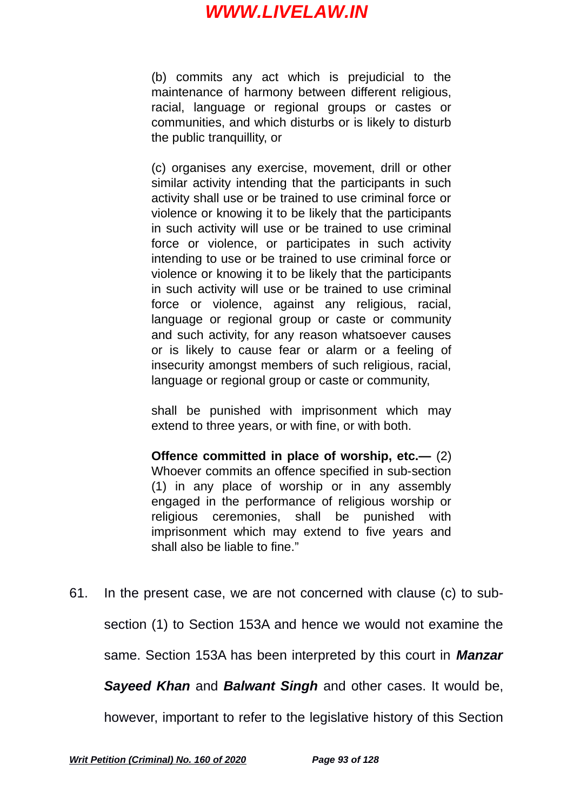(b) commits any act which is prejudicial to the maintenance of harmony between different religious, racial, language or regional groups or castes or communities, and which disturbs or is likely to disturb the public tranquillity, or

(c) organises any exercise, movement, drill or other similar activity intending that the participants in such activity shall use or be trained to use criminal force or violence or knowing it to be likely that the participants in such activity will use or be trained to use criminal force or violence, or participates in such activity intending to use or be trained to use criminal force or violence or knowing it to be likely that the participants in such activity will use or be trained to use criminal force or violence, against any religious, racial, language or regional group or caste or community and such activity, for any reason whatsoever causes or is likely to cause fear or alarm or a feeling of insecurity amongst members of such religious, racial, language or regional group or caste or community,

shall be punished with imprisonment which may extend to three years, or with fine, or with both.

**Offence committed in place of worship, etc.—** (2) Whoever commits an offence specified in sub-section (1) in any place of worship or in any assembly engaged in the performance of religious worship or religious ceremonies, shall be punished with imprisonment which may extend to five years and shall also be liable to fine."

61. In the present case, we are not concerned with clause (c) to subsection (1) to Section 153A and hence we would not examine the same. Section 153A has been interpreted by this court in *Manzar Sayeed Khan* and *Balwant Singh* and other cases. It would be, however, important to refer to the legislative history of this Section

*Writ Petition (Criminal) No. 160 of 2020 Page 93 of 128*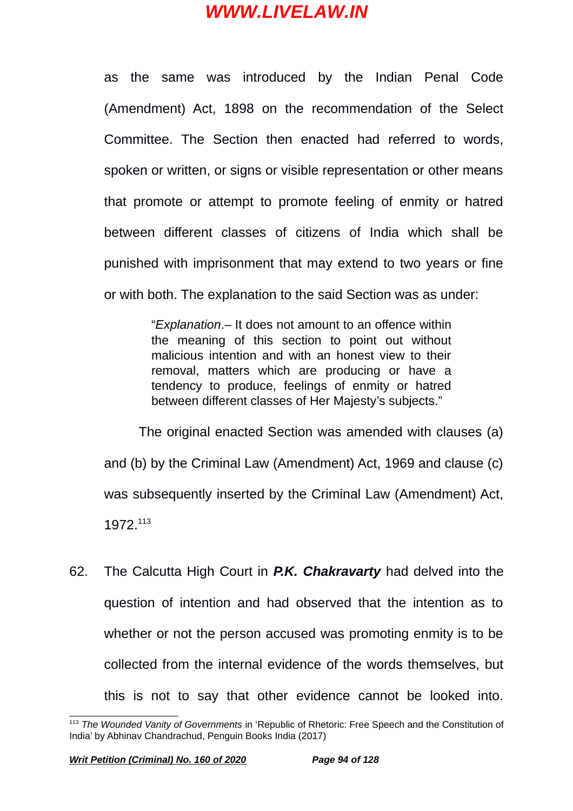as the same was introduced by the Indian Penal Code (Amendment) Act, 1898 on the recommendation of the Select Committee. The Section then enacted had referred to words, spoken or written, or signs or visible representation or other means that promote or attempt to promote feeling of enmity or hatred between different classes of citizens of India which shall be punished with imprisonment that may extend to two years or fine or with both. The explanation to the said Section was as under:

> "*Explanation*.– It does not amount to an offence within the meaning of this section to point out without malicious intention and with an honest view to their removal, matters which are producing or have a tendency to produce, feelings of enmity or hatred between different classes of Her Majesty's subjects."

The original enacted Section was amended with clauses (a) and (b) by the Criminal Law (Amendment) Act, 1969 and clause (c) was subsequently inserted by the Criminal Law (Amendment) Act, 1972.[113](#page-93-0)

62. The Calcutta High Court in *P.K. Chakravarty* had delved into the question of intention and had observed that the intention as to whether or not the person accused was promoting enmity is to be collected from the internal evidence of the words themselves, but this is not to say that other evidence cannot be looked into.

<span id="page-93-0"></span><sup>113</sup> *The Wounded Vanity of Governments* in 'Republic of Rhetoric: Free Speech and the Constitution of India' by Abhinav Chandrachud, Penguin Books India (2017)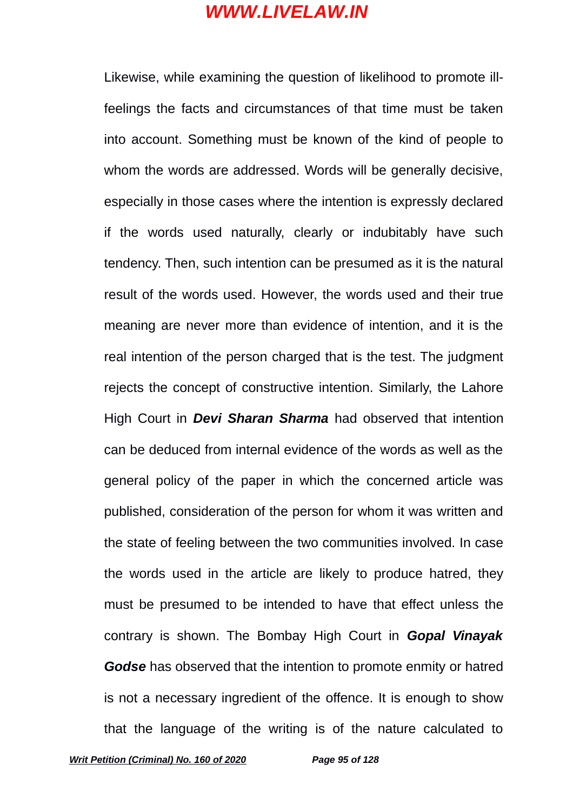Likewise, while examining the question of likelihood to promote illfeelings the facts and circumstances of that time must be taken into account. Something must be known of the kind of people to whom the words are addressed. Words will be generally decisive, especially in those cases where the intention is expressly declared if the words used naturally, clearly or indubitably have such tendency. Then, such intention can be presumed as it is the natural result of the words used. However, the words used and their true meaning are never more than evidence of intention, and it is the real intention of the person charged that is the test. The judgment rejects the concept of constructive intention. Similarly, the Lahore High Court in *Devi Sharan Sharma* had observed that intention can be deduced from internal evidence of the words as well as the general policy of the paper in which the concerned article was published, consideration of the person for whom it was written and the state of feeling between the two communities involved. In case the words used in the article are likely to produce hatred, they must be presumed to be intended to have that effect unless the contrary is shown. The Bombay High Court in *Gopal Vinayak Godse* has observed that the intention to promote enmity or hatred is not a necessary ingredient of the offence. It is enough to show that the language of the writing is of the nature calculated to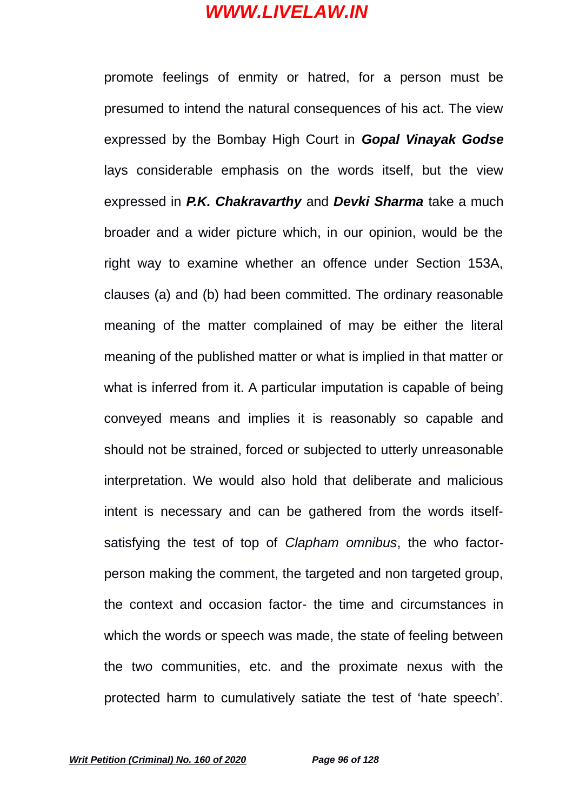promote feelings of enmity or hatred, for a person must be presumed to intend the natural consequences of his act. The view expressed by the Bombay High Court in *Gopal Vinayak Godse* lays considerable emphasis on the words itself, but the view expressed in *P.K. Chakravarthy* and *Devki Sharma* take a much broader and a wider picture which, in our opinion, would be the right way to examine whether an offence under Section 153A, clauses (a) and (b) had been committed. The ordinary reasonable meaning of the matter complained of may be either the literal meaning of the published matter or what is implied in that matter or what is inferred from it. A particular imputation is capable of being conveyed means and implies it is reasonably so capable and should not be strained, forced or subjected to utterly unreasonable interpretation. We would also hold that deliberate and malicious intent is necessary and can be gathered from the words itselfsatisfying the test of top of *Clapham omnibus*, the who factorperson making the comment, the targeted and non targeted group, the context and occasion factor- the time and circumstances in which the words or speech was made, the state of feeling between the two communities, etc. and the proximate nexus with the protected harm to cumulatively satiate the test of 'hate speech'.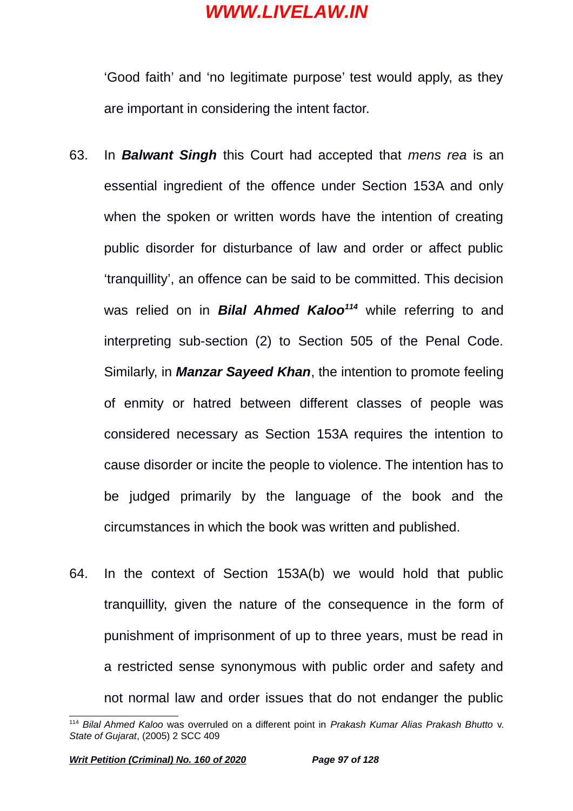'Good faith' and 'no legitimate purpose' test would apply, as they are important in considering the intent factor.

- 63. In *Balwant Singh* this Court had accepted that *mens rea* is an essential ingredient of the offence under Section 153A and only when the spoken or written words have the intention of creating public disorder for disturbance of law and order or affect public 'tranquillity', an offence can be said to be committed. This decision was relied on in *Bilal Ahmed Kaloo[114](#page-96-0)* while referring to and interpreting sub-section (2) to Section 505 of the Penal Code. Similarly, in *Manzar Sayeed Khan*, the intention to promote feeling of enmity or hatred between different classes of people was considered necessary as Section 153A requires the intention to cause disorder or incite the people to violence. The intention has to be judged primarily by the language of the book and the circumstances in which the book was written and published.
- 64. In the context of Section 153A(b) we would hold that public tranquillity, given the nature of the consequence in the form of punishment of imprisonment of up to three years, must be read in a restricted sense synonymous with public order and safety and not normal law and order issues that do not endanger the public

<span id="page-96-0"></span><sup>114</sup> *Bilal Ahmed Kaloo* was overruled on a different point in *Prakash Kumar Alias Prakash Bhutto* v. *State of Gujarat*, (2005) 2 SCC 409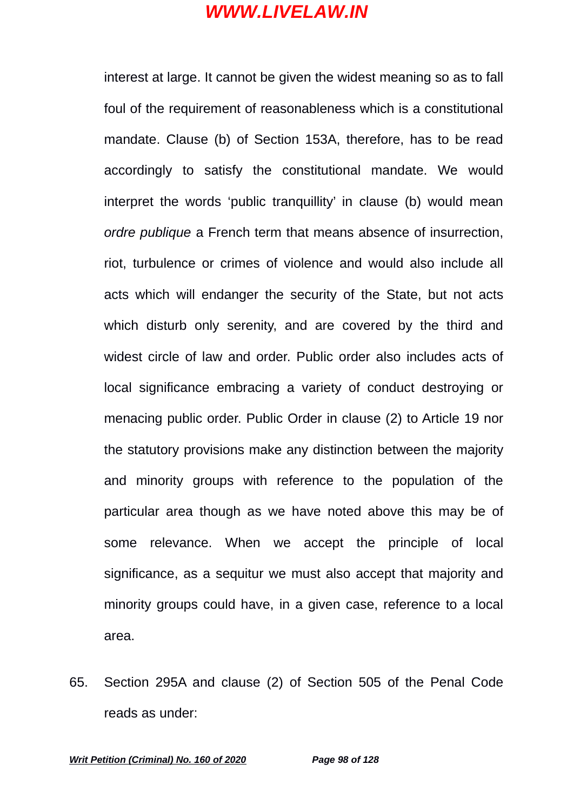interest at large. It cannot be given the widest meaning so as to fall foul of the requirement of reasonableness which is a constitutional mandate. Clause (b) of Section 153A, therefore, has to be read accordingly to satisfy the constitutional mandate. We would interpret the words 'public tranquillity' in clause (b) would mean *ordre publique* a French term that means absence of insurrection, riot, turbulence or crimes of violence and would also include all acts which will endanger the security of the State, but not acts which disturb only serenity, and are covered by the third and widest circle of law and order. Public order also includes acts of local significance embracing a variety of conduct destroying or menacing public order. Public Order in clause (2) to Article 19 nor the statutory provisions make any distinction between the majority and minority groups with reference to the population of the particular area though as we have noted above this may be of some relevance. When we accept the principle of local significance, as a sequitur we must also accept that majority and minority groups could have, in a given case, reference to a local area.

65. Section 295A and clause (2) of Section 505 of the Penal Code reads as under: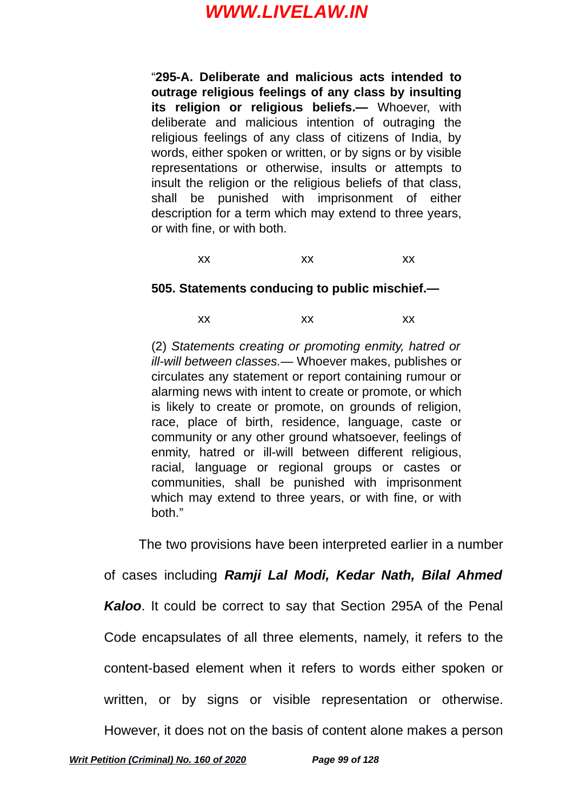"**295-A. Deliberate and malicious acts intended to outrage religious feelings of any class by insulting its religion or religious beliefs.—** Whoever, with deliberate and malicious intention of outraging the religious feelings of any class of citizens of India, by words, either spoken or written, or by signs or by visible representations or otherwise, insults or attempts to insult the religion or the religious beliefs of that class, shall be punished with imprisonment of either description for a term which may extend to three years, or with fine, or with both.

xx xx xx

#### **505. Statements conducing to public mischief.—**

xx xx xx

(2) *Statements creating or promoting enmity, hatred or ill-will between classes.—* Whoever makes, publishes or circulates any statement or report containing rumour or alarming news with intent to create or promote, or which is likely to create or promote, on grounds of religion, race, place of birth, residence, language, caste or community or any other ground whatsoever, feelings of enmity, hatred or ill-will between different religious, racial, language or regional groups or castes or communities, shall be punished with imprisonment which may extend to three years, or with fine, or with both."

The two provisions have been interpreted earlier in a number

of cases including *Ramji Lal Modi, Kedar Nath, Bilal Ahmed*

*Kaloo*. It could be correct to say that Section 295A of the Penal

Code encapsulates of all three elements, namely, it refers to the

content-based element when it refers to words either spoken or

written, or by signs or visible representation or otherwise.

However, it does not on the basis of content alone makes a person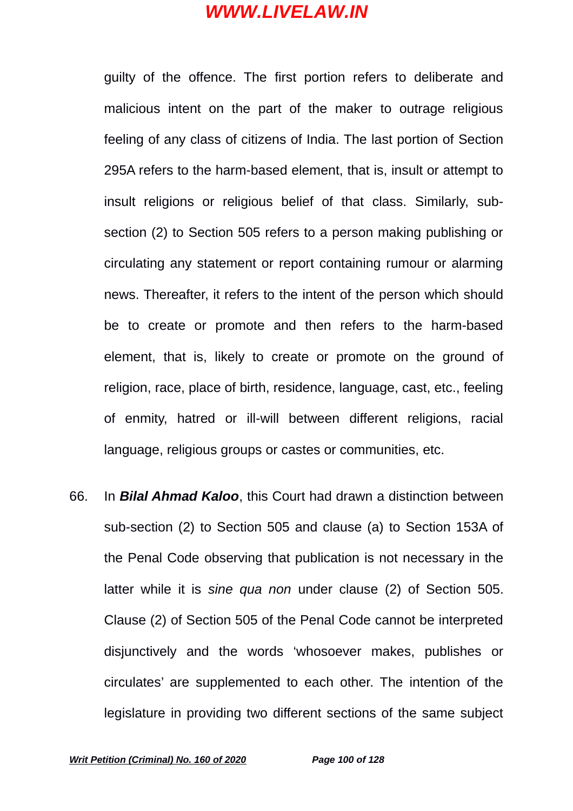guilty of the offence. The first portion refers to deliberate and malicious intent on the part of the maker to outrage religious feeling of any class of citizens of India. The last portion of Section 295A refers to the harm-based element, that is, insult or attempt to insult religions or religious belief of that class. Similarly, subsection (2) to Section 505 refers to a person making publishing or circulating any statement or report containing rumour or alarming news. Thereafter, it refers to the intent of the person which should be to create or promote and then refers to the harm-based element, that is, likely to create or promote on the ground of religion, race, place of birth, residence, language, cast, etc., feeling of enmity, hatred or ill-will between different religions, racial language, religious groups or castes or communities, etc.

66. In *Bilal Ahmad Kaloo*, this Court had drawn a distinction between sub-section (2) to Section 505 and clause (a) to Section 153A of the Penal Code observing that publication is not necessary in the latter while it is *sine qua non* under clause (2) of Section 505. Clause (2) of Section 505 of the Penal Code cannot be interpreted disjunctively and the words 'whosoever makes, publishes or circulates' are supplemented to each other. The intention of the legislature in providing two different sections of the same subject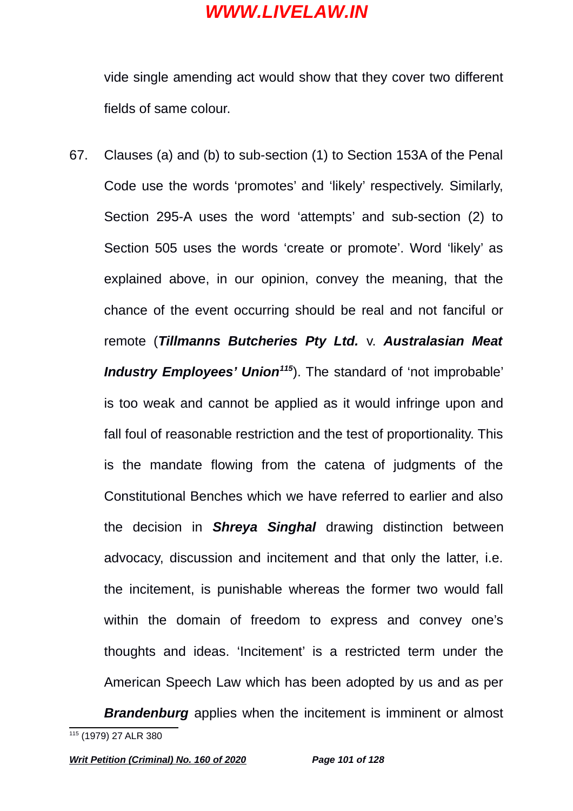vide single amending act would show that they cover two different fields of same colour.

67. Clauses (a) and (b) to sub-section (1) to Section 153A of the Penal Code use the words 'promotes' and 'likely' respectively. Similarly, Section 295-A uses the word 'attempts' and sub-section (2) to Section 505 uses the words 'create or promote'. Word 'likely' as explained above, in our opinion, convey the meaning, that the chance of the event occurring should be real and not fanciful or remote (*Tillmanns Butcheries Pty Ltd.* v. *Australasian Meat Industry Employees' Union[115](#page-100-0)*). The standard of 'not improbable' is too weak and cannot be applied as it would infringe upon and fall foul of reasonable restriction and the test of proportionality. This is the mandate flowing from the catena of judgments of the Constitutional Benches which we have referred to earlier and also the decision in *Shreya Singhal* drawing distinction between advocacy, discussion and incitement and that only the latter, i.e. the incitement, is punishable whereas the former two would fall within the domain of freedom to express and convey one's thoughts and ideas. 'Incitement' is a restricted term under the American Speech Law which has been adopted by us and as per

<span id="page-100-0"></span>*Brandenburg* applies when the incitement is imminent or almost <sup>115</sup> (1979) 27 ALR 380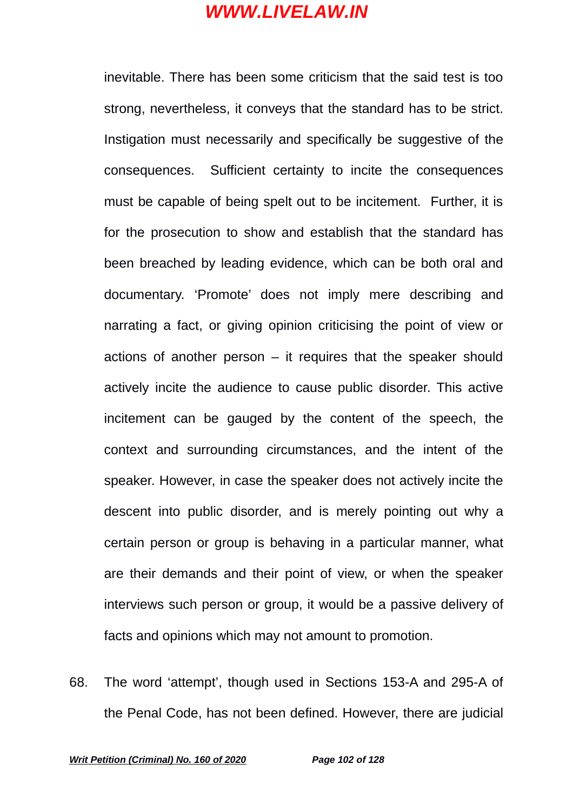inevitable. There has been some criticism that the said test is too strong, nevertheless, it conveys that the standard has to be strict. Instigation must necessarily and specifically be suggestive of the consequences. Sufficient certainty to incite the consequences must be capable of being spelt out to be incitement. Further, it is for the prosecution to show and establish that the standard has been breached by leading evidence, which can be both oral and documentary. 'Promote' does not imply mere describing and narrating a fact, or giving opinion criticising the point of view or actions of another person  $-$  it requires that the speaker should actively incite the audience to cause public disorder. This active incitement can be gauged by the content of the speech, the context and surrounding circumstances, and the intent of the speaker. However, in case the speaker does not actively incite the descent into public disorder, and is merely pointing out why a certain person or group is behaving in a particular manner, what are their demands and their point of view, or when the speaker interviews such person or group, it would be a passive delivery of facts and opinions which may not amount to promotion.

68. The word 'attempt', though used in Sections 153-A and 295-A of the Penal Code, has not been defined. However, there are judicial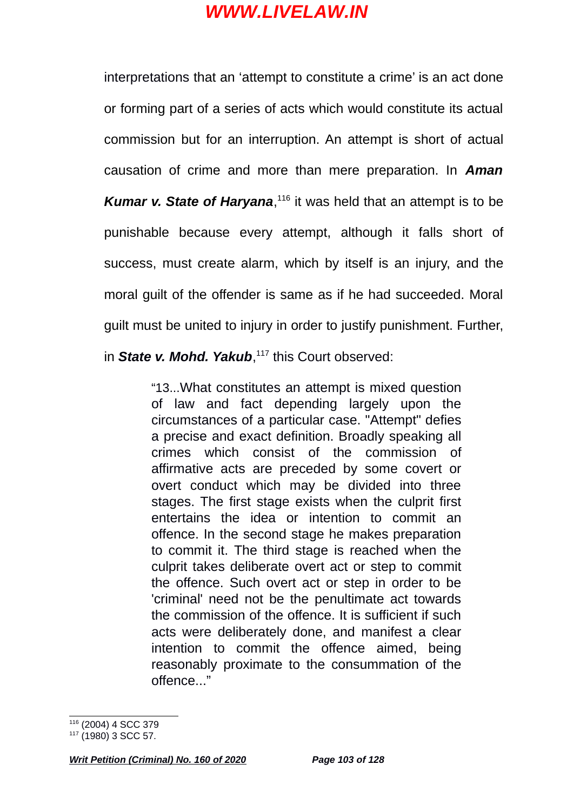interpretations that an 'attempt to constitute a crime' is an act done or forming part of a series of acts which would constitute its actual commission but for an interruption. An attempt is short of actual causation of crime and more than mere preparation. In *Aman* Kumar v. State of Haryana,<sup>[116](#page-102-0)</sup> it was held that an attempt is to be punishable because every attempt, although it falls short of success, must create alarm, which by itself is an injury, and the moral guilt of the offender is same as if he had succeeded. Moral guilt must be united to injury in order to justify punishment. Further,

in State v. Mohd. Yakub,<sup>[117](#page-102-1)</sup> this Court observed:

"13...What constitutes an attempt is mixed question of law and fact depending largely upon the circumstances of a particular case. "Attempt" defies a precise and exact definition. Broadly speaking all crimes which consist of the commission of affirmative acts are preceded by some covert or overt conduct which may be divided into three stages. The first stage exists when the culprit first entertains the idea or intention to commit an offence. In the second stage he makes preparation to commit it. The third stage is reached when the culprit takes deliberate overt act or step to commit the offence. Such overt act or step in order to be 'criminal' need not be the penultimate act towards the commission of the offence. It is sufficient if such acts were deliberately done, and manifest a clear intention to commit the offence aimed, being reasonably proximate to the consummation of the offence..."

<span id="page-102-0"></span><sup>116</sup> (2004) 4 SCC 379

<span id="page-102-1"></span> $117$  (1980) 3 SCC 57.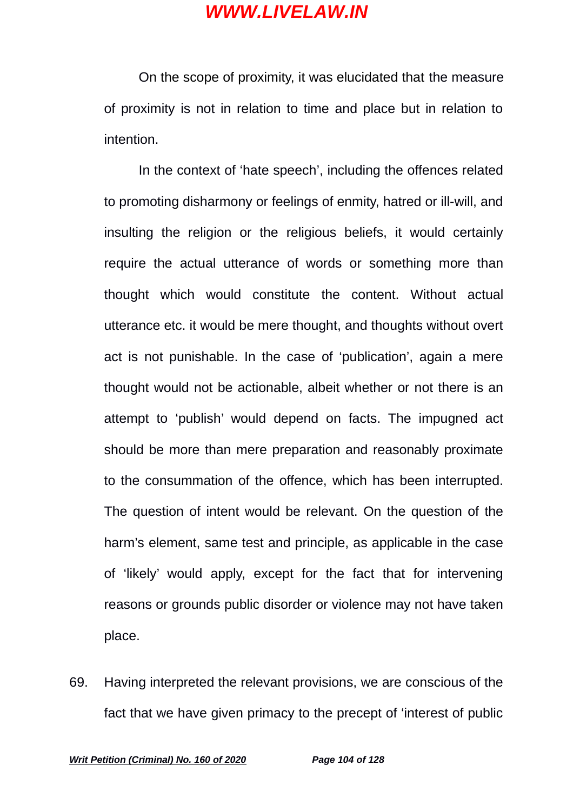On the scope of proximity, it was elucidated that the measure of proximity is not in relation to time and place but in relation to intention.

In the context of 'hate speech', including the offences related to promoting disharmony or feelings of enmity, hatred or ill-will, and insulting the religion or the religious beliefs, it would certainly require the actual utterance of words or something more than thought which would constitute the content. Without actual utterance etc. it would be mere thought, and thoughts without overt act is not punishable. In the case of 'publication', again a mere thought would not be actionable, albeit whether or not there is an attempt to 'publish' would depend on facts. The impugned act should be more than mere preparation and reasonably proximate to the consummation of the offence, which has been interrupted. The question of intent would be relevant. On the question of the harm's element, same test and principle, as applicable in the case of 'likely' would apply, except for the fact that for intervening reasons or grounds public disorder or violence may not have taken place.

69. Having interpreted the relevant provisions, we are conscious of the fact that we have given primacy to the precept of 'interest of public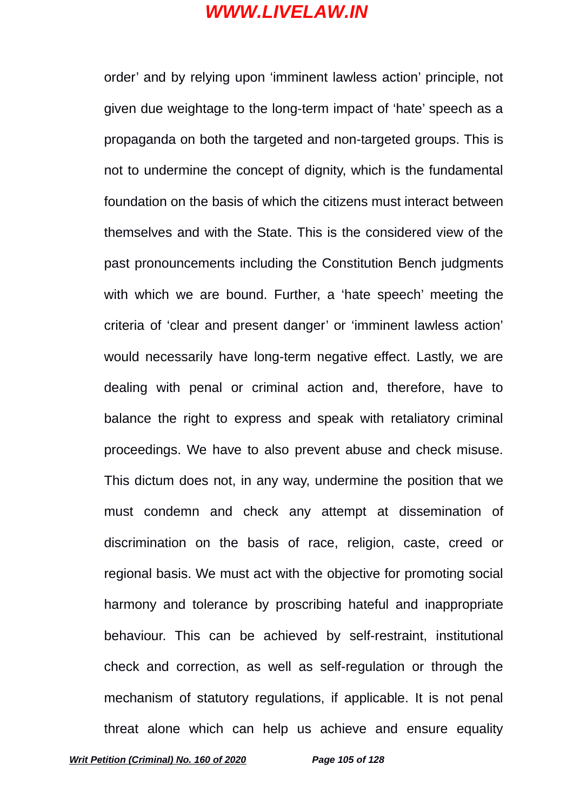order' and by relying upon 'imminent lawless action' principle, not given due weightage to the long-term impact of 'hate' speech as a propaganda on both the targeted and non-targeted groups. This is not to undermine the concept of dignity, which is the fundamental foundation on the basis of which the citizens must interact between themselves and with the State. This is the considered view of the past pronouncements including the Constitution Bench judgments with which we are bound. Further, a 'hate speech' meeting the criteria of 'clear and present danger' or 'imminent lawless action' would necessarily have long-term negative effect. Lastly, we are dealing with penal or criminal action and, therefore, have to balance the right to express and speak with retaliatory criminal proceedings. We have to also prevent abuse and check misuse. This dictum does not, in any way, undermine the position that we must condemn and check any attempt at dissemination of discrimination on the basis of race, religion, caste, creed or regional basis. We must act with the objective for promoting social harmony and tolerance by proscribing hateful and inappropriate behaviour. This can be achieved by self-restraint, institutional check and correction, as well as self-regulation or through the mechanism of statutory regulations, if applicable. It is not penal threat alone which can help us achieve and ensure equality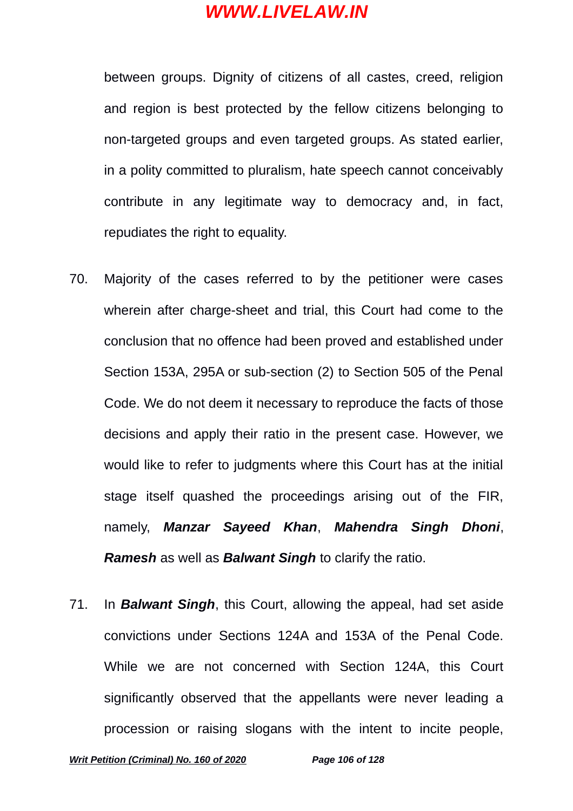between groups. Dignity of citizens of all castes, creed, religion and region is best protected by the fellow citizens belonging to non-targeted groups and even targeted groups. As stated earlier, in a polity committed to pluralism, hate speech cannot conceivably contribute in any legitimate way to democracy and, in fact, repudiates the right to equality.

- 70. Majority of the cases referred to by the petitioner were cases wherein after charge-sheet and trial, this Court had come to the conclusion that no offence had been proved and established under Section 153A, 295A or sub-section (2) to Section 505 of the Penal Code. We do not deem it necessary to reproduce the facts of those decisions and apply their ratio in the present case. However, we would like to refer to judgments where this Court has at the initial stage itself quashed the proceedings arising out of the FIR, namely, *Manzar Sayeed Khan*, *Mahendra Singh Dhoni*, *Ramesh* as well as *Balwant Singh* to clarify the ratio.
- 71. In *Balwant Singh*, this Court, allowing the appeal, had set aside convictions under Sections 124A and 153A of the Penal Code. While we are not concerned with Section 124A, this Court significantly observed that the appellants were never leading a procession or raising slogans with the intent to incite people,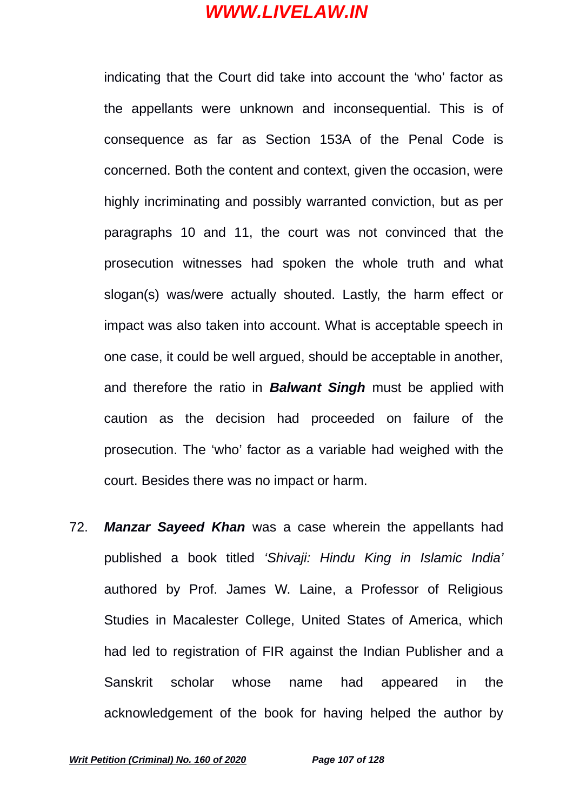indicating that the Court did take into account the 'who' factor as the appellants were unknown and inconsequential. This is of consequence as far as Section 153A of the Penal Code is concerned. Both the content and context, given the occasion, were highly incriminating and possibly warranted conviction, but as per paragraphs 10 and 11, the court was not convinced that the prosecution witnesses had spoken the whole truth and what slogan(s) was/were actually shouted. Lastly, the harm effect or impact was also taken into account. What is acceptable speech in one case, it could be well argued, should be acceptable in another, and therefore the ratio in *Balwant Singh* must be applied with caution as the decision had proceeded on failure of the prosecution. The 'who' factor as a variable had weighed with the court. Besides there was no impact or harm.

72. *Manzar Sayeed Khan* was a case wherein the appellants had published a book titled *'Shivaji: Hindu King in Islamic India'* authored by Prof. James W. Laine, a Professor of Religious Studies in Macalester College, United States of America, which had led to registration of FIR against the Indian Publisher and a Sanskrit scholar whose name had appeared in the acknowledgement of the book for having helped the author by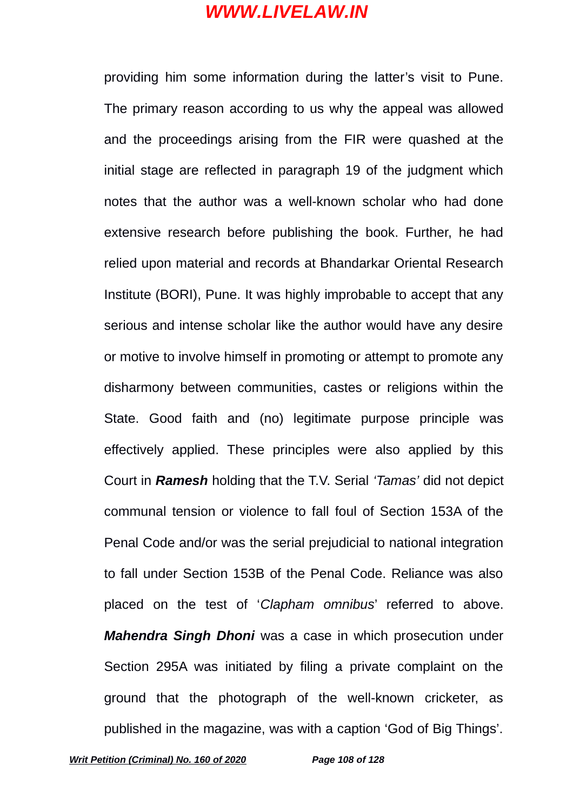providing him some information during the latter's visit to Pune. The primary reason according to us why the appeal was allowed and the proceedings arising from the FIR were quashed at the initial stage are reflected in paragraph 19 of the judgment which notes that the author was a well-known scholar who had done extensive research before publishing the book. Further, he had relied upon material and records at Bhandarkar Oriental Research Institute (BORI), Pune. It was highly improbable to accept that any serious and intense scholar like the author would have any desire or motive to involve himself in promoting or attempt to promote any disharmony between communities, castes or religions within the State. Good faith and (no) legitimate purpose principle was effectively applied. These principles were also applied by this Court in *Ramesh* holding that the T.V. Serial *'Tamas'* did not depict communal tension or violence to fall foul of Section 153A of the Penal Code and/or was the serial prejudicial to national integration to fall under Section 153B of the Penal Code. Reliance was also placed on the test of '*Clapham omnibus*' referred to above. *Mahendra Singh Dhoni* was a case in which prosecution under Section 295A was initiated by filing a private complaint on the ground that the photograph of the well-known cricketer, as published in the magazine, was with a caption 'God of Big Things'.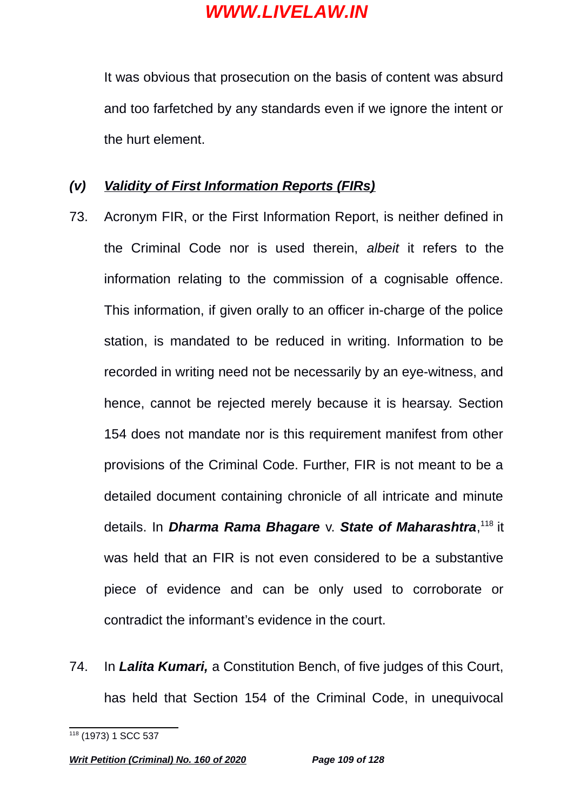It was obvious that prosecution on the basis of content was absurd and too farfetched by any standards even if we ignore the intent or the hurt element.

### *(v) Validity of First Information Reports (FIRs)*

- 73. Acronym FIR, or the First Information Report, is neither defined in the Criminal Code nor is used therein, *albeit* it refers to the information relating to the commission of a cognisable offence. This information, if given orally to an officer in-charge of the police station, is mandated to be reduced in writing. Information to be recorded in writing need not be necessarily by an eye-witness, and hence, cannot be rejected merely because it is hearsay. Section 154 does not mandate nor is this requirement manifest from other provisions of the Criminal Code. Further, FIR is not meant to be a detailed document containing chronicle of all intricate and minute details. In *Dharma Rama Bhagare* v. *State of Maharashtra*, [118](#page-108-0) it was held that an FIR is not even considered to be a substantive piece of evidence and can be only used to corroborate or contradict the informant's evidence in the court.
- 74. In *Lalita Kumari,* a Constitution Bench, of five judges of this Court, has held that Section 154 of the Criminal Code, in unequivocal

<span id="page-108-0"></span><sup>118</sup> (1973) 1 SCC 537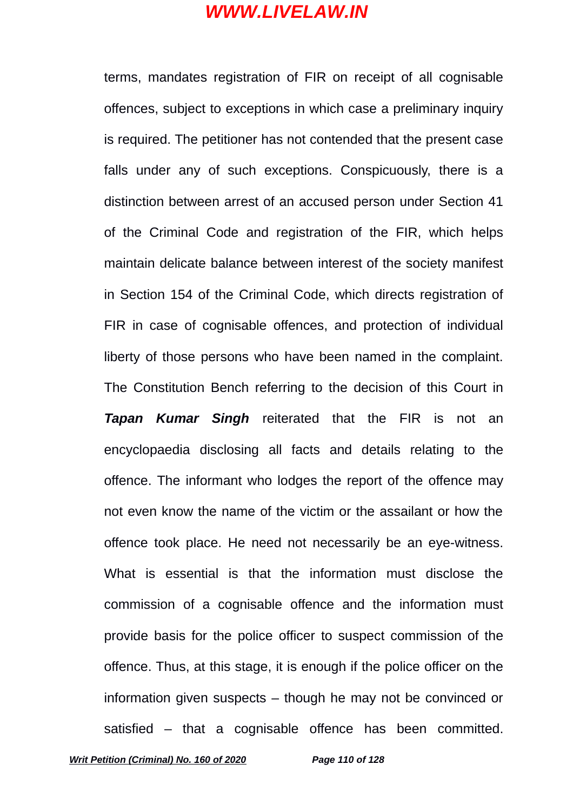terms, mandates registration of FIR on receipt of all cognisable offences, subject to exceptions in which case a preliminary inquiry is required. The petitioner has not contended that the present case falls under any of such exceptions. Conspicuously, there is a distinction between arrest of an accused person under Section 41 of the Criminal Code and registration of the FIR, which helps maintain delicate balance between interest of the society manifest in Section 154 of the Criminal Code, which directs registration of FIR in case of cognisable offences, and protection of individual liberty of those persons who have been named in the complaint. The Constitution Bench referring to the decision of this Court in *Tapan Kumar Singh* reiterated that the FIR is not an encyclopaedia disclosing all facts and details relating to the offence. The informant who lodges the report of the offence may not even know the name of the victim or the assailant or how the offence took place. He need not necessarily be an eye-witness. What is essential is that the information must disclose the commission of a cognisable offence and the information must provide basis for the police officer to suspect commission of the offence. Thus, at this stage, it is enough if the police officer on the information given suspects – though he may not be convinced or satisfied – that a cognisable offence has been committed.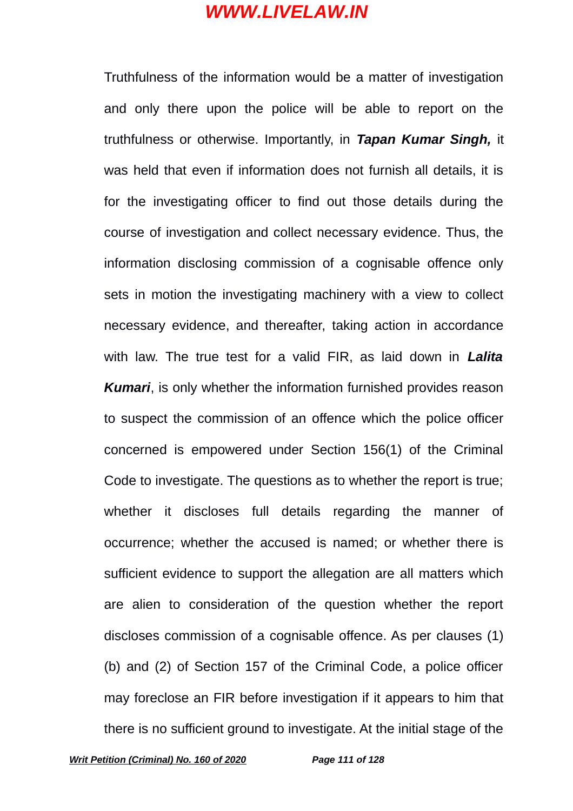Truthfulness of the information would be a matter of investigation and only there upon the police will be able to report on the truthfulness or otherwise. Importantly, in *Tapan Kumar Singh,* it was held that even if information does not furnish all details, it is for the investigating officer to find out those details during the course of investigation and collect necessary evidence. Thus, the information disclosing commission of a cognisable offence only sets in motion the investigating machinery with a view to collect necessary evidence, and thereafter, taking action in accordance with law. The true test for a valid FIR, as laid down in *Lalita Kumari*, is only whether the information furnished provides reason to suspect the commission of an offence which the police officer concerned is empowered under Section 156(1) of the Criminal Code to investigate. The questions as to whether the report is true; whether it discloses full details regarding the manner of occurrence; whether the accused is named; or whether there is sufficient evidence to support the allegation are all matters which are alien to consideration of the question whether the report discloses commission of a cognisable offence. As per clauses (1) (b) and (2) of Section 157 of the Criminal Code, a police officer may foreclose an FIR before investigation if it appears to him that there is no sufficient ground to investigate. At the initial stage of the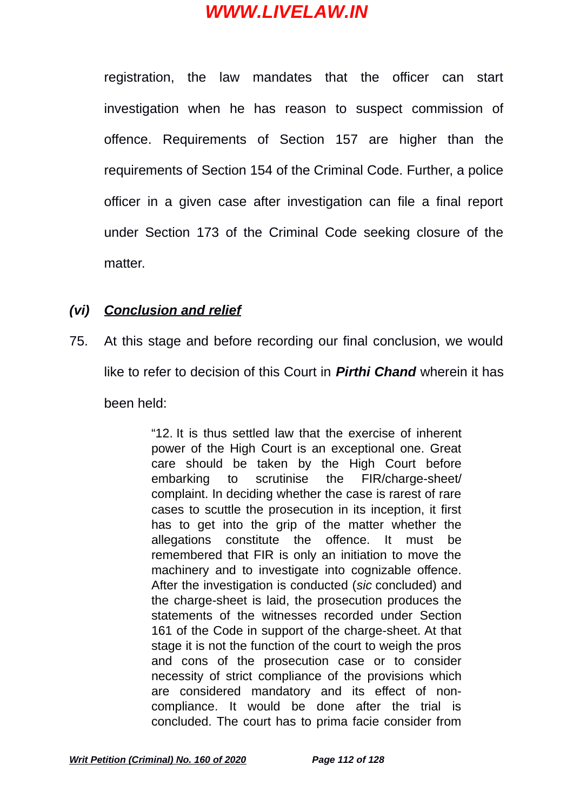registration, the law mandates that the officer can start investigation when he has reason to suspect commission of offence. Requirements of Section 157 are higher than the requirements of Section 154 of the Criminal Code. Further, a police officer in a given case after investigation can file a final report under Section 173 of the Criminal Code seeking closure of the matter.

### *(vi) Conclusion and relief*

75. At this stage and before recording our final conclusion, we would like to refer to decision of this Court in *Pirthi Chand* wherein it has been held:

> "12. It is thus settled law that the exercise of inherent power of the High Court is an exceptional one. Great care should be taken by the High Court before embarking to scrutinise the FIR/charge-sheet/ complaint. In deciding whether the case is rarest of rare cases to scuttle the prosecution in its inception, it first has to get into the grip of the matter whether the allegations constitute the offence. It must be remembered that FIR is only an initiation to move the machinery and to investigate into cognizable offence. After the investigation is conducted (*sic* concluded) and the charge-sheet is laid, the prosecution produces the statements of the witnesses recorded under Section 161 of the Code in support of the charge-sheet. At that stage it is not the function of the court to weigh the pros and cons of the prosecution case or to consider necessity of strict compliance of the provisions which are considered mandatory and its effect of noncompliance. It would be done after the trial is concluded. The court has to prima facie consider from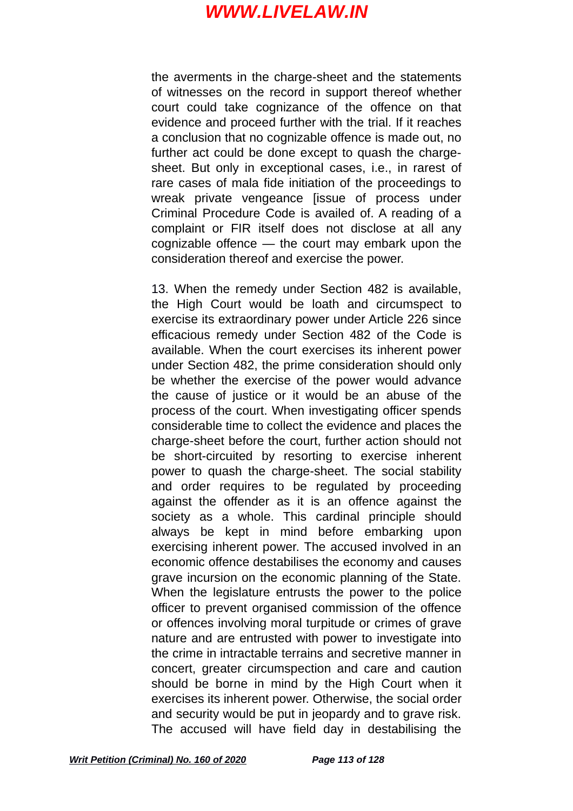the averments in the charge-sheet and the statements of witnesses on the record in support thereof whether court could take cognizance of the offence on that evidence and proceed further with the trial. If it reaches a conclusion that no cognizable offence is made out, no further act could be done except to quash the chargesheet. But only in exceptional cases, i.e., in rarest of rare cases of mala fide initiation of the proceedings to wreak private vengeance lissue of process under Criminal Procedure Code is availed of. A reading of a complaint or FIR itself does not disclose at all any cognizable offence — the court may embark upon the consideration thereof and exercise the power.

13. When the remedy under Section 482 is available, the High Court would be loath and circumspect to exercise its extraordinary power under Article 226 since efficacious remedy under Section 482 of the Code is available. When the court exercises its inherent power under Section 482, the prime consideration should only be whether the exercise of the power would advance the cause of justice or it would be an abuse of the process of the court. When investigating officer spends considerable time to collect the evidence and places the charge-sheet before the court, further action should not be short-circuited by resorting to exercise inherent power to quash the charge-sheet. The social stability and order requires to be regulated by proceeding against the offender as it is an offence against the society as a whole. This cardinal principle should always be kept in mind before embarking upon exercising inherent power. The accused involved in an economic offence destabilises the economy and causes grave incursion on the economic planning of the State. When the legislature entrusts the power to the police officer to prevent organised commission of the offence or offences involving moral turpitude or crimes of grave nature and are entrusted with power to investigate into the crime in intractable terrains and secretive manner in concert, greater circumspection and care and caution should be borne in mind by the High Court when it exercises its inherent power. Otherwise, the social order and security would be put in jeopardy and to grave risk. The accused will have field day in destabilising the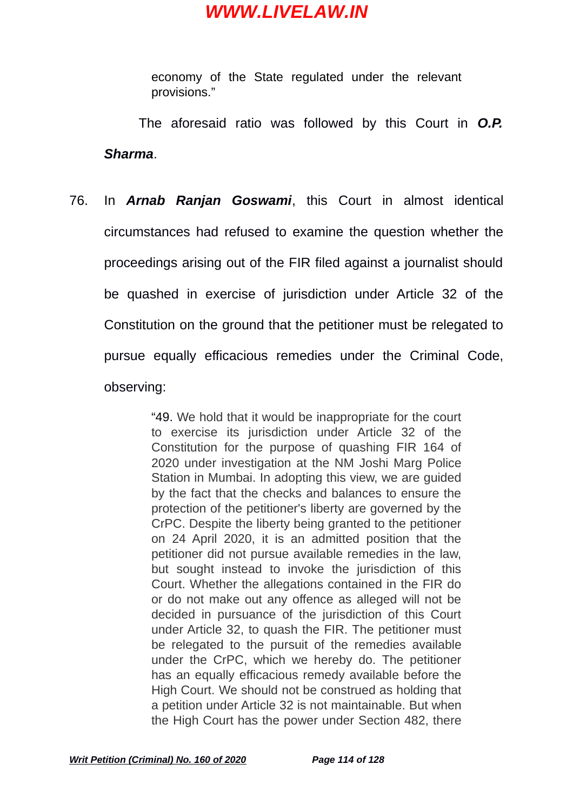economy of the State regulated under the relevant provisions."

The aforesaid ratio was followed by this Court in *O.P. Sharma*.

76. In *Arnab Ranjan Goswami*, this Court in almost identical circumstances had refused to examine the question whether the proceedings arising out of the FIR filed against a journalist should be quashed in exercise of jurisdiction under Article 32 of the Constitution on the ground that the petitioner must be relegated to pursue equally efficacious remedies under the Criminal Code, observing:

> "49. We hold that it would be inappropriate for the court to exercise its jurisdiction under Article 32 of the Constitution for the purpose of quashing FIR 164 of 2020 under investigation at the NM Joshi Marg Police Station in Mumbai. In adopting this view, we are guided by the fact that the checks and balances to ensure the protection of the petitioner's liberty are governed by the CrPC. Despite the liberty being granted to the petitioner on 24 April 2020, it is an admitted position that the petitioner did not pursue available remedies in the law, but sought instead to invoke the jurisdiction of this Court. Whether the allegations contained in the FIR do or do not make out any offence as alleged will not be decided in pursuance of the jurisdiction of this Court under Article 32, to quash the FIR. The petitioner must be relegated to the pursuit of the remedies available under the CrPC, which we hereby do. The petitioner has an equally efficacious remedy available before the High Court. We should not be construed as holding that a petition under Article 32 is not maintainable. But when the High Court has the power under Section 482, there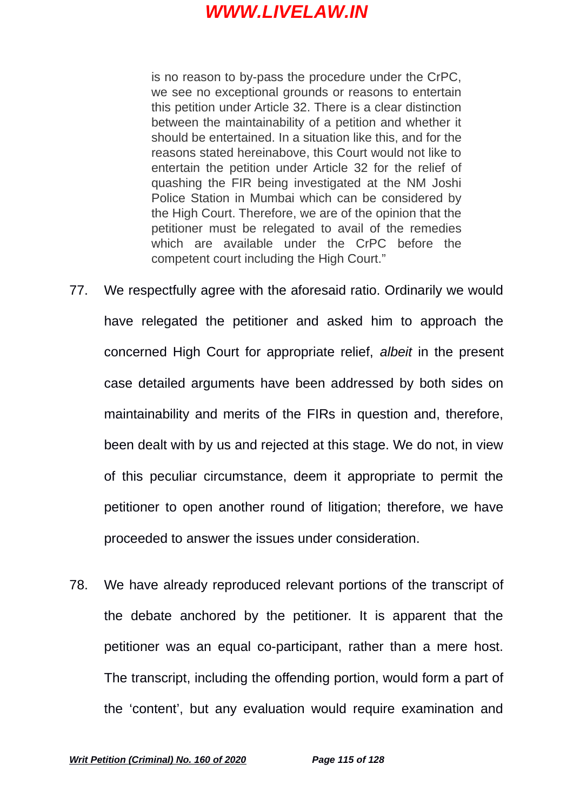is no reason to by-pass the procedure under the CrPC, we see no exceptional grounds or reasons to entertain this petition under Article 32. There is a clear distinction between the maintainability of a petition and whether it should be entertained. In a situation like this, and for the reasons stated hereinabove, this Court would not like to entertain the petition under Article 32 for the relief of quashing the FIR being investigated at the NM Joshi Police Station in Mumbai which can be considered by the High Court. Therefore, we are of the opinion that the petitioner must be relegated to avail of the remedies which are available under the CrPC before the competent court including the High Court."

- 77. We respectfully agree with the aforesaid ratio. Ordinarily we would have relegated the petitioner and asked him to approach the concerned High Court for appropriate relief, *albeit* in the present case detailed arguments have been addressed by both sides on maintainability and merits of the FIRs in question and, therefore, been dealt with by us and rejected at this stage. We do not, in view of this peculiar circumstance, deem it appropriate to permit the petitioner to open another round of litigation; therefore, we have proceeded to answer the issues under consideration.
- 78. We have already reproduced relevant portions of the transcript of the debate anchored by the petitioner. It is apparent that the petitioner was an equal co-participant, rather than a mere host. The transcript, including the offending portion, would form a part of the 'content', but any evaluation would require examination and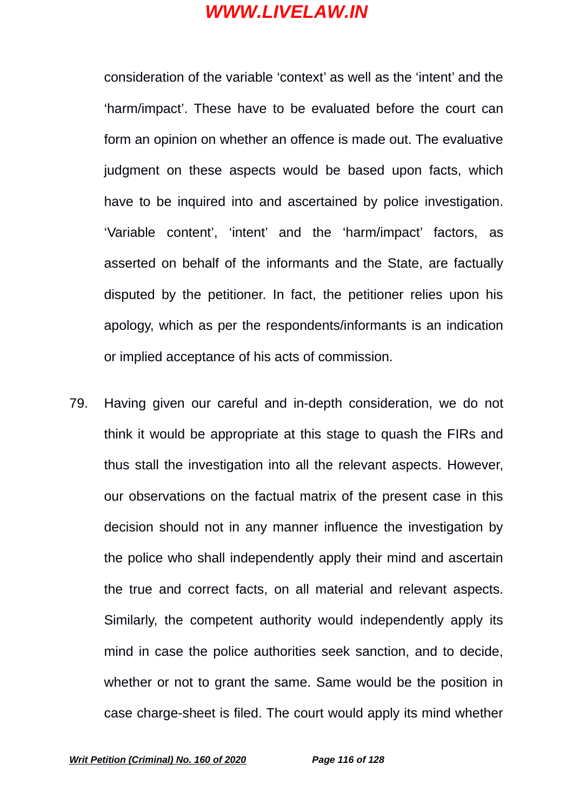consideration of the variable 'context' as well as the 'intent' and the 'harm/impact'. These have to be evaluated before the court can form an opinion on whether an offence is made out. The evaluative judgment on these aspects would be based upon facts, which have to be inquired into and ascertained by police investigation. 'Variable content', 'intent' and the 'harm/impact' factors, as asserted on behalf of the informants and the State, are factually disputed by the petitioner. In fact, the petitioner relies upon his apology, which as per the respondents/informants is an indication or implied acceptance of his acts of commission.

79. Having given our careful and in-depth consideration, we do not think it would be appropriate at this stage to quash the FIRs and thus stall the investigation into all the relevant aspects. However, our observations on the factual matrix of the present case in this decision should not in any manner influence the investigation by the police who shall independently apply their mind and ascertain the true and correct facts, on all material and relevant aspects. Similarly, the competent authority would independently apply its mind in case the police authorities seek sanction, and to decide, whether or not to grant the same. Same would be the position in case charge-sheet is filed. The court would apply its mind whether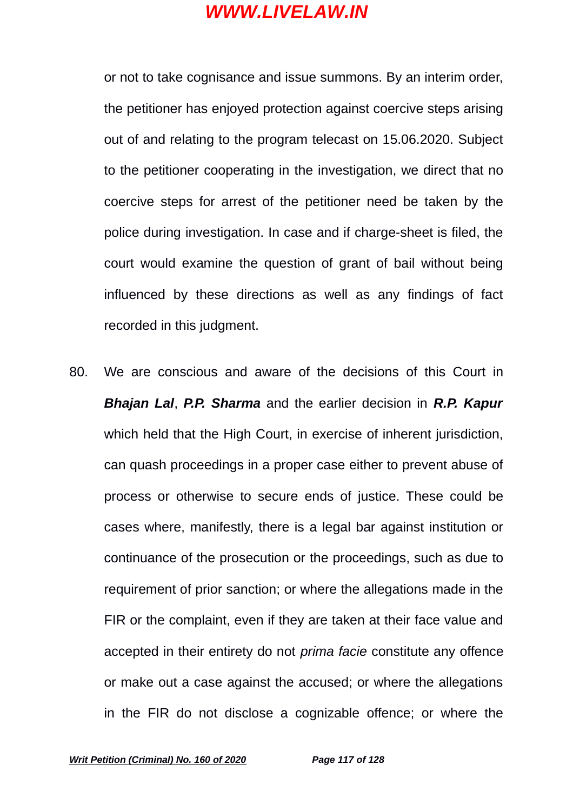or not to take cognisance and issue summons. By an interim order, the petitioner has enjoyed protection against coercive steps arising out of and relating to the program telecast on 15.06.2020. Subject to the petitioner cooperating in the investigation, we direct that no coercive steps for arrest of the petitioner need be taken by the police during investigation. In case and if charge-sheet is filed, the court would examine the question of grant of bail without being influenced by these directions as well as any findings of fact recorded in this judgment.

80. We are conscious and aware of the decisions of this Court in *Bhajan Lal*, *P.P. Sharma* and the earlier decision in *R.P. Kapur* which held that the High Court, in exercise of inherent jurisdiction, can quash proceedings in a proper case either to prevent abuse of process or otherwise to secure ends of justice. These could be cases where, manifestly, there is a legal bar against institution or continuance of the prosecution or the proceedings, such as due to requirement of prior sanction; or where the allegations made in the FIR or the complaint, even if they are taken at their face value and accepted in their entirety do not *prima facie* constitute any offence or make out a case against the accused; or where the allegations in the FIR do not disclose a cognizable offence; or where the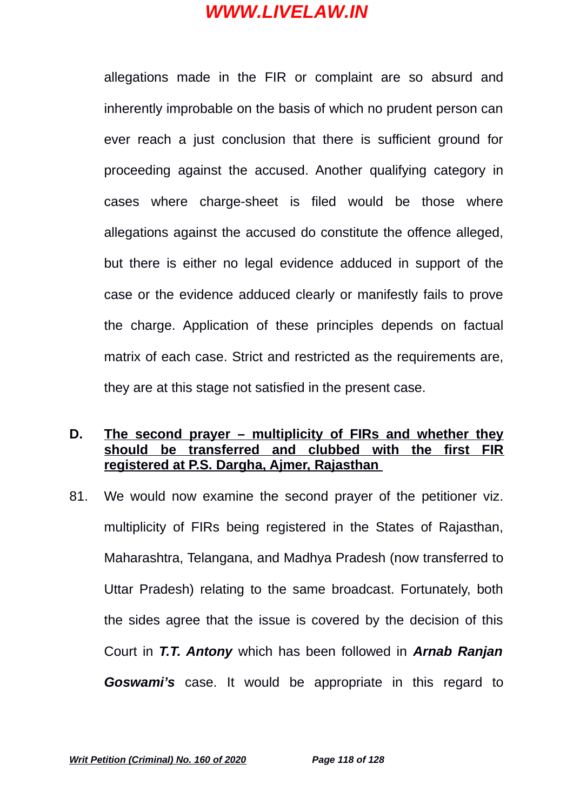allegations made in the FIR or complaint are so absurd and inherently improbable on the basis of which no prudent person can ever reach a just conclusion that there is sufficient ground for proceeding against the accused. Another qualifying category in cases where charge-sheet is filed would be those where allegations against the accused do constitute the offence alleged, but there is either no legal evidence adduced in support of the case or the evidence adduced clearly or manifestly fails to prove the charge. Application of these principles depends on factual matrix of each case. Strict and restricted as the requirements are, they are at this stage not satisfied in the present case.

### **D. The second prayer – multiplicity of FIRs and whether they should be transferred and clubbed with the first FIR registered at P.S. Dargha, Ajmer, Rajasthan**

81. We would now examine the second prayer of the petitioner viz. multiplicity of FIRs being registered in the States of Rajasthan, Maharashtra, Telangana, and Madhya Pradesh (now transferred to Uttar Pradesh) relating to the same broadcast. Fortunately, both the sides agree that the issue is covered by the decision of this Court in *T.T. Antony* which has been followed in *Arnab Ranjan Goswami's* case. It would be appropriate in this regard to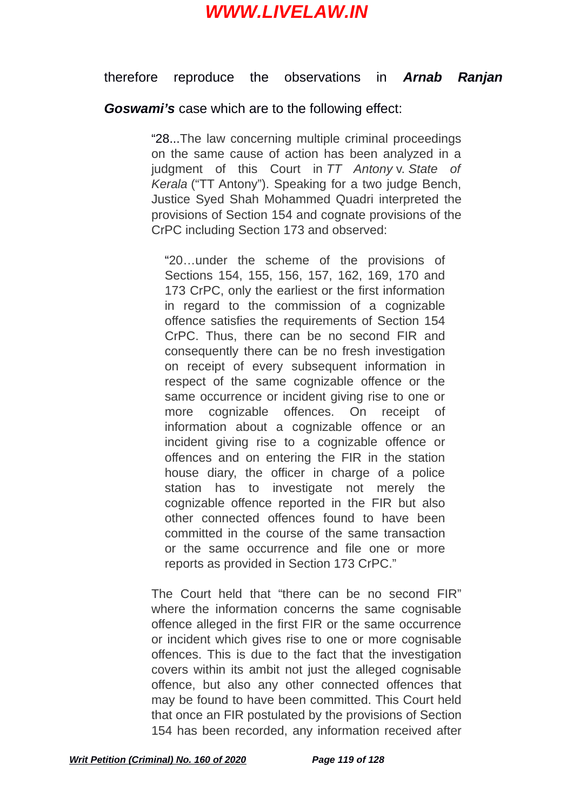#### therefore reproduce the observations in *Arnab Ranjan*

#### *Goswami's* case which are to the following effect:

"28...The law concerning multiple criminal proceedings on the same cause of action has been analyzed in a judgment of this Court in *TT Antony* v. *State of Kerala* ("TT Antony"). Speaking for a two judge Bench, Justice Syed Shah Mohammed Quadri interpreted the provisions of Section 154 and cognate provisions of the CrPC including Section 173 and observed:

"20…under the scheme of the provisions of Sections 154, 155, 156, 157, 162, 169, 170 and 173 CrPC, only the earliest or the first information in regard to the commission of a cognizable offence satisfies the requirements of Section 154 CrPC. Thus, there can be no second FIR and consequently there can be no fresh investigation on receipt of every subsequent information in respect of the same cognizable offence or the same occurrence or incident giving rise to one or more cognizable offences. On receipt of information about a cognizable offence or an incident giving rise to a cognizable offence or offences and on entering the FIR in the station house diary, the officer in charge of a police station has to investigate not merely the cognizable offence reported in the FIR but also other connected offences found to have been committed in the course of the same transaction or the same occurrence and file one or more reports as provided in Section 173 CrPC."

The Court held that "there can be no second FIR" where the information concerns the same cognisable offence alleged in the first FIR or the same occurrence or incident which gives rise to one or more cognisable offences. This is due to the fact that the investigation covers within its ambit not just the alleged cognisable offence, but also any other connected offences that may be found to have been committed. This Court held that once an FIR postulated by the provisions of Section 154 has been recorded, any information received after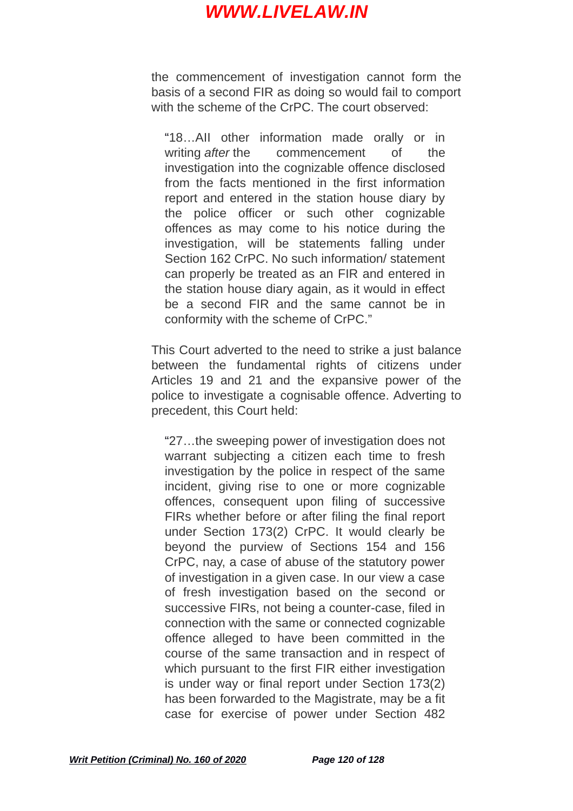the commencement of investigation cannot form the basis of a second FIR as doing so would fail to comport with the scheme of the CrPC. The court observed:

"18…AII other information made orally or in writing *after* the commencement of the investigation into the cognizable offence disclosed from the facts mentioned in the first information report and entered in the station house diary by the police officer or such other cognizable offences as may come to his notice during the investigation, will be statements falling under Section 162 CrPC. No such information/ statement can properly be treated as an FIR and entered in the station house diary again, as it would in effect be a second FIR and the same cannot be in conformity with the scheme of CrPC."

This Court adverted to the need to strike a just balance between the fundamental rights of citizens under Articles 19 and 21 and the expansive power of the police to investigate a cognisable offence. Adverting to precedent, this Court held:

"27…the sweeping power of investigation does not warrant subjecting a citizen each time to fresh investigation by the police in respect of the same incident, giving rise to one or more cognizable offences, consequent upon filing of successive FIRs whether before or after filing the final report under Section 173(2) CrPC. It would clearly be beyond the purview of Sections 154 and 156 CrPC, nay, a case of abuse of the statutory power of investigation in a given case. In our view a case of fresh investigation based on the second or successive FIRs, not being a counter-case, filed in connection with the same or connected cognizable offence alleged to have been committed in the course of the same transaction and in respect of which pursuant to the first FIR either investigation is under way or final report under Section 173(2) has been forwarded to the Magistrate, may be a fit case for exercise of power under Section 482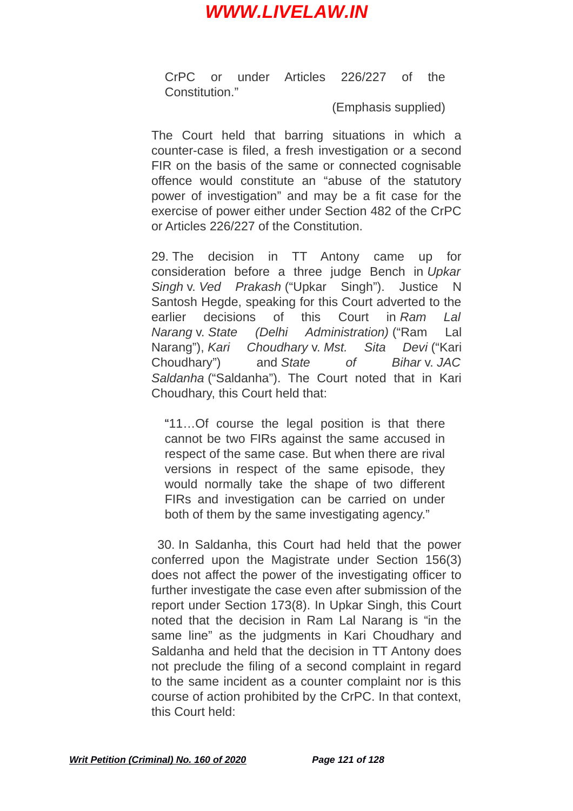CrPC or under Articles 226/227 of the Constitution."

(Emphasis supplied)

The Court held that barring situations in which a counter-case is filed, a fresh investigation or a second FIR on the basis of the same or connected cognisable offence would constitute an "abuse of the statutory power of investigation" and may be a fit case for the exercise of power either under Section 482 of the CrPC or Articles 226/227 of the Constitution.

29. The decision in TT Antony came up for consideration before a three judge Bench in *Upkar Singh* v. *Ved Prakash* ("Upkar Singh"). Justice N Santosh Hegde, speaking for this Court adverted to the earlier decisions of this Court in *Ram Lal Narang* v. *State (Delhi Administration)* ("Ram Lal Narang"), *Kari Choudhary* v. *Mst. Sita Devi* ("Kari Choudhary") and *State of Bihar* v. *JAC Saldanha* ("Saldanha"). The Court noted that in Kari Choudhary, this Court held that:

"11…Of course the legal position is that there cannot be two FIRs against the same accused in respect of the same case. But when there are rival versions in respect of the same episode, they would normally take the shape of two different FIRs and investigation can be carried on under both of them by the same investigating agency."

30. In Saldanha, this Court had held that the power conferred upon the Magistrate under Section 156(3) does not affect the power of the investigating officer to further investigate the case even after submission of the report under Section 173(8). In Upkar Singh, this Court noted that the decision in Ram Lal Narang is "in the same line" as the judgments in Kari Choudhary and Saldanha and held that the decision in TT Antony does not preclude the filing of a second complaint in regard to the same incident as a counter complaint nor is this course of action prohibited by the CrPC. In that context, this Court held: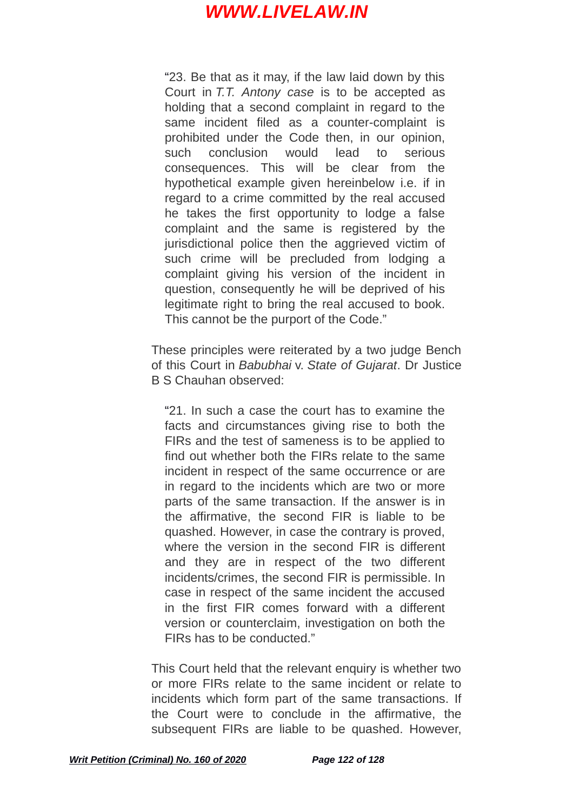"23. Be that as it may, if the law laid down by this Court in *T.T. Antony case* is to be accepted as holding that a second complaint in regard to the same incident filed as a counter-complaint is prohibited under the Code then, in our opinion, such conclusion would lead to serious consequences. This will be clear from the hypothetical example given hereinbelow i.e. if in regard to a crime committed by the real accused he takes the first opportunity to lodge a false complaint and the same is registered by the jurisdictional police then the aggrieved victim of such crime will be precluded from lodging a complaint giving his version of the incident in question, consequently he will be deprived of his legitimate right to bring the real accused to book. This cannot be the purport of the Code."

These principles were reiterated by a two judge Bench of this Court in *Babubhai* v. *State of Gujarat*. Dr Justice B S Chauhan observed:

"21. In such a case the court has to examine the facts and circumstances giving rise to both the FIRs and the test of sameness is to be applied to find out whether both the FIRs relate to the same incident in respect of the same occurrence or are in regard to the incidents which are two or more parts of the same transaction. If the answer is in the affirmative, the second FIR is liable to be quashed. However, in case the contrary is proved, where the version in the second FIR is different and they are in respect of the two different incidents/crimes, the second FIR is permissible. In case in respect of the same incident the accused in the first FIR comes forward with a different version or counterclaim, investigation on both the FIRs has to be conducted."

This Court held that the relevant enquiry is whether two or more FIRs relate to the same incident or relate to incidents which form part of the same transactions. If the Court were to conclude in the affirmative, the subsequent FIRs are liable to be quashed. However,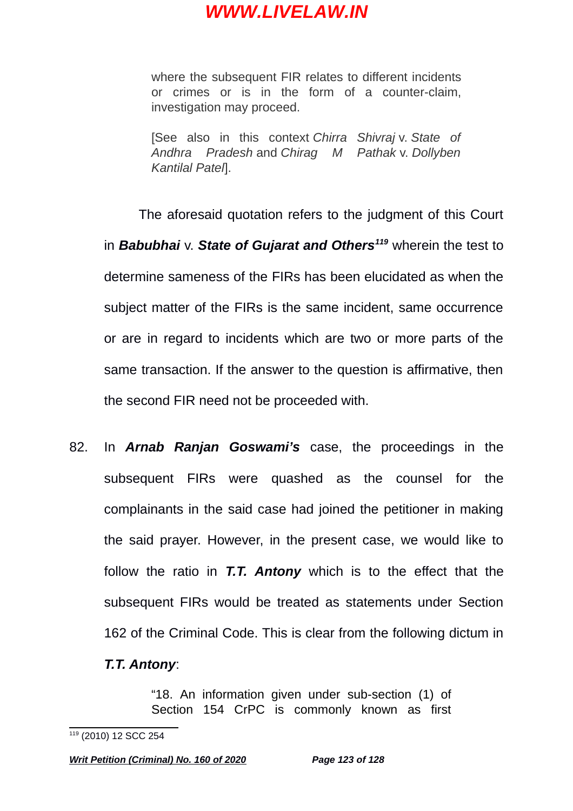where the subsequent FIR relates to different incidents or crimes or is in the form of a counter-claim, investigation may proceed.

[See also in this context *Chirra Shivraj* v. *State of Andhra Pradesh* and *Chirag M Pathak* v. *Dollyben Kantilal Patel*].

The aforesaid quotation refers to the judgment of this Court in *Babubhai* v. *State of Gujarat and Others[119](#page-122-0)* wherein the test to determine sameness of the FIRs has been elucidated as when the subject matter of the FIRs is the same incident, same occurrence or are in regard to incidents which are two or more parts of the same transaction. If the answer to the question is affirmative, then the second FIR need not be proceeded with.

82. In *Arnab Ranjan Goswami's* case, the proceedings in the subsequent FIRs were quashed as the counsel for the complainants in the said case had joined the petitioner in making the said prayer. However, in the present case, we would like to follow the ratio in *T.T. Antony* which is to the effect that the subsequent FIRs would be treated as statements under Section 162 of the Criminal Code. This is clear from the following dictum in

#### *T.T. Antony*:

"18. An information given under sub-section (1) of Section 154 CrPC is commonly known as first

<span id="page-122-0"></span><sup>119</sup> (2010) 12 SCC 254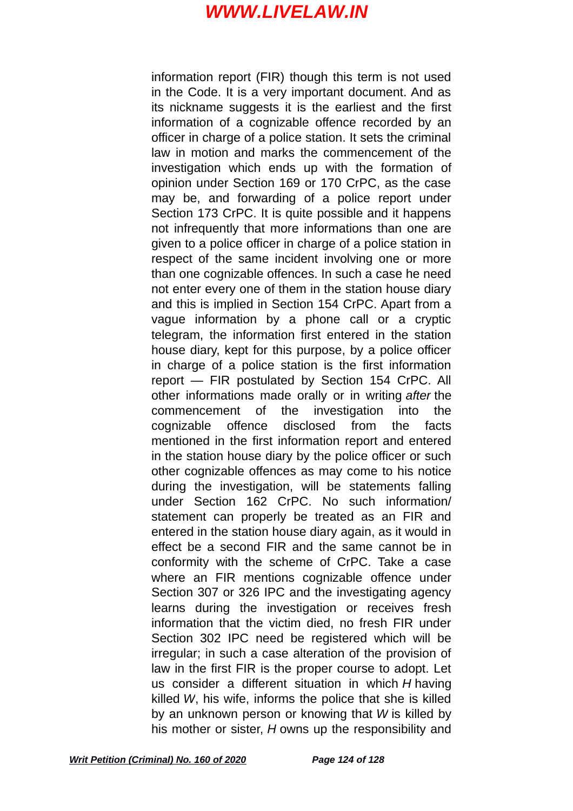information report (FIR) though this term is not used in the Code. It is a very important document. And as its nickname suggests it is the earliest and the first information of a cognizable offence recorded by an officer in charge of a police station. It sets the criminal law in motion and marks the commencement of the investigation which ends up with the formation of opinion under Section 169 or 170 CrPC, as the case may be, and forwarding of a police report under Section 173 CrPC. It is quite possible and it happens not infrequently that more informations than one are given to a police officer in charge of a police station in respect of the same incident involving one or more than one cognizable offences. In such a case he need not enter every one of them in the station house diary and this is implied in Section 154 CrPC. Apart from a vague information by a phone call or a cryptic telegram, the information first entered in the station house diary, kept for this purpose, by a police officer in charge of a police station is the first information report — FIR postulated by Section 154 CrPC. All other informations made orally or in writing *after* the commencement of the investigation into the cognizable offence disclosed from the facts mentioned in the first information report and entered in the station house diary by the police officer or such other cognizable offences as may come to his notice during the investigation, will be statements falling under Section 162 CrPC. No such information/ statement can properly be treated as an FIR and entered in the station house diary again, as it would in effect be a second FIR and the same cannot be in conformity with the scheme of CrPC. Take a case where an FIR mentions cognizable offence under Section 307 or 326 IPC and the investigating agency learns during the investigation or receives fresh information that the victim died, no fresh FIR under Section 302 IPC need be registered which will be irregular; in such a case alteration of the provision of law in the first FIR is the proper course to adopt. Let us consider a different situation in which *H* having killed *W*, his wife, informs the police that she is killed by an unknown person or knowing that *W* is killed by his mother or sister, *H* owns up the responsibility and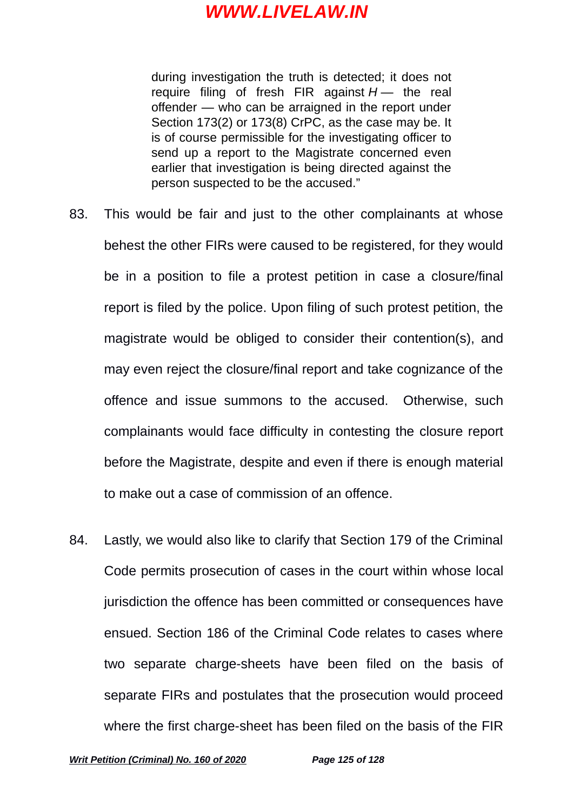during investigation the truth is detected; it does not require filing of fresh FIR against  $H -$  the real offender — who can be arraigned in the report under Section 173(2) or 173(8) CrPC, as the case may be. It is of course permissible for the investigating officer to send up a report to the Magistrate concerned even earlier that investigation is being directed against the person suspected to be the accused."

- 83. This would be fair and just to the other complainants at whose behest the other FIRs were caused to be registered, for they would be in a position to file a protest petition in case a closure/final report is filed by the police. Upon filing of such protest petition, the magistrate would be obliged to consider their contention(s), and may even reject the closure/final report and take cognizance of the offence and issue summons to the accused. Otherwise, such complainants would face difficulty in contesting the closure report before the Magistrate, despite and even if there is enough material to make out a case of commission of an offence.
- 84. Lastly, we would also like to clarify that Section 179 of the Criminal Code permits prosecution of cases in the court within whose local jurisdiction the offence has been committed or consequences have ensued. Section 186 of the Criminal Code relates to cases where two separate charge-sheets have been filed on the basis of separate FIRs and postulates that the prosecution would proceed where the first charge-sheet has been filed on the basis of the FIR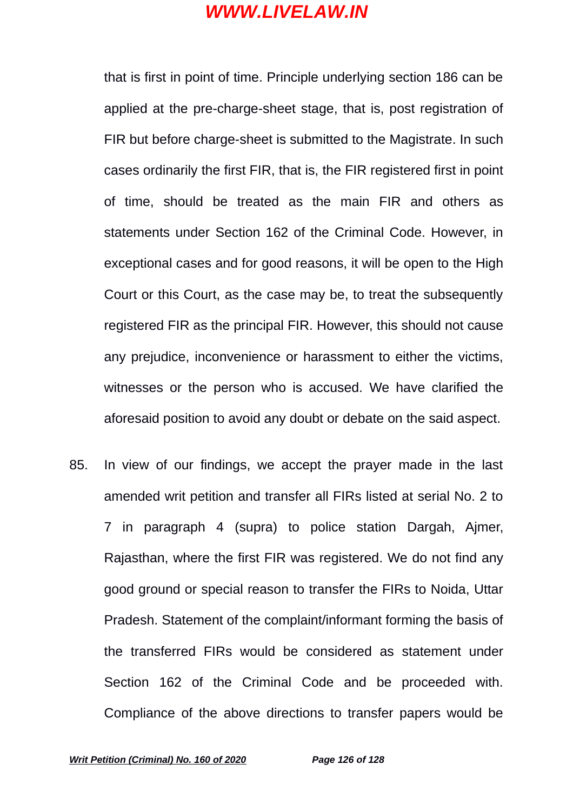that is first in point of time. Principle underlying section 186 can be applied at the pre-charge-sheet stage, that is, post registration of FIR but before charge-sheet is submitted to the Magistrate. In such cases ordinarily the first FIR, that is, the FIR registered first in point of time, should be treated as the main FIR and others as statements under Section 162 of the Criminal Code. However, in exceptional cases and for good reasons, it will be open to the High Court or this Court, as the case may be, to treat the subsequently registered FIR as the principal FIR. However, this should not cause any prejudice, inconvenience or harassment to either the victims, witnesses or the person who is accused. We have clarified the aforesaid position to avoid any doubt or debate on the said aspect.

85. In view of our findings, we accept the prayer made in the last amended writ petition and transfer all FIRs listed at serial No. 2 to 7 in paragraph 4 (supra) to police station Dargah, Ajmer, Rajasthan, where the first FIR was registered. We do not find any good ground or special reason to transfer the FIRs to Noida, Uttar Pradesh. Statement of the complaint/informant forming the basis of the transferred FIRs would be considered as statement under Section 162 of the Criminal Code and be proceeded with. Compliance of the above directions to transfer papers would be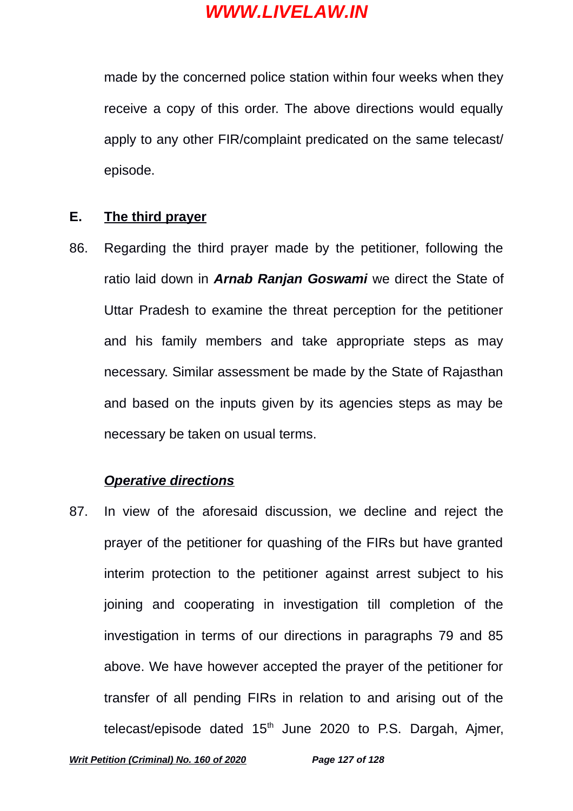made by the concerned police station within four weeks when they receive a copy of this order. The above directions would equally apply to any other FIR/complaint predicated on the same telecast/ episode.

### **E. The third prayer**

86. Regarding the third prayer made by the petitioner, following the ratio laid down in *Arnab Ranjan Goswami* we direct the State of Uttar Pradesh to examine the threat perception for the petitioner and his family members and take appropriate steps as may necessary. Similar assessment be made by the State of Rajasthan and based on the inputs given by its agencies steps as may be necessary be taken on usual terms.

#### *Operative directions*

87. In view of the aforesaid discussion, we decline and reject the prayer of the petitioner for quashing of the FIRs but have granted interim protection to the petitioner against arrest subject to his joining and cooperating in investigation till completion of the investigation in terms of our directions in paragraphs 79 and 85 above. We have however accepted the prayer of the petitioner for transfer of all pending FIRs in relation to and arising out of the telecast/episode dated  $15<sup>th</sup>$  June 2020 to P.S. Dargah, Ajmer,